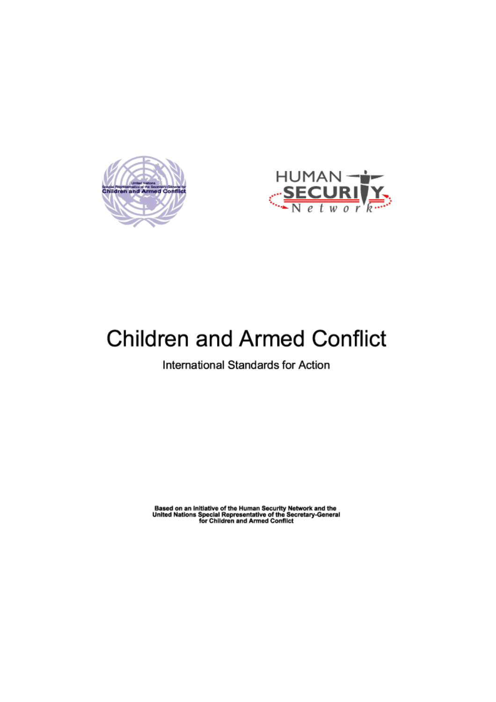



# **Children and Armed Conflict**

International Standards for Action

Based on an initiative of the Human Security Network and the<br>United Nations Special Representative of the Secretary-General<br>for Children and Armed Conflict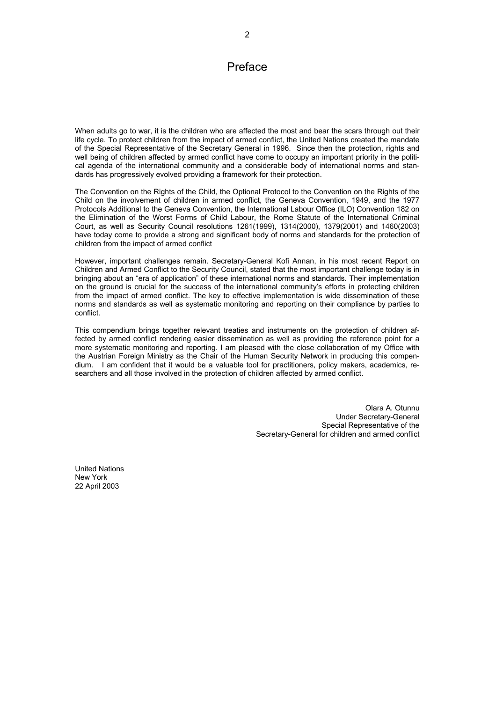# Preface

When adults go to war, it is the children who are affected the most and bear the scars through out their life cycle. To protect children from the impact of armed conflict, the United Nations created the mandate of the Special Representative of the Secretary General in 1996. Since then the protection, rights and well being of children affected by armed conflict have come to occupy an important priority in the political agenda of the international community and a considerable body of international norms and standards has progressively evolved providing a framework for their protection.

The Convention on the Rights of the Child, the Optional Protocol to the Convention on the Rights of the Child on the involvement of children in armed conflict, the Geneva Convention, 1949, and the 1977 Protocols Additional to the Geneva Convention, the International Labour Office (ILO) Convention 182 on the Elimination of the Worst Forms of Child Labour, the Rome Statute of the International Criminal Court, as well as Security Council resolutions 1261(1999), 1314(2000), 1379(2001) and 1460(2003) have today come to provide a strong and significant body of norms and standards for the protection of children from the impact of armed conflict

However, important challenges remain. Secretary-General Kofi Annan, in his most recent Report on Children and Armed Conflict to the Security Council, stated that the most important challenge today is in bringing about an "era of application" of these international norms and standards. Their implementation on the ground is crucial for the success of the international community's efforts in protecting children from the impact of armed conflict. The key to effective implementation is wide dissemination of these norms and standards as well as systematic monitoring and reporting on their compliance by parties to conflict.

This compendium brings together relevant treaties and instruments on the protection of children affected by armed conflict rendering easier dissemination as well as providing the reference point for a more systematic monitoring and reporting. I am pleased with the close collaboration of my Office with the Austrian Foreign Ministry as the Chair of the Human Security Network in producing this compendium. I am confident that it would be a valuable tool for practitioners, policy makers, academics, researchers and all those involved in the protection of children affected by armed conflict.

> Olara A. Otunnu Under Secretary-General Special Representative of the Secretary-General for children and armed conflict

United Nations New York 22 April 2003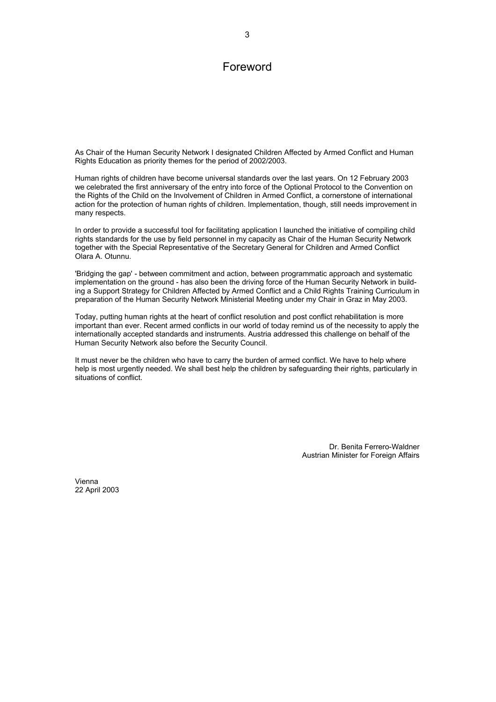# Foreword

As Chair of the Human Security Network I designated Children Affected by Armed Conflict and Human Rights Education as priority themes for the period of 2002/2003.

Human rights of children have become universal standards over the last years. On 12 February 2003 we celebrated the first anniversary of the entry into force of the Optional Protocol to the Convention on the Rights of the Child on the Involvement of Children in Armed Conflict, a cornerstone of international action for the protection of human rights of children. Implementation, though, still needs improvement in many respects.

In order to provide a successful tool for facilitating application I launched the initiative of compiling child rights standards for the use by field personnel in my capacity as Chair of the Human Security Network together with the Special Representative of the Secretary General for Children and Armed Conflict Olara A. Otunnu.

'Bridging the gap' - between commitment and action, between programmatic approach and systematic implementation on the ground - has also been the driving force of the Human Security Network in building a Support Strategy for Children Affected by Armed Conflict and a Child Rights Training Curriculum in preparation of the Human Security Network Ministerial Meeting under my Chair in Graz in May 2003.

Today, putting human rights at the heart of conflict resolution and post conflict rehabilitation is more important than ever. Recent armed conflicts in our world of today remind us of the necessity to apply the internationally accepted standards and instruments. Austria addressed this challenge on behalf of the Human Security Network also before the Security Council.

It must never be the children who have to carry the burden of armed conflict. We have to help where help is most urgently needed. We shall best help the children by safeguarding their rights, particularly in situations of conflict.

> Dr. Benita Ferrero-Waldner Austrian Minister for Foreign Affairs

Vienna 22 April 2003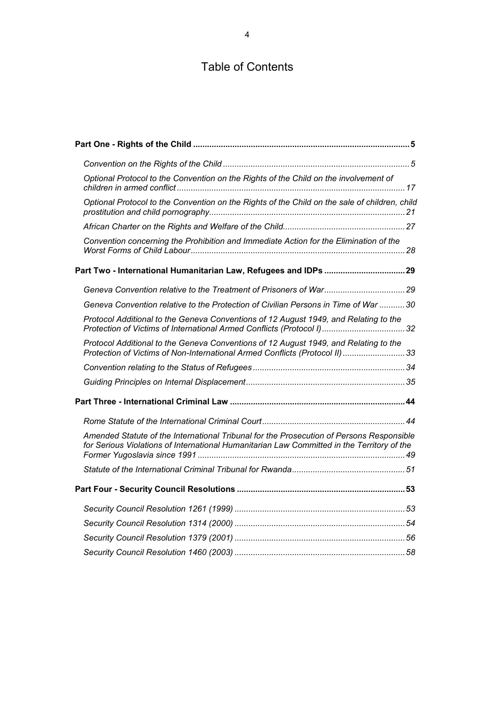# Table of Contents

| Optional Protocol to the Convention on the Rights of the Child on the involvement of                                                                                                   |
|----------------------------------------------------------------------------------------------------------------------------------------------------------------------------------------|
| Optional Protocol to the Convention on the Rights of the Child on the sale of children, child                                                                                          |
|                                                                                                                                                                                        |
| Convention concerning the Prohibition and Immediate Action for the Elimination of the                                                                                                  |
|                                                                                                                                                                                        |
|                                                                                                                                                                                        |
| Geneva Convention relative to the Protection of Civilian Persons in Time of War  30                                                                                                    |
| Protocol Additional to the Geneva Conventions of 12 August 1949, and Relating to the<br>Protection of Victims of International Armed Conflicts (Protocol I) 32                         |
| Protocol Additional to the Geneva Conventions of 12 August 1949, and Relating to the<br>Protection of Victims of Non-International Armed Conflicts (Protocol II)33                     |
|                                                                                                                                                                                        |
|                                                                                                                                                                                        |
|                                                                                                                                                                                        |
|                                                                                                                                                                                        |
| Amended Statute of the International Tribunal for the Prosecution of Persons Responsible<br>for Serious Violations of International Humanitarian Law Committed in the Territory of the |
|                                                                                                                                                                                        |
|                                                                                                                                                                                        |
|                                                                                                                                                                                        |
|                                                                                                                                                                                        |
|                                                                                                                                                                                        |
|                                                                                                                                                                                        |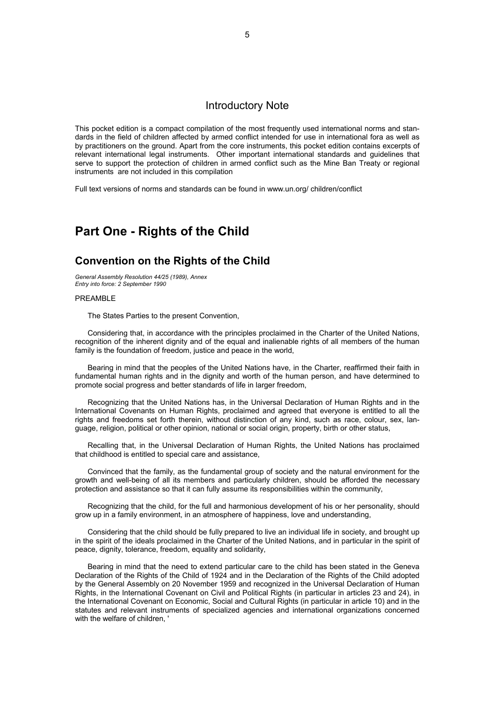# Introductory Note

This pocket edition is a compact compilation of the most frequently used international norms and standards in the field of children affected by armed conflict intended for use in international fora as well as by practitioners on the ground. Apart from the core instruments, this pocket edition contains excerpts of relevant international legal instruments. Other important international standards and guidelines that serve to support the protection of children in armed conflict such as the Mine Ban Treaty or regional instruments are not included in this compilation

Full text versions of norms and standards can be found in www.un.org/ children/conflict

# **Part One - Rights of the Child**

# **Convention on the Rights of the Child**

*General Assembly Resolution 44/25 (1989), Annex Entry into force: 2 September 1990* 

# PREAMBLE

The States Parties to the present Convention,

 Considering that, in accordance with the principles proclaimed in the Charter of the United Nations, recognition of the inherent dignity and of the equal and inalienable rights of all members of the human family is the foundation of freedom, justice and peace in the world,

 Bearing in mind that the peoples of the United Nations have, in the Charter, reaffirmed their faith in fundamental human rights and in the dignity and worth of the human person, and have determined to promote social progress and better standards of life in larger freedom,

 Recognizing that the United Nations has, in the Universal Declaration of Human Rights and in the International Covenants on Human Rights, proclaimed and agreed that everyone is entitled to all the rights and freedoms set forth therein, without distinction of any kind, such as race, colour, sex, language, religion, political or other opinion, national or social origin, property, birth or other status,

 Recalling that, in the Universal Declaration of Human Rights, the United Nations has proclaimed that childhood is entitled to special care and assistance,

 Convinced that the family, as the fundamental group of society and the natural environment for the growth and well-being of all its members and particularly children, should be afforded the necessary protection and assistance so that it can fully assume its responsibilities within the community,

 Recognizing that the child, for the full and harmonious development of his or her personality, should grow up in a family environment, in an atmosphere of happiness, love and understanding,

 Considering that the child should be fully prepared to live an individual life in society, and brought up in the spirit of the ideals proclaimed in the Charter of the United Nations, and in particular in the spirit of peace, dignity, tolerance, freedom, equality and solidarity,

 Bearing in mind that the need to extend particular care to the child has been stated in the Geneva Declaration of the Rights of the Child of 1924 and in the Declaration of the Rights of the Child adopted by the General Assembly on 20 November 1959 and recognized in the Universal Declaration of Human Rights, in the International Covenant on Civil and Political Rights (in particular in articles 23 and 24), in the International Covenant on Economic, Social and Cultural Rights (in particular in article 10) and in the statutes and relevant instruments of specialized agencies and international organizations concerned with the welfare of children, '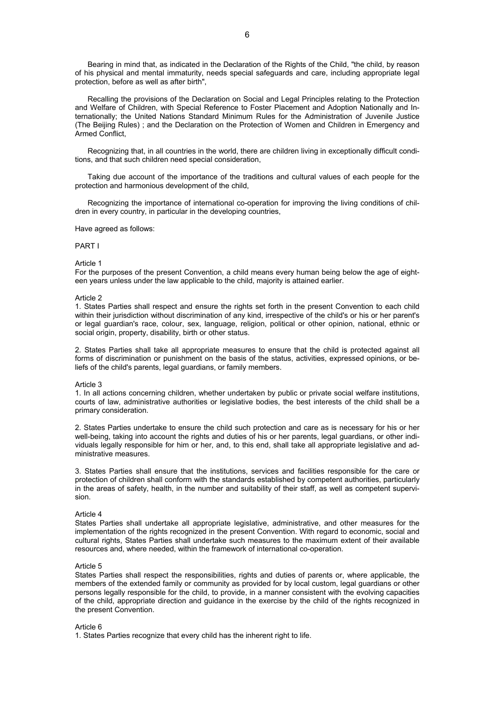Bearing in mind that, as indicated in the Declaration of the Rights of the Child, "the child, by reason of his physical and mental immaturity, needs special safeguards and care, including appropriate legal protection, before as well as after birth",

 Recalling the provisions of the Declaration on Social and Legal Principles relating to the Protection and Welfare of Children, with Special Reference to Foster Placement and Adoption Nationally and Internationally; the United Nations Standard Minimum Rules for the Administration of Juvenile Justice (The Beijing Rules) ; and the Declaration on the Protection of Women and Children in Emergency and Armed Conflict,

 Recognizing that, in all countries in the world, there are children living in exceptionally difficult conditions, and that such children need special consideration,

 Taking due account of the importance of the traditions and cultural values of each people for the protection and harmonious development of the child,

 Recognizing the importance of international co-operation for improving the living conditions of children in every country, in particular in the developing countries,

Have agreed as follows:

### PART I

#### Article 1

For the purposes of the present Convention, a child means every human being below the age of eighteen years unless under the law applicable to the child, majority is attained earlier.

#### Article 2

1. States Parties shall respect and ensure the rights set forth in the present Convention to each child within their jurisdiction without discrimination of any kind, irrespective of the child's or his or her parent's or legal guardian's race, colour, sex, language, religion, political or other opinion, national, ethnic or social origin, property, disability, birth or other status.

2. States Parties shall take all appropriate measures to ensure that the child is protected against all forms of discrimination or punishment on the basis of the status, activities, expressed opinions, or beliefs of the child's parents, legal guardians, or family members.

#### Article 3

1. In all actions concerning children, whether undertaken by public or private social welfare institutions, courts of law, administrative authorities or legislative bodies, the best interests of the child shall be a primary consideration.

2. States Parties undertake to ensure the child such protection and care as is necessary for his or her well-being, taking into account the rights and duties of his or her parents, legal guardians, or other individuals legally responsible for him or her, and, to this end, shall take all appropriate legislative and administrative measures.

3. States Parties shall ensure that the institutions, services and facilities responsible for the care or protection of children shall conform with the standards established by competent authorities, particularly in the areas of safety, health, in the number and suitability of their staff, as well as competent supervision.

### Article 4

States Parties shall undertake all appropriate legislative, administrative, and other measures for the implementation of the rights recognized in the present Convention. With regard to economic, social and cultural rights, States Parties shall undertake such measures to the maximum extent of their available resources and, where needed, within the framework of international co-operation.

# Article 5

States Parties shall respect the responsibilities, rights and duties of parents or, where applicable, the members of the extended family or community as provided for by local custom, legal guardians or other persons legally responsible for the child, to provide, in a manner consistent with the evolving capacities of the child, appropriate direction and guidance in the exercise by the child of the rights recognized in the present Convention.

# Article 6

1. States Parties recognize that every child has the inherent right to life.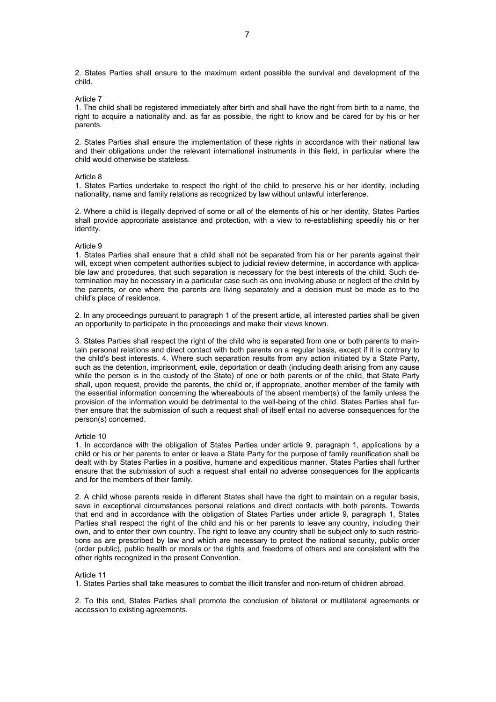2. States Parties shall ensure to the maximum extent possible the survival and development of the child.

#### Article 7

1. The child shall be registered immediately after birth and shall have the right from birth to a name, the right to acquire a nationality and. as far as possible, the right to know and be cared for by his or her parents.

2. States Parties shall ensure the implementation of these rights in accordance with their national law and their obligations under the relevant international instruments in this field, in particular where the child would otherwise be stateless.

# Article 8

1. States Parties undertake to respect the right of the child to preserve his or her identity, including nationality, name and family relations as recognized by law without unlawful interference.

2. Where a child is illegally deprived of some or all of the elements of his or her identity, States Parties shall provide appropriate assistance and protection, with a view to re-establishing speedily his or her identity.

### Article 9

1. States Parties shall ensure that a child shall not be separated from his or her parents against their will, except when competent authorities subject to judicial review determine, in accordance with applicable law and procedures, that such separation is necessary for the best interests of the child. Such determination may be necessary in a particular case such as one involving abuse or neglect of the child by the parents, or one where the parents are living separately and a decision must be made as to the child's place of residence.

2. In any proceedings pursuant to paragraph 1 of the present article, all interested parties shall be given an opportunity to participate in the proceedings and make their views known.

3. States Parties shall respect the right of the child who is separated from one or both parents to maintain personal relations and direct contact with both parents on a regular basis, except if it is contrary to the child's best interests. 4. Where such separation results from any action initiated by a State Party, such as the detention, imprisonment, exile, deportation or death (including death arising from any cause while the person is in the custody of the State) of one or both parents or of the child, that State Party shall, upon request, provide the parents, the child or, if appropriate, another member of the family with the essential information concerning the whereabouts of the absent member(s) of the family unless the provision of the information would be detrimental to the well-being of the child. States Parties shall further ensure that the submission of such a request shall of itself entail no adverse consequences for the person(s) concerned.

#### Article 10

1. In accordance with the obligation of States Parties under article 9, paragraph 1, applications by a child or his or her parents to enter or leave a State Party for the purpose of family reunification shall be dealt with by States Parties in a positive, humane and expeditious manner. States Parties shall further ensure that the submission of such a request shall entail no adverse consequences for the applicants and for the members of their family.

2. A child whose parents reside in different States shall have the right to maintain on a regular basis, save in exceptional circumstances personal relations and direct contacts with both parents. Towards that end and in accordance with the obligation of States Parties under article 9, paragraph 1, States Parties shall respect the right of the child and his or her parents to leave any country, including their own, and to enter their own country. The right to leave any country shall be subject only to such restrictions as are prescribed by law and which are necessary to protect the national security, public order (order public), public health or morals or the rights and freedoms of others and are consistent with the other rights recognized in the present Convention.

#### Article 11

1. States Parties shall take measures to combat the illicit transfer and non-return of children abroad.

2. To this end, States Parties shall promote the conclusion of bilateral or multilateral agreements or accession to existing agreements.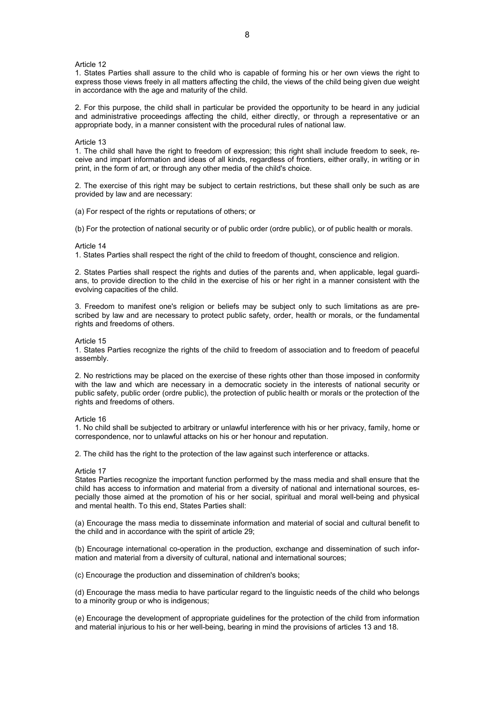# Article 12

1. States Parties shall assure to the child who is capable of forming his or her own views the right to express those views freely in all matters affecting the child, the views of the child being given due weight in accordance with the age and maturity of the child.

2. For this purpose, the child shall in particular be provided the opportunity to be heard in any judicial and administrative proceedings affecting the child, either directly, or through a representative or an appropriate body, in a manner consistent with the procedural rules of national law.

#### Article 13

1. The child shall have the right to freedom of expression; this right shall include freedom to seek, receive and impart information and ideas of all kinds, regardless of frontiers, either orally, in writing or in print, in the form of art, or through any other media of the child's choice.

2. The exercise of this right may be subject to certain restrictions, but these shall only be such as are provided by law and are necessary:

(a) For respect of the rights or reputations of others; or

(b) For the protection of national security or of public order (ordre public), or of public health or morals.

#### Article 14

1. States Parties shall respect the right of the child to freedom of thought, conscience and religion.

2. States Parties shall respect the rights and duties of the parents and, when applicable, legal guardians, to provide direction to the child in the exercise of his or her right in a manner consistent with the evolving capacities of the child.

3. Freedom to manifest one's religion or beliefs may be subject only to such limitations as are prescribed by law and are necessary to protect public safety, order, health or morals, or the fundamental rights and freedoms of others.

#### Article 15

1. States Parties recognize the rights of the child to freedom of association and to freedom of peaceful assembly.

2. No restrictions may be placed on the exercise of these rights other than those imposed in conformity with the law and which are necessary in a democratic society in the interests of national security or public safety, public order (ordre public), the protection of public health or morals or the protection of the rights and freedoms of others.

## Article 16

1. No child shall be subjected to arbitrary or unlawful interference with his or her privacy, family, home or correspondence, nor to unlawful attacks on his or her honour and reputation.

2. The child has the right to the protection of the law against such interference or attacks.

# Article 17

States Parties recognize the important function performed by the mass media and shall ensure that the child has access to information and material from a diversity of national and international sources, especially those aimed at the promotion of his or her social, spiritual and moral well-being and physical and mental health. To this end, States Parties shall:

(a) Encourage the mass media to disseminate information and material of social and cultural benefit to the child and in accordance with the spirit of article 29;

(b) Encourage international co-operation in the production, exchange and dissemination of such information and material from a diversity of cultural, national and international sources;

(c) Encourage the production and dissemination of children's books;

(d) Encourage the mass media to have particular regard to the linguistic needs of the child who belongs to a minority group or who is indigenous;

(e) Encourage the development of appropriate guidelines for the protection of the child from information and material injurious to his or her well-being, bearing in mind the provisions of articles 13 and 18.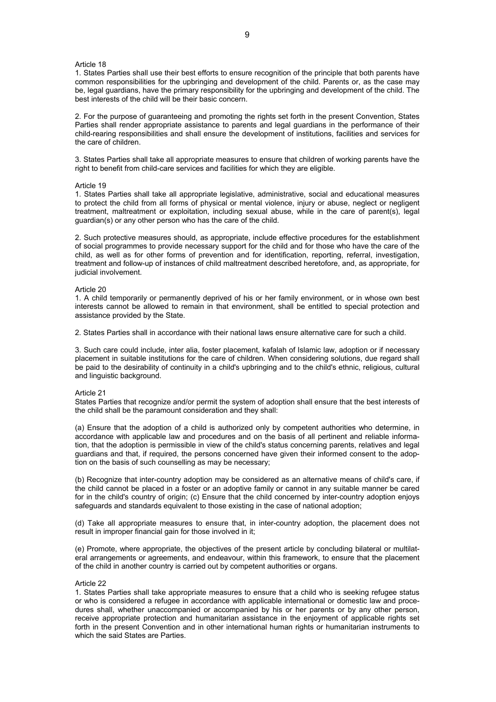# Article 18

1. States Parties shall use their best efforts to ensure recognition of the principle that both parents have common responsibilities for the upbringing and development of the child. Parents or, as the case may be, legal guardians, have the primary responsibility for the upbringing and development of the child. The best interests of the child will be their basic concern.

2. For the purpose of guaranteeing and promoting the rights set forth in the present Convention, States Parties shall render appropriate assistance to parents and legal guardians in the performance of their child-rearing responsibilities and shall ensure the development of institutions, facilities and services for the care of children.

3. States Parties shall take all appropriate measures to ensure that children of working parents have the right to benefit from child-care services and facilities for which they are eligible.

#### Article 19

1. States Parties shall take all appropriate legislative, administrative, social and educational measures to protect the child from all forms of physical or mental violence, injury or abuse, neglect or negligent treatment, maltreatment or exploitation, including sexual abuse, while in the care of parent(s), legal guardian(s) or any other person who has the care of the child.

2. Such protective measures should, as appropriate, include effective procedures for the establishment of social programmes to provide necessary support for the child and for those who have the care of the child, as well as for other forms of prevention and for identification, reporting, referral, investigation, treatment and follow-up of instances of child maltreatment described heretofore, and, as appropriate, for judicial involvement.

#### Article 20

1. A child temporarily or permanently deprived of his or her family environment, or in whose own best interests cannot be allowed to remain in that environment, shall be entitled to special protection and assistance provided by the State.

2. States Parties shall in accordance with their national laws ensure alternative care for such a child.

3. Such care could include, inter alia, foster placement, kafalah of Islamic law, adoption or if necessary placement in suitable institutions for the care of children. When considering solutions, due regard shall be paid to the desirability of continuity in a child's upbringing and to the child's ethnic, religious, cultural and linguistic background.

#### Article 21

States Parties that recognize and/or permit the system of adoption shall ensure that the best interests of the child shall be the paramount consideration and they shall:

(a) Ensure that the adoption of a child is authorized only by competent authorities who determine, in accordance with applicable law and procedures and on the basis of all pertinent and reliable information, that the adoption is permissible in view of the child's status concerning parents, relatives and legal guardians and that, if required, the persons concerned have given their informed consent to the adoption on the basis of such counselling as may be necessary;

(b) Recognize that inter-country adoption may be considered as an alternative means of child's care, if the child cannot be placed in a foster or an adoptive family or cannot in any suitable manner be cared for in the child's country of origin; (c) Ensure that the child concerned by inter-country adoption enjoys safeguards and standards equivalent to those existing in the case of national adoption;

(d) Take all appropriate measures to ensure that, in inter-country adoption, the placement does not result in improper financial gain for those involved in it;

(e) Promote, where appropriate, the objectives of the present article by concluding bilateral or multilateral arrangements or agreements, and endeavour, within this framework, to ensure that the placement of the child in another country is carried out by competent authorities or organs.

#### Article 22

1. States Parties shall take appropriate measures to ensure that a child who is seeking refugee status or who is considered a refugee in accordance with applicable international or domestic law and procedures shall, whether unaccompanied or accompanied by his or her parents or by any other person, receive appropriate protection and humanitarian assistance in the enjoyment of applicable rights set forth in the present Convention and in other international human rights or humanitarian instruments to which the said States are Parties.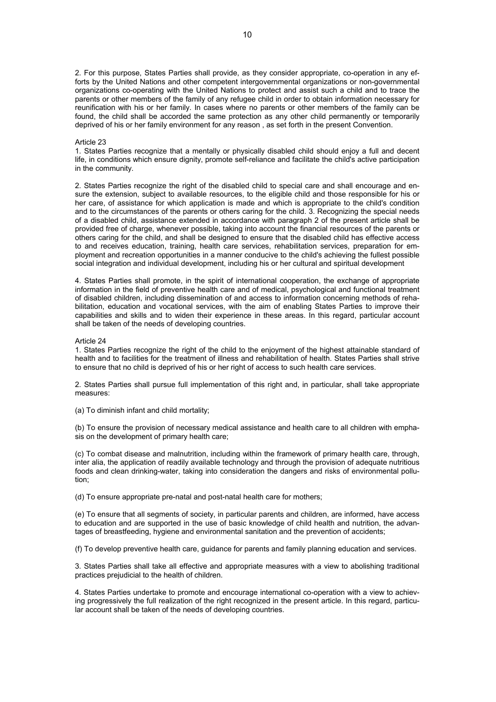2. For this purpose, States Parties shall provide, as they consider appropriate, co-operation in any efforts by the United Nations and other competent intergovernmental organizations or non-governmental organizations co-operating with the United Nations to protect and assist such a child and to trace the parents or other members of the family of any refugee child in order to obtain information necessary for reunification with his or her family. In cases where no parents or other members of the family can be found, the child shall be accorded the same protection as any other child permanently or temporarily deprived of his or her family environment for any reason , as set forth in the present Convention.

# Article 23

1. States Parties recognize that a mentally or physically disabled child should enjoy a full and decent life, in conditions which ensure dignity, promote self-reliance and facilitate the child's active participation in the community.

2. States Parties recognize the right of the disabled child to special care and shall encourage and ensure the extension, subject to available resources, to the eligible child and those responsible for his or her care, of assistance for which application is made and which is appropriate to the child's condition and to the circumstances of the parents or others caring for the child. 3. Recognizing the special needs of a disabled child, assistance extended in accordance with paragraph 2 of the present article shall be provided free of charge, whenever possible, taking into account the financial resources of the parents or others caring for the child, and shall be designed to ensure that the disabled child has effective access to and receives education, training, health care services, rehabilitation services, preparation for employment and recreation opportunities in a manner conducive to the child's achieving the fullest possible social integration and individual development, including his or her cultural and spiritual development

4. States Parties shall promote, in the spirit of international cooperation, the exchange of appropriate information in the field of preventive health care and of medical, psychological and functional treatment of disabled children, including dissemination of and access to information concerning methods of rehabilitation, education and vocational services, with the aim of enabling States Parties to improve their capabilities and skills and to widen their experience in these areas. In this regard, particular account shall be taken of the needs of developing countries.

#### Article 24

1. States Parties recognize the right of the child to the enjoyment of the highest attainable standard of health and to facilities for the treatment of illness and rehabilitation of health. States Parties shall strive to ensure that no child is deprived of his or her right of access to such health care services.

2. States Parties shall pursue full implementation of this right and, in particular, shall take appropriate measures:

(a) To diminish infant and child mortality;

(b) To ensure the provision of necessary medical assistance and health care to all children with emphasis on the development of primary health care;

(c) To combat disease and malnutrition, including within the framework of primary health care, through, inter alia, the application of readily available technology and through the provision of adequate nutritious foods and clean drinking-water, taking into consideration the dangers and risks of environmental pollution;

(d) To ensure appropriate pre-natal and post-natal health care for mothers;

(e) To ensure that all segments of society, in particular parents and children, are informed, have access to education and are supported in the use of basic knowledge of child health and nutrition, the advantages of breastfeeding, hygiene and environmental sanitation and the prevention of accidents;

(f) To develop preventive health care, guidance for parents and family planning education and services.

3. States Parties shall take all effective and appropriate measures with a view to abolishing traditional practices prejudicial to the health of children.

4. States Parties undertake to promote and encourage international co-operation with a view to achieving progressively the full realization of the right recognized in the present article. In this regard, particular account shall be taken of the needs of developing countries.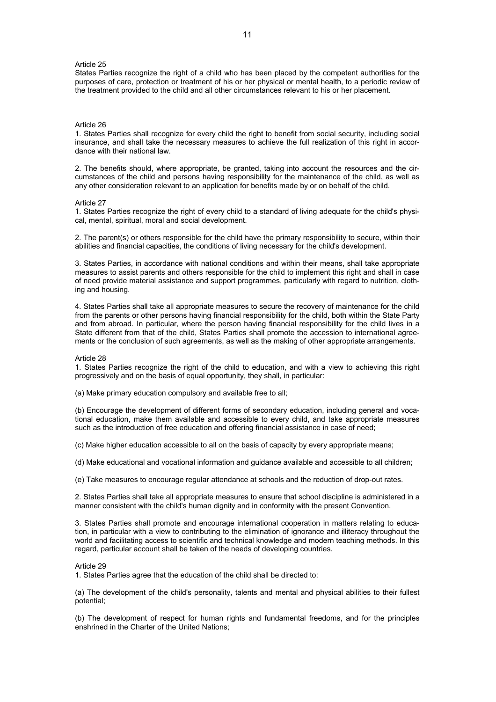# Article 25

States Parties recognize the right of a child who has been placed by the competent authorities for the purposes of care, protection or treatment of his or her physical or mental health, to a periodic review of the treatment provided to the child and all other circumstances relevant to his or her placement.

# Article 26

1. States Parties shall recognize for every child the right to benefit from social security, including social insurance, and shall take the necessary measures to achieve the full realization of this right in accordance with their national law.

2. The benefits should, where appropriate, be granted, taking into account the resources and the circumstances of the child and persons having responsibility for the maintenance of the child, as well as any other consideration relevant to an application for benefits made by or on behalf of the child.

#### Article 27

1. States Parties recognize the right of every child to a standard of living adequate for the child's physical, mental, spiritual, moral and social development.

2. The parent(s) or others responsible for the child have the primary responsibility to secure, within their abilities and financial capacities, the conditions of living necessary for the child's development.

3. States Parties, in accordance with national conditions and within their means, shall take appropriate measures to assist parents and others responsible for the child to implement this right and shall in case of need provide material assistance and support programmes, particularly with regard to nutrition, clothing and housing.

4. States Parties shall take all appropriate measures to secure the recovery of maintenance for the child from the parents or other persons having financial responsibility for the child, both within the State Party and from abroad. In particular, where the person having financial responsibility for the child lives in a State different from that of the child, States Parties shall promote the accession to international agreements or the conclusion of such agreements, as well as the making of other appropriate arrangements.

### Article 28

1. States Parties recognize the right of the child to education, and with a view to achieving this right progressively and on the basis of equal opportunity, they shall, in particular:

(a) Make primary education compulsory and available free to all;

(b) Encourage the development of different forms of secondary education, including general and vocational education, make them available and accessible to every child, and take appropriate measures such as the introduction of free education and offering financial assistance in case of need;

(c) Make higher education accessible to all on the basis of capacity by every appropriate means;

(d) Make educational and vocational information and guidance available and accessible to all children;

(e) Take measures to encourage regular attendance at schools and the reduction of drop-out rates.

2. States Parties shall take all appropriate measures to ensure that school discipline is administered in a manner consistent with the child's human dignity and in conformity with the present Convention.

3. States Parties shall promote and encourage international cooperation in matters relating to education, in particular with a view to contributing to the elimination of ignorance and illiteracy throughout the world and facilitating access to scientific and technical knowledge and modern teaching methods. In this regard, particular account shall be taken of the needs of developing countries.

# Article 29

1. States Parties agree that the education of the child shall be directed to:

(a) The development of the child's personality, talents and mental and physical abilities to their fullest potential;

(b) The development of respect for human rights and fundamental freedoms, and for the principles enshrined in the Charter of the United Nations;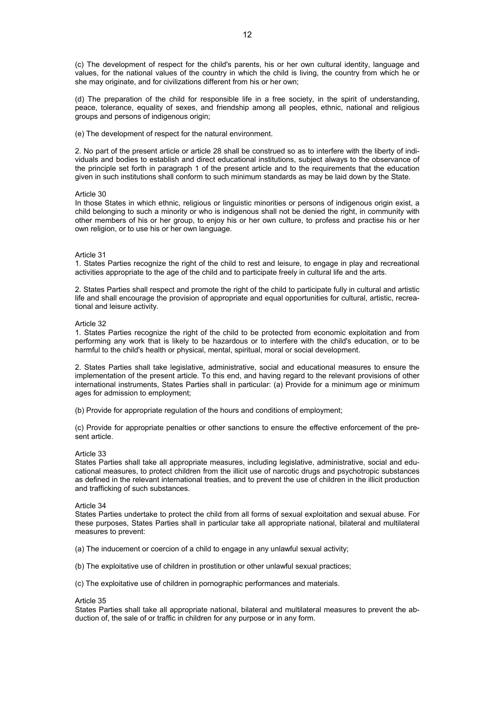(c) The development of respect for the child's parents, his or her own cultural identity, language and values, for the national values of the country in which the child is living, the country from which he or she may originate, and for civilizations different from his or her own;

(d) The preparation of the child for responsible life in a free society, in the spirit of understanding, peace, tolerance, equality of sexes, and friendship among all peoples, ethnic, national and religious groups and persons of indigenous origin;

(e) The development of respect for the natural environment.

2. No part of the present article or article 28 shall be construed so as to interfere with the liberty of individuals and bodies to establish and direct educational institutions, subject always to the observance of the principle set forth in paragraph 1 of the present article and to the requirements that the education given in such institutions shall conform to such minimum standards as may be laid down by the State.

#### Article 30

In those States in which ethnic, religious or linguistic minorities or persons of indigenous origin exist, a child belonging to such a minority or who is indigenous shall not be denied the right, in community with other members of his or her group, to enjoy his or her own culture, to profess and practise his or her own religion, or to use his or her own language.

#### Article 31

1. States Parties recognize the right of the child to rest and leisure, to engage in play and recreational activities appropriate to the age of the child and to participate freely in cultural life and the arts.

2. States Parties shall respect and promote the right of the child to participate fully in cultural and artistic life and shall encourage the provision of appropriate and equal opportunities for cultural, artistic, recreational and leisure activity.

#### Article 32

1. States Parties recognize the right of the child to be protected from economic exploitation and from performing any work that is likely to be hazardous or to interfere with the child's education, or to be harmful to the child's health or physical, mental, spiritual, moral or social development.

2. States Parties shall take legislative, administrative, social and educational measures to ensure the implementation of the present article. To this end, and having regard to the relevant provisions of other international instruments, States Parties shall in particular: (a) Provide for a minimum age or minimum ages for admission to employment;

(b) Provide for appropriate regulation of the hours and conditions of employment;

(c) Provide for appropriate penalties or other sanctions to ensure the effective enforcement of the present article.

#### Article 33

States Parties shall take all appropriate measures, including legislative, administrative, social and educational measures, to protect children from the illicit use of narcotic drugs and psychotropic substances as defined in the relevant international treaties, and to prevent the use of children in the illicit production and trafficking of such substances.

#### Article 34

States Parties undertake to protect the child from all forms of sexual exploitation and sexual abuse. For these purposes, States Parties shall in particular take all appropriate national, bilateral and multilateral measures to prevent:

(a) The inducement or coercion of a child to engage in any unlawful sexual activity;

(b) The exploitative use of children in prostitution or other unlawful sexual practices;

(c) The exploitative use of children in pornographic performances and materials.

#### Article 35

States Parties shall take all appropriate national, bilateral and multilateral measures to prevent the abduction of, the sale of or traffic in children for any purpose or in any form.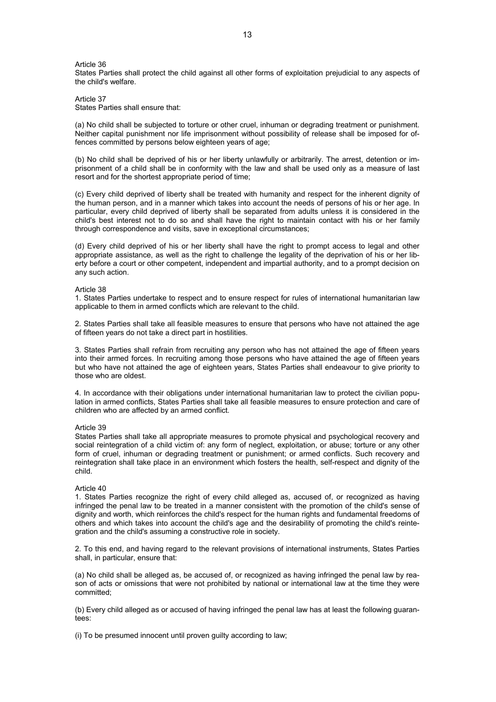#### Article 36

States Parties shall protect the child against all other forms of exploitation prejudicial to any aspects of the child's welfare.

#### Article 37 States Parties shall ensure that:

(a) No child shall be subjected to torture or other cruel, inhuman or degrading treatment or punishment. Neither capital punishment nor life imprisonment without possibility of release shall be imposed for offences committed by persons below eighteen years of age;

(b) No child shall be deprived of his or her liberty unlawfully or arbitrarily. The arrest, detention or imprisonment of a child shall be in conformity with the law and shall be used only as a measure of last resort and for the shortest appropriate period of time;

(c) Every child deprived of liberty shall be treated with humanity and respect for the inherent dignity of the human person, and in a manner which takes into account the needs of persons of his or her age. In particular, every child deprived of liberty shall be separated from adults unless it is considered in the child's best interest not to do so and shall have the right to maintain contact with his or her family through correspondence and visits, save in exceptional circumstances;

(d) Every child deprived of his or her liberty shall have the right to prompt access to legal and other appropriate assistance, as well as the right to challenge the legality of the deprivation of his or her liberty before a court or other competent, independent and impartial authority, and to a prompt decision on any such action.

#### Article 38

1. States Parties undertake to respect and to ensure respect for rules of international humanitarian law applicable to them in armed conflicts which are relevant to the child.

2. States Parties shall take all feasible measures to ensure that persons who have not attained the age of fifteen years do not take a direct part in hostilities.

3. States Parties shall refrain from recruiting any person who has not attained the age of fifteen years into their armed forces. In recruiting among those persons who have attained the age of fifteen years but who have not attained the age of eighteen years, States Parties shall endeavour to give priority to those who are oldest.

4. In accordance with their obligations under international humanitarian law to protect the civilian population in armed conflicts, States Parties shall take all feasible measures to ensure protection and care of children who are affected by an armed conflict.

#### Article 39

States Parties shall take all appropriate measures to promote physical and psychological recovery and social reintegration of a child victim of: any form of neglect, exploitation, or abuse; torture or any other form of cruel, inhuman or degrading treatment or punishment; or armed conflicts. Such recovery and reintegration shall take place in an environment which fosters the health, self-respect and dignity of the child.

### Article 40

1. States Parties recognize the right of every child alleged as, accused of, or recognized as having infringed the penal law to be treated in a manner consistent with the promotion of the child's sense of dignity and worth, which reinforces the child's respect for the human rights and fundamental freedoms of others and which takes into account the child's age and the desirability of promoting the child's reintegration and the child's assuming a constructive role in society.

2. To this end, and having regard to the relevant provisions of international instruments, States Parties shall, in particular, ensure that:

(a) No child shall be alleged as, be accused of, or recognized as having infringed the penal law by reason of acts or omissions that were not prohibited by national or international law at the time they were committed;

(b) Every child alleged as or accused of having infringed the penal law has at least the following guarantees:

(i) To be presumed innocent until proven guilty according to law;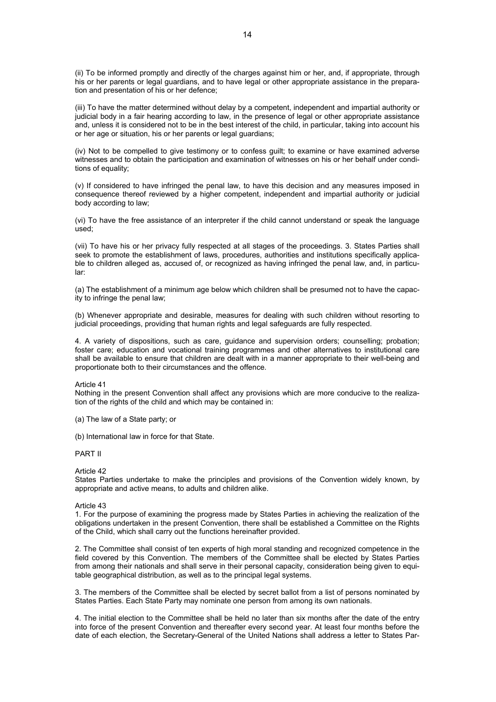(ii) To be informed promptly and directly of the charges against him or her, and, if appropriate, through his or her parents or legal guardians, and to have legal or other appropriate assistance in the preparation and presentation of his or her defence;

(iii) To have the matter determined without delay by a competent, independent and impartial authority or judicial body in a fair hearing according to law, in the presence of legal or other appropriate assistance and, unless it is considered not to be in the best interest of the child, in particular, taking into account his or her age or situation, his or her parents or legal guardians;

(iv) Not to be compelled to give testimony or to confess guilt; to examine or have examined adverse witnesses and to obtain the participation and examination of witnesses on his or her behalf under conditions of equality;

(v) If considered to have infringed the penal law, to have this decision and any measures imposed in consequence thereof reviewed by a higher competent, independent and impartial authority or judicial body according to law;

(vi) To have the free assistance of an interpreter if the child cannot understand or speak the language used;

(vii) To have his or her privacy fully respected at all stages of the proceedings. 3. States Parties shall seek to promote the establishment of laws, procedures, authorities and institutions specifically applicable to children alleged as, accused of, or recognized as having infringed the penal law, and, in particular:

(a) The establishment of a minimum age below which children shall be presumed not to have the capacity to infringe the penal law;

(b) Whenever appropriate and desirable, measures for dealing with such children without resorting to judicial proceedings, providing that human rights and legal safeguards are fully respected.

4. A variety of dispositions, such as care, guidance and supervision orders; counselling; probation; foster care; education and vocational training programmes and other alternatives to institutional care shall be available to ensure that children are dealt with in a manner appropriate to their well-being and proportionate both to their circumstances and the offence.

# Article 41

Nothing in the present Convention shall affect any provisions which are more conducive to the realization of the rights of the child and which may be contained in:

(a) The law of a State party; or

(b) International law in force for that State.

# PART II

# Article 42

States Parties undertake to make the principles and provisions of the Convention widely known, by appropriate and active means, to adults and children alike.

#### Article 43

1. For the purpose of examining the progress made by States Parties in achieving the realization of the obligations undertaken in the present Convention, there shall be established a Committee on the Rights of the Child, which shall carry out the functions hereinafter provided.

2. The Committee shall consist of ten experts of high moral standing and recognized competence in the field covered by this Convention. The members of the Committee shall be elected by States Parties from among their nationals and shall serve in their personal capacity, consideration being given to equitable geographical distribution, as well as to the principal legal systems.

3. The members of the Committee shall be elected by secret ballot from a list of persons nominated by States Parties. Each State Party may nominate one person from among its own nationals.

4. The initial election to the Committee shall be held no later than six months after the date of the entry into force of the present Convention and thereafter every second year. At least four months before the date of each election, the Secretary-General of the United Nations shall address a letter to States Par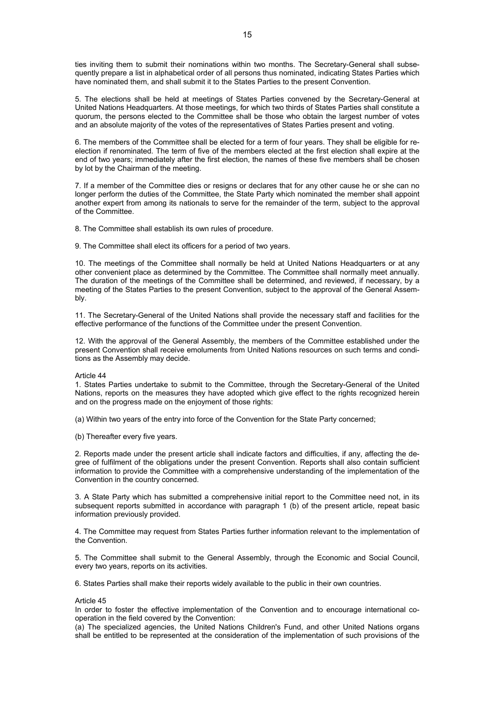ties inviting them to submit their nominations within two months. The Secretary-General shall subsequently prepare a list in alphabetical order of all persons thus nominated, indicating States Parties which have nominated them, and shall submit it to the States Parties to the present Convention.

5. The elections shall be held at meetings of States Parties convened by the Secretary-General at United Nations Headquarters. At those meetings, for which two thirds of States Parties shall constitute a quorum, the persons elected to the Committee shall be those who obtain the largest number of votes and an absolute majority of the votes of the representatives of States Parties present and voting.

6. The members of the Committee shall be elected for a term of four years. They shall be eligible for reelection if renominated. The term of five of the members elected at the first election shall expire at the end of two years; immediately after the first election, the names of these five members shall be chosen by lot by the Chairman of the meeting.

7. If a member of the Committee dies or resigns or declares that for any other cause he or she can no longer perform the duties of the Committee, the State Party which nominated the member shall appoint another expert from among its nationals to serve for the remainder of the term, subject to the approval of the Committee.

8. The Committee shall establish its own rules of procedure.

9. The Committee shall elect its officers for a period of two years.

10. The meetings of the Committee shall normally be held at United Nations Headquarters or at any other convenient place as determined by the Committee. The Committee shall normally meet annually. The duration of the meetings of the Committee shall be determined, and reviewed, if necessary, by a meeting of the States Parties to the present Convention, subject to the approval of the General Assembly.

11. The Secretary-General of the United Nations shall provide the necessary staff and facilities for the effective performance of the functions of the Committee under the present Convention.

12. With the approval of the General Assembly, the members of the Committee established under the present Convention shall receive emoluments from United Nations resources on such terms and conditions as the Assembly may decide.

#### Article 44

1. States Parties undertake to submit to the Committee, through the Secretary-General of the United Nations, reports on the measures they have adopted which give effect to the rights recognized herein and on the progress made on the enjoyment of those rights:

(a) Within two years of the entry into force of the Convention for the State Party concerned;

(b) Thereafter every five years.

2. Reports made under the present article shall indicate factors and difficulties, if any, affecting the degree of fulfilment of the obligations under the present Convention. Reports shall also contain sufficient information to provide the Committee with a comprehensive understanding of the implementation of the Convention in the country concerned.

3. A State Party which has submitted a comprehensive initial report to the Committee need not, in its subsequent reports submitted in accordance with paragraph 1 (b) of the present article, repeat basic information previously provided.

4. The Committee may request from States Parties further information relevant to the implementation of the Convention.

5. The Committee shall submit to the General Assembly, through the Economic and Social Council, every two years, reports on its activities.

6. States Parties shall make their reports widely available to the public in their own countries.

# Article 45

In order to foster the effective implementation of the Convention and to encourage international cooperation in the field covered by the Convention:

(a) The specialized agencies, the United Nations Children's Fund, and other United Nations organs shall be entitled to be represented at the consideration of the implementation of such provisions of the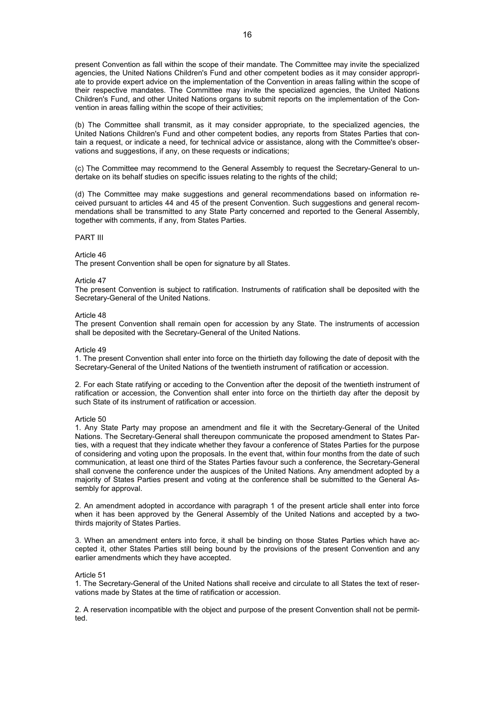present Convention as fall within the scope of their mandate. The Committee may invite the specialized agencies, the United Nations Children's Fund and other competent bodies as it may consider appropriate to provide expert advice on the implementation of the Convention in areas falling within the scope of their respective mandates. The Committee may invite the specialized agencies, the United Nations Children's Fund, and other United Nations organs to submit reports on the implementation of the Convention in areas falling within the scope of their activities;

(b) The Committee shall transmit, as it may consider appropriate, to the specialized agencies, the United Nations Children's Fund and other competent bodies, any reports from States Parties that contain a request, or indicate a need, for technical advice or assistance, along with the Committee's observations and suggestions, if any, on these requests or indications;

(c) The Committee may recommend to the General Assembly to request the Secretary-General to undertake on its behalf studies on specific issues relating to the rights of the child;

(d) The Committee may make suggestions and general recommendations based on information received pursuant to articles 44 and 45 of the present Convention. Such suggestions and general recommendations shall be transmitted to any State Party concerned and reported to the General Assembly, together with comments, if any, from States Parties.

# PART III

# Article 46

The present Convention shall be open for signature by all States.

#### Article 47

The present Convention is subject to ratification. Instruments of ratification shall be deposited with the Secretary-General of the United Nations.

#### Article 48

The present Convention shall remain open for accession by any State. The instruments of accession shall be deposited with the Secretary-General of the United Nations.

#### Article 49

1. The present Convention shall enter into force on the thirtieth day following the date of deposit with the Secretary-General of the United Nations of the twentieth instrument of ratification or accession.

2. For each State ratifying or acceding to the Convention after the deposit of the twentieth instrument of ratification or accession, the Convention shall enter into force on the thirtieth day after the deposit by such State of its instrument of ratification or accession.

## Article 50

1. Any State Party may propose an amendment and file it with the Secretary-General of the United Nations. The Secretary-General shall thereupon communicate the proposed amendment to States Parties, with a request that they indicate whether they favour a conference of States Parties for the purpose of considering and voting upon the proposals. In the event that, within four months from the date of such communication, at least one third of the States Parties favour such a conference, the Secretary-General shall convene the conference under the auspices of the United Nations. Any amendment adopted by a majority of States Parties present and voting at the conference shall be submitted to the General Assembly for approval.

2. An amendment adopted in accordance with paragraph 1 of the present article shall enter into force when it has been approved by the General Assembly of the United Nations and accepted by a twothirds majority of States Parties.

3. When an amendment enters into force, it shall be binding on those States Parties which have accepted it, other States Parties still being bound by the provisions of the present Convention and any earlier amendments which they have accepted.

#### Article 51

1. The Secretary-General of the United Nations shall receive and circulate to all States the text of reservations made by States at the time of ratification or accession.

2. A reservation incompatible with the object and purpose of the present Convention shall not be permitted.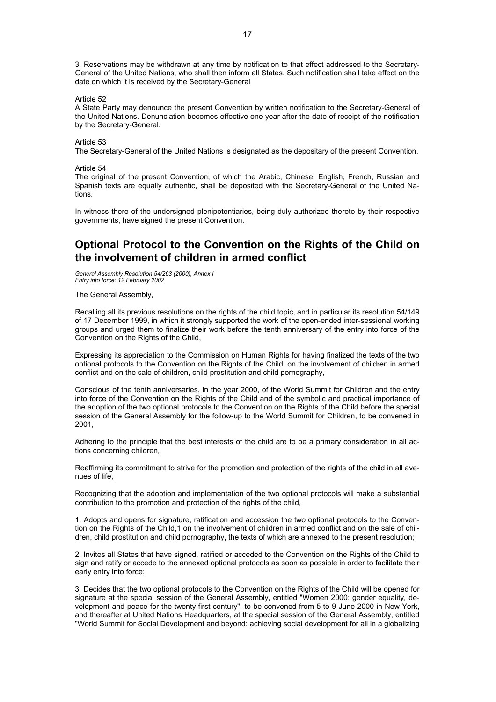3. Reservations may be withdrawn at any time by notification to that effect addressed to the Secretary-General of the United Nations, who shall then inform all States. Such notification shall take effect on the date on which it is received by the Secretary-General

#### Article 52

A State Party may denounce the present Convention by written notification to the Secretary-General of the United Nations. Denunciation becomes effective one year after the date of receipt of the notification by the Secretary-General.

#### Article 53

The Secretary-General of the United Nations is designated as the depositary of the present Convention.

#### Article 54

The original of the present Convention, of which the Arabic, Chinese, English, French, Russian and Spanish texts are equally authentic, shall be deposited with the Secretary-General of the United Nations.

In witness there of the undersigned plenipotentiaries, being duly authorized thereto by their respective governments, have signed the present Convention.

# **Optional Protocol to the Convention on the Rights of the Child on the involvement of children in armed conflict**

*General Assembly Resolution 54/263 (2000), Annex I Entry into force: 12 February 2002* 

# The General Assembly,

Recalling all its previous resolutions on the rights of the child topic, and in particular its resolution 54/149 of 17 December 1999, in which it strongly supported the work of the open-ended inter-sessional working groups and urged them to finalize their work before the tenth anniversary of the entry into force of the Convention on the Rights of the Child,

Expressing its appreciation to the Commission on Human Rights for having finalized the texts of the two optional protocols to the Convention on the Rights of the Child, on the involvement of children in armed conflict and on the sale of children, child prostitution and child pornography,

Conscious of the tenth anniversaries, in the year 2000, of the World Summit for Children and the entry into force of the Convention on the Rights of the Child and of the symbolic and practical importance of the adoption of the two optional protocols to the Convention on the Rights of the Child before the special session of the General Assembly for the follow-up to the World Summit for Children, to be convened in 2001,

Adhering to the principle that the best interests of the child are to be a primary consideration in all actions concerning children,

Reaffirming its commitment to strive for the promotion and protection of the rights of the child in all avenues of life,

Recognizing that the adoption and implementation of the two optional protocols will make a substantial contribution to the promotion and protection of the rights of the child,

1. Adopts and opens for signature, ratification and accession the two optional protocols to the Convention on the Rights of the Child,1 on the involvement of children in armed conflict and on the sale of children, child prostitution and child pornography, the texts of which are annexed to the present resolution;

2. Invites all States that have signed, ratified or acceded to the Convention on the Rights of the Child to sign and ratify or accede to the annexed optional protocols as soon as possible in order to facilitate their early entry into force;

3. Decides that the two optional protocols to the Convention on the Rights of the Child will be opened for signature at the special session of the General Assembly, entitled "Women 2000: gender equality, development and peace for the twenty-first century", to be convened from 5 to 9 June 2000 in New York, and thereafter at United Nations Headquarters, at the special session of the General Assembly, entitled "World Summit for Social Development and beyond: achieving social development for all in a globalizing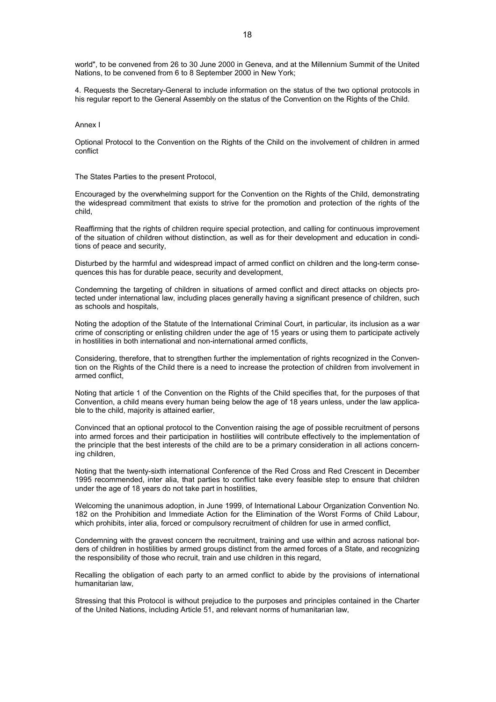world", to be convened from 26 to 30 June 2000 in Geneva, and at the Millennium Summit of the United Nations, to be convened from 6 to 8 September 2000 in New York;

4. Requests the Secretary-General to include information on the status of the two optional protocols in his regular report to the General Assembly on the status of the Convention on the Rights of the Child.

# Annex I

Optional Protocol to the Convention on the Rights of the Child on the involvement of children in armed conflict

The States Parties to the present Protocol,

Encouraged by the overwhelming support for the Convention on the Rights of the Child, demonstrating the widespread commitment that exists to strive for the promotion and protection of the rights of the child,

Reaffirming that the rights of children require special protection, and calling for continuous improvement of the situation of children without distinction, as well as for their development and education in conditions of peace and security,

Disturbed by the harmful and widespread impact of armed conflict on children and the long-term consequences this has for durable peace, security and development,

Condemning the targeting of children in situations of armed conflict and direct attacks on objects protected under international law, including places generally having a significant presence of children, such as schools and hospitals,

Noting the adoption of the Statute of the International Criminal Court, in particular, its inclusion as a war crime of conscripting or enlisting children under the age of 15 years or using them to participate actively in hostilities in both international and non-international armed conflicts,

Considering, therefore, that to strengthen further the implementation of rights recognized in the Convention on the Rights of the Child there is a need to increase the protection of children from involvement in armed conflict,

Noting that article 1 of the Convention on the Rights of the Child specifies that, for the purposes of that Convention, a child means every human being below the age of 18 years unless, under the law applicable to the child, majority is attained earlier,

Convinced that an optional protocol to the Convention raising the age of possible recruitment of persons into armed forces and their participation in hostilities will contribute effectively to the implementation of the principle that the best interests of the child are to be a primary consideration in all actions concerning children,

Noting that the twenty-sixth international Conference of the Red Cross and Red Crescent in December 1995 recommended, inter alia, that parties to conflict take every feasible step to ensure that children under the age of 18 years do not take part in hostilities,

Welcoming the unanimous adoption, in June 1999, of International Labour Organization Convention No. 182 on the Prohibition and Immediate Action for the Elimination of the Worst Forms of Child Labour, which prohibits, inter alia, forced or compulsory recruitment of children for use in armed conflict,

Condemning with the gravest concern the recruitment, training and use within and across national borders of children in hostilities by armed groups distinct from the armed forces of a State, and recognizing the responsibility of those who recruit, train and use children in this regard,

Recalling the obligation of each party to an armed conflict to abide by the provisions of international humanitarian law,

Stressing that this Protocol is without prejudice to the purposes and principles contained in the Charter of the United Nations, including Article 51, and relevant norms of humanitarian law,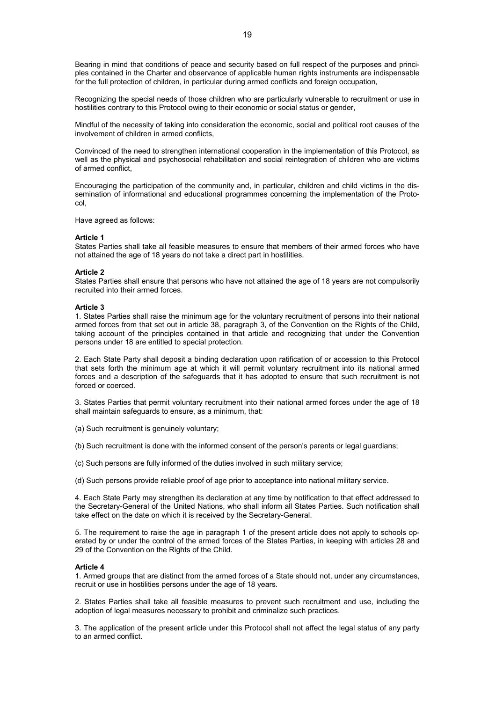Bearing in mind that conditions of peace and security based on full respect of the purposes and principles contained in the Charter and observance of applicable human rights instruments are indispensable for the full protection of children, in particular during armed conflicts and foreign occupation,

Recognizing the special needs of those children who are particularly vulnerable to recruitment or use in hostilities contrary to this Protocol owing to their economic or social status or gender,

Mindful of the necessity of taking into consideration the economic, social and political root causes of the involvement of children in armed conflicts,

Convinced of the need to strengthen international cooperation in the implementation of this Protocol, as well as the physical and psychosocial rehabilitation and social reintegration of children who are victims of armed conflict,

Encouraging the participation of the community and, in particular, children and child victims in the dissemination of informational and educational programmes concerning the implementation of the Protocol,

Have agreed as follows:

#### **Article 1**

States Parties shall take all feasible measures to ensure that members of their armed forces who have not attained the age of 18 years do not take a direct part in hostilities.

# **Article 2**

States Parties shall ensure that persons who have not attained the age of 18 years are not compulsorily recruited into their armed forces.

# **Article 3**

1. States Parties shall raise the minimum age for the voluntary recruitment of persons into their national armed forces from that set out in article 38, paragraph 3, of the Convention on the Rights of the Child, taking account of the principles contained in that article and recognizing that under the Convention persons under 18 are entitled to special protection.

2. Each State Party shall deposit a binding declaration upon ratification of or accession to this Protocol that sets forth the minimum age at which it will permit voluntary recruitment into its national armed forces and a description of the safeguards that it has adopted to ensure that such recruitment is not forced or coerced.

3. States Parties that permit voluntary recruitment into their national armed forces under the age of 18 shall maintain safeguards to ensure, as a minimum, that:

(a) Such recruitment is genuinely voluntary;

(b) Such recruitment is done with the informed consent of the person's parents or legal guardians;

(c) Such persons are fully informed of the duties involved in such military service;

(d) Such persons provide reliable proof of age prior to acceptance into national military service.

4. Each State Party may strengthen its declaration at any time by notification to that effect addressed to the Secretary-General of the United Nations, who shall inform all States Parties. Such notification shall take effect on the date on which it is received by the Secretary-General.

5. The requirement to raise the age in paragraph 1 of the present article does not apply to schools operated by or under the control of the armed forces of the States Parties, in keeping with articles 28 and 29 of the Convention on the Rights of the Child.

# **Article 4**

1. Armed groups that are distinct from the armed forces of a State should not, under any circumstances, recruit or use in hostilities persons under the age of 18 years.

2. States Parties shall take all feasible measures to prevent such recruitment and use, including the adoption of legal measures necessary to prohibit and criminalize such practices.

3. The application of the present article under this Protocol shall not affect the legal status of any party to an armed conflict.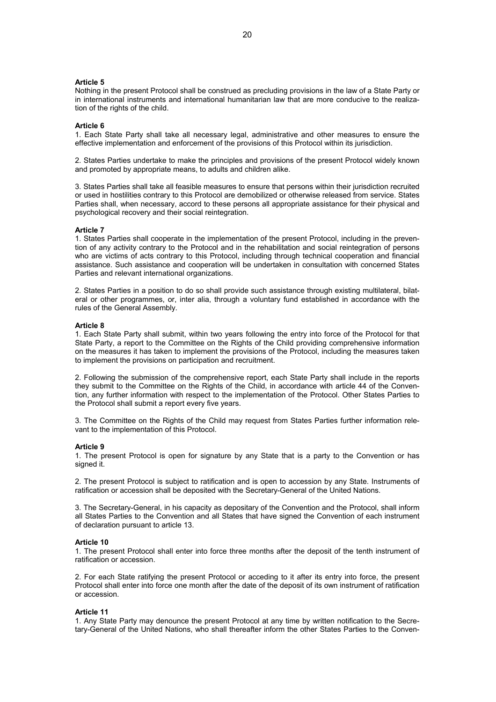# **Article 5**

Nothing in the present Protocol shall be construed as precluding provisions in the law of a State Party or in international instruments and international humanitarian law that are more conducive to the realization of the rights of the child.

### **Article 6**

1. Each State Party shall take all necessary legal, administrative and other measures to ensure the effective implementation and enforcement of the provisions of this Protocol within its jurisdiction.

2. States Parties undertake to make the principles and provisions of the present Protocol widely known and promoted by appropriate means, to adults and children alike.

3. States Parties shall take all feasible measures to ensure that persons within their jurisdiction recruited or used in hostilities contrary to this Protocol are demobilized or otherwise released from service. States Parties shall, when necessary, accord to these persons all appropriate assistance for their physical and psychological recovery and their social reintegration.

# **Article 7**

1. States Parties shall cooperate in the implementation of the present Protocol, including in the prevention of any activity contrary to the Protocol and in the rehabilitation and social reintegration of persons who are victims of acts contrary to this Protocol, including through technical cooperation and financial assistance. Such assistance and cooperation will be undertaken in consultation with concerned States Parties and relevant international organizations.

2. States Parties in a position to do so shall provide such assistance through existing multilateral, bilateral or other programmes, or, inter alia, through a voluntary fund established in accordance with the rules of the General Assembly.

# **Article 8**

1. Each State Party shall submit, within two years following the entry into force of the Protocol for that State Party, a report to the Committee on the Rights of the Child providing comprehensive information on the measures it has taken to implement the provisions of the Protocol, including the measures taken to implement the provisions on participation and recruitment.

2. Following the submission of the comprehensive report, each State Party shall include in the reports they submit to the Committee on the Rights of the Child, in accordance with article 44 of the Convention, any further information with respect to the implementation of the Protocol. Other States Parties to the Protocol shall submit a report every five years.

3. The Committee on the Rights of the Child may request from States Parties further information relevant to the implementation of this Protocol.

#### **Article 9**

1. The present Protocol is open for signature by any State that is a party to the Convention or has signed it.

2. The present Protocol is subject to ratification and is open to accession by any State. Instruments of ratification or accession shall be deposited with the Secretary-General of the United Nations.

3. The Secretary-General, in his capacity as depositary of the Convention and the Protocol, shall inform all States Parties to the Convention and all States that have signed the Convention of each instrument of declaration pursuant to article 13.

#### **Article 10**

1. The present Protocol shall enter into force three months after the deposit of the tenth instrument of ratification or accession.

2. For each State ratifying the present Protocol or acceding to it after its entry into force, the present Protocol shall enter into force one month after the date of the deposit of its own instrument of ratification or accession.

#### **Article 11**

1. Any State Party may denounce the present Protocol at any time by written notification to the Secretary-General of the United Nations, who shall thereafter inform the other States Parties to the Conven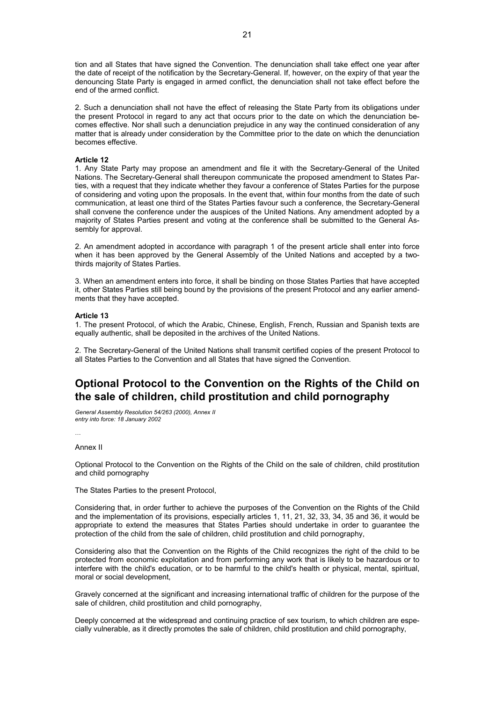tion and all States that have signed the Convention. The denunciation shall take effect one year after the date of receipt of the notification by the Secretary-General. If, however, on the expiry of that year the denouncing State Party is engaged in armed conflict, the denunciation shall not take effect before the end of the armed conflict.

2. Such a denunciation shall not have the effect of releasing the State Party from its obligations under the present Protocol in regard to any act that occurs prior to the date on which the denunciation becomes effective. Nor shall such a denunciation prejudice in any way the continued consideration of any matter that is already under consideration by the Committee prior to the date on which the denunciation becomes effective.

# **Article 12**

1. Any State Party may propose an amendment and file it with the Secretary-General of the United Nations. The Secretary-General shall thereupon communicate the proposed amendment to States Parties, with a request that they indicate whether they favour a conference of States Parties for the purpose of considering and voting upon the proposals. In the event that, within four months from the date of such communication, at least one third of the States Parties favour such a conference, the Secretary-General shall convene the conference under the auspices of the United Nations. Any amendment adopted by a majority of States Parties present and voting at the conference shall be submitted to the General Assembly for approval.

2. An amendment adopted in accordance with paragraph 1 of the present article shall enter into force when it has been approved by the General Assembly of the United Nations and accepted by a twothirds majority of States Parties.

3. When an amendment enters into force, it shall be binding on those States Parties that have accepted it, other States Parties still being bound by the provisions of the present Protocol and any earlier amendments that they have accepted.

### **Article 13**

1. The present Protocol, of which the Arabic, Chinese, English, French, Russian and Spanish texts are equally authentic, shall be deposited in the archives of the United Nations.

2. The Secretary-General of the United Nations shall transmit certified copies of the present Protocol to all States Parties to the Convention and all States that have signed the Convention.

# **Optional Protocol to the Convention on the Rights of the Child on the sale of children, child prostitution and child pornography**

*General Assembly Resolution 54/263 (2000), Annex II entry into force: 18 January 2002* 

…

### Annex II

Optional Protocol to the Convention on the Rights of the Child on the sale of children, child prostitution and child pornography

The States Parties to the present Protocol,

Considering that, in order further to achieve the purposes of the Convention on the Rights of the Child and the implementation of its provisions, especially articles 1, 11, 21, 32, 33, 34, 35 and 36, it would be appropriate to extend the measures that States Parties should undertake in order to guarantee the protection of the child from the sale of children, child prostitution and child pornography,

Considering also that the Convention on the Rights of the Child recognizes the right of the child to be protected from economic exploitation and from performing any work that is likely to be hazardous or to interfere with the child's education, or to be harmful to the child's health or physical, mental, spiritual, moral or social development,

Gravely concerned at the significant and increasing international traffic of children for the purpose of the sale of children, child prostitution and child pornography,

Deeply concerned at the widespread and continuing practice of sex tourism, to which children are especially vulnerable, as it directly promotes the sale of children, child prostitution and child pornography,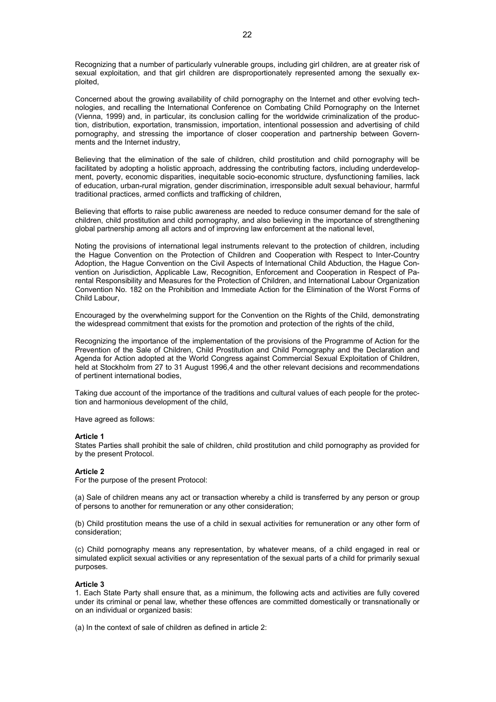Recognizing that a number of particularly vulnerable groups, including girl children, are at greater risk of sexual exploitation, and that girl children are disproportionately represented among the sexually exploited,

Concerned about the growing availability of child pornography on the Internet and other evolving technologies, and recalling the International Conference on Combating Child Pornography on the Internet (Vienna, 1999) and, in particular, its conclusion calling for the worldwide criminalization of the production, distribution, exportation, transmission, importation, intentional possession and advertising of child pornography, and stressing the importance of closer cooperation and partnership between Governments and the Internet industry,

Believing that the elimination of the sale of children, child prostitution and child pornography will be facilitated by adopting a holistic approach, addressing the contributing factors, including underdevelopment, poverty, economic disparities, inequitable socio-economic structure, dysfunctioning families, lack of education, urban-rural migration, gender discrimination, irresponsible adult sexual behaviour, harmful traditional practices, armed conflicts and trafficking of children,

Believing that efforts to raise public awareness are needed to reduce consumer demand for the sale of children, child prostitution and child pornography, and also believing in the importance of strengthening global partnership among all actors and of improving law enforcement at the national level,

Noting the provisions of international legal instruments relevant to the protection of children, including the Hague Convention on the Protection of Children and Cooperation with Respect to Inter-Country Adoption, the Hague Convention on the Civil Aspects of International Child Abduction, the Hague Convention on Jurisdiction, Applicable Law, Recognition, Enforcement and Cooperation in Respect of Parental Responsibility and Measures for the Protection of Children, and International Labour Organization Convention No. 182 on the Prohibition and Immediate Action for the Elimination of the Worst Forms of Child Labour,

Encouraged by the overwhelming support for the Convention on the Rights of the Child, demonstrating the widespread commitment that exists for the promotion and protection of the rights of the child,

Recognizing the importance of the implementation of the provisions of the Programme of Action for the Prevention of the Sale of Children, Child Prostitution and Child Pornography and the Declaration and Agenda for Action adopted at the World Congress against Commercial Sexual Exploitation of Children, held at Stockholm from 27 to 31 August 1996,4 and the other relevant decisions and recommendations of pertinent international bodies,

Taking due account of the importance of the traditions and cultural values of each people for the protection and harmonious development of the child,

Have agreed as follows:

#### **Article 1**

States Parties shall prohibit the sale of children, child prostitution and child pornography as provided for by the present Protocol.

# **Article 2**

For the purpose of the present Protocol:

(a) Sale of children means any act or transaction whereby a child is transferred by any person or group of persons to another for remuneration or any other consideration;

(b) Child prostitution means the use of a child in sexual activities for remuneration or any other form of consideration;

(c) Child pornography means any representation, by whatever means, of a child engaged in real or simulated explicit sexual activities or any representation of the sexual parts of a child for primarily sexual purposes.

#### **Article 3**

1. Each State Party shall ensure that, as a minimum, the following acts and activities are fully covered under its criminal or penal law, whether these offences are committed domestically or transnationally or on an individual or organized basis:

(a) In the context of sale of children as defined in article 2: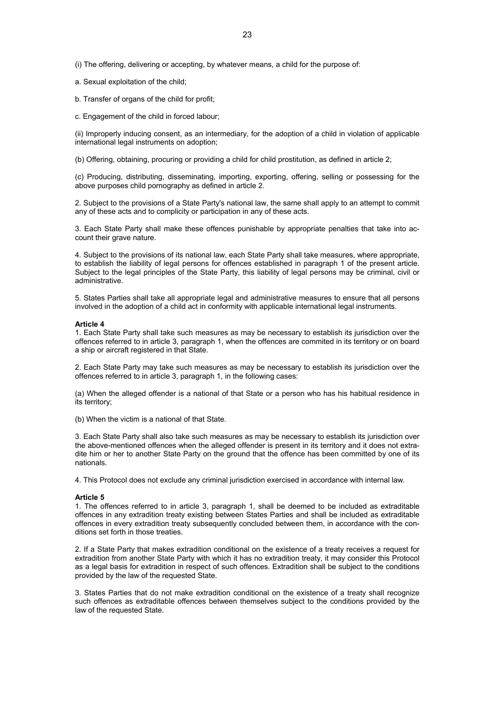(i) The offering, delivering or accepting, by whatever means, a child for the purpose of:

- a. Sexual exploitation of the child;
- b. Transfer of organs of the child for profit;

c. Engagement of the child in forced labour;

(ii) Improperly inducing consent, as an intermediary, for the adoption of a child in violation of applicable international legal instruments on adoption;

(b) Offering, obtaining, procuring or providing a child for child prostitution, as defined in article 2;

(c) Producing, distributing, disseminating, importing, exporting, offering, selling or possessing for the above purposes child pornography as defined in article 2.

2. Subject to the provisions of a State Party's national law, the same shall apply to an attempt to commit any of these acts and to complicity or participation in any of these acts.

3. Each State Party shall make these offences punishable by appropriate penalties that take into account their grave nature.

4. Subject to the provisions of its national law, each State Party shall take measures, where appropriate, to establish the liability of legal persons for offences established in paragraph 1 of the present article. Subject to the legal principles of the State Party, this liability of legal persons may be criminal, civil or administrative.

5. States Parties shall take all appropriate legal and administrative measures to ensure that all persons involved in the adoption of a child act in conformity with applicable international legal instruments.

### **Article 4**

1. Each State Party shall take such measures as may be necessary to establish its jurisdiction over the offences referred to in article 3, paragraph 1, when the offences are commited in its territory or on board a ship or aircraft registered in that State.

2. Each State Party may take such measures as may be necessary to establish its jurisdiction over the offences referred to in article 3, paragraph 1, in the following cases:

(a) When the alleged offender is a national of that State or a person who has his habitual residence in its territory;

(b) When the victim is a national of that State.

3. Each State Party shall also take such measures as may be necessary to establish its jurisdiction over the above-mentioned offences when the alleged offender is present in its territory and it does not extradite him or her to another State Party on the ground that the offence has been committed by one of its nationals.

4. This Protocol does not exclude any criminal jurisdiction exercised in accordance with internal law.

### **Article 5**

1. The offences referred to in article 3, paragraph 1, shall be deemed to be included as extraditable offences in any extradition treaty existing between States Parties and shall be included as extraditable offences in every extradition treaty subsequently concluded between them, in accordance with the conditions set forth in those treaties.

2. If a State Party that makes extradition conditional on the existence of a treaty receives a request for extradition from another State Party with which it has no extradition treaty, it may consider this Protocol as a legal basis for extradition in respect of such offences. Extradition shall be subject to the conditions provided by the law of the requested State.

3. States Parties that do not make extradition conditional on the existence of a treaty shall recognize such offences as extraditable offences between themselves subject to the conditions provided by the law of the requested State.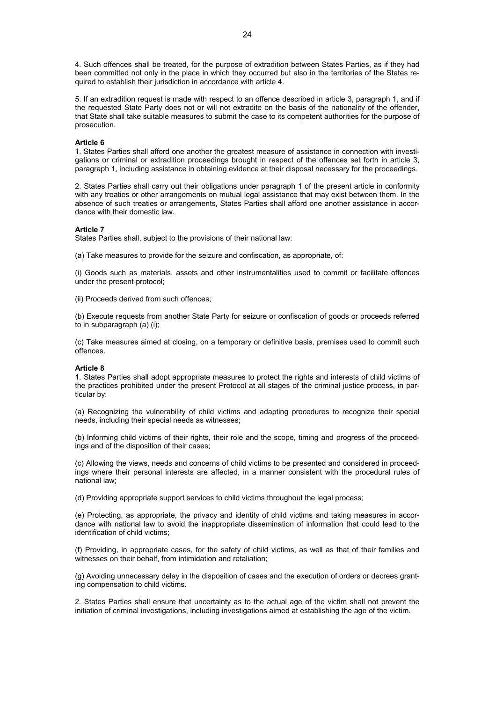4. Such offences shall be treated, for the purpose of extradition between States Parties, as if they had been committed not only in the place in which they occurred but also in the territories of the States required to establish their jurisdiction in accordance with article 4.

5. If an extradition request is made with respect to an offence described in article 3, paragraph 1, and if the requested State Party does not or will not extradite on the basis of the nationality of the offender, that State shall take suitable measures to submit the case to its competent authorities for the purpose of prosecution.

# **Article 6**

1. States Parties shall afford one another the greatest measure of assistance in connection with investigations or criminal or extradition proceedings brought in respect of the offences set forth in article 3, paragraph 1, including assistance in obtaining evidence at their disposal necessary for the proceedings.

2. States Parties shall carry out their obligations under paragraph 1 of the present article in conformity with any treaties or other arrangements on mutual legal assistance that may exist between them. In the absence of such treaties or arrangements, States Parties shall afford one another assistance in accordance with their domestic law.

#### **Article 7**

States Parties shall, subject to the provisions of their national law:

(a) Take measures to provide for the seizure and confiscation, as appropriate, of:

(i) Goods such as materials, assets and other instrumentalities used to commit or facilitate offences under the present protocol;

(ii) Proceeds derived from such offences;

(b) Execute requests from another State Party for seizure or confiscation of goods or proceeds referred to in subparagraph (a) (i);

(c) Take measures aimed at closing, on a temporary or definitive basis, premises used to commit such offences.

#### **Article 8**

1. States Parties shall adopt appropriate measures to protect the rights and interests of child victims of the practices prohibited under the present Protocol at all stages of the criminal justice process, in particular by:

(a) Recognizing the vulnerability of child victims and adapting procedures to recognize their special needs, including their special needs as witnesses;

(b) Informing child victims of their rights, their role and the scope, timing and progress of the proceedings and of the disposition of their cases;

(c) Allowing the views, needs and concerns of child victims to be presented and considered in proceedings where their personal interests are affected, in a manner consistent with the procedural rules of national law;

(d) Providing appropriate support services to child victims throughout the legal process;

(e) Protecting, as appropriate, the privacy and identity of child victims and taking measures in accordance with national law to avoid the inappropriate dissemination of information that could lead to the identification of child victims;

(f) Providing, in appropriate cases, for the safety of child victims, as well as that of their families and witnesses on their behalf, from intimidation and retaliation;

(g) Avoiding unnecessary delay in the disposition of cases and the execution of orders or decrees granting compensation to child victims.

2. States Parties shall ensure that uncertainty as to the actual age of the victim shall not prevent the initiation of criminal investigations, including investigations aimed at establishing the age of the victim.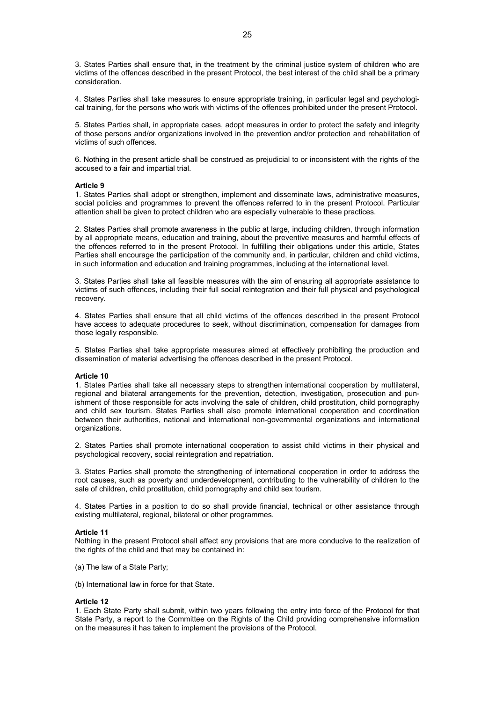3. States Parties shall ensure that, in the treatment by the criminal justice system of children who are victims of the offences described in the present Protocol, the best interest of the child shall be a primary consideration.

4. States Parties shall take measures to ensure appropriate training, in particular legal and psychological training, for the persons who work with victims of the offences prohibited under the present Protocol.

5. States Parties shall, in appropriate cases, adopt measures in order to protect the safety and integrity of those persons and/or organizations involved in the prevention and/or protection and rehabilitation of victims of such offences.

6. Nothing in the present article shall be construed as prejudicial to or inconsistent with the rights of the accused to a fair and impartial trial.

# **Article 9**

1. States Parties shall adopt or strengthen, implement and disseminate laws, administrative measures, social policies and programmes to prevent the offences referred to in the present Protocol. Particular attention shall be given to protect children who are especially vulnerable to these practices.

2. States Parties shall promote awareness in the public at large, including children, through information by all appropriate means, education and training, about the preventive measures and harmful effects of the offences referred to in the present Protocol. In fulfilling their obligations under this article, States Parties shall encourage the participation of the community and, in particular, children and child victims, in such information and education and training programmes, including at the international level.

3. States Parties shall take all feasible measures with the aim of ensuring all appropriate assistance to victims of such offences, including their full social reintegration and their full physical and psychological recovery.

4. States Parties shall ensure that all child victims of the offences described in the present Protocol have access to adequate procedures to seek, without discrimination, compensation for damages from those legally responsible.

5. States Parties shall take appropriate measures aimed at effectively prohibiting the production and dissemination of material advertising the offences described in the present Protocol.

#### **Article 10**

1. States Parties shall take all necessary steps to strengthen international cooperation by multilateral, regional and bilateral arrangements for the prevention, detection, investigation, prosecution and punishment of those responsible for acts involving the sale of children, child prostitution, child pornography and child sex tourism. States Parties shall also promote international cooperation and coordination between their authorities, national and international non-governmental organizations and international organizations.

2. States Parties shall promote international cooperation to assist child victims in their physical and psychological recovery, social reintegration and repatriation.

3. States Parties shall promote the strengthening of international cooperation in order to address the root causes, such as poverty and underdevelopment, contributing to the vulnerability of children to the sale of children, child prostitution, child pornography and child sex tourism.

4. States Parties in a position to do so shall provide financial, technical or other assistance through existing multilateral, regional, bilateral or other programmes.

# **Article 11**

Nothing in the present Protocol shall affect any provisions that are more conducive to the realization of the rights of the child and that may be contained in:

(a) The law of a State Party;

(b) International law in force for that State.

# **Article 12**

1. Each State Party shall submit, within two years following the entry into force of the Protocol for that State Party, a report to the Committee on the Rights of the Child providing comprehensive information on the measures it has taken to implement the provisions of the Protocol.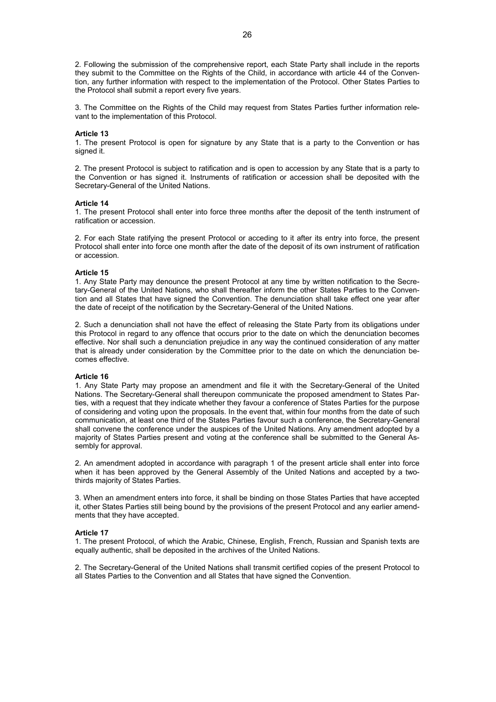2. Following the submission of the comprehensive report, each State Party shall include in the reports they submit to the Committee on the Rights of the Child, in accordance with article 44 of the Convention, any further information with respect to the implementation of the Protocol. Other States Parties to the Protocol shall submit a report every five years.

3. The Committee on the Rights of the Child may request from States Parties further information relevant to the implementation of this Protocol.

#### **Article 13**

1. The present Protocol is open for signature by any State that is a party to the Convention or has signed it.

2. The present Protocol is subject to ratification and is open to accession by any State that is a party to the Convention or has signed it. Instruments of ratification or accession shall be deposited with the Secretary-General of the United Nations.

#### **Article 14**

1. The present Protocol shall enter into force three months after the deposit of the tenth instrument of ratification or accession.

2. For each State ratifying the present Protocol or acceding to it after its entry into force, the present Protocol shall enter into force one month after the date of the deposit of its own instrument of ratification or accession.

#### **Article 15**

1. Any State Party may denounce the present Protocol at any time by written notification to the Secretary-General of the United Nations, who shall thereafter inform the other States Parties to the Convention and all States that have signed the Convention. The denunciation shall take effect one year after the date of receipt of the notification by the Secretary-General of the United Nations.

2. Such a denunciation shall not have the effect of releasing the State Party from its obligations under this Protocol in regard to any offence that occurs prior to the date on which the denunciation becomes effective. Nor shall such a denunciation prejudice in any way the continued consideration of any matter that is already under consideration by the Committee prior to the date on which the denunciation becomes effective.

## **Article 16**

1. Any State Party may propose an amendment and file it with the Secretary-General of the United Nations. The Secretary-General shall thereupon communicate the proposed amendment to States Parties, with a request that they indicate whether they favour a conference of States Parties for the purpose of considering and voting upon the proposals. In the event that, within four months from the date of such communication, at least one third of the States Parties favour such a conference, the Secretary-General shall convene the conference under the auspices of the United Nations. Any amendment adopted by a majority of States Parties present and voting at the conference shall be submitted to the General Assembly for approval.

2. An amendment adopted in accordance with paragraph 1 of the present article shall enter into force when it has been approved by the General Assembly of the United Nations and accepted by a twothirds majority of States Parties.

3. When an amendment enters into force, it shall be binding on those States Parties that have accepted it, other States Parties still being bound by the provisions of the present Protocol and any earlier amendments that they have accepted.

#### **Article 17**

1. The present Protocol, of which the Arabic, Chinese, English, French, Russian and Spanish texts are equally authentic, shall be deposited in the archives of the United Nations.

2. The Secretary-General of the United Nations shall transmit certified copies of the present Protocol to all States Parties to the Convention and all States that have signed the Convention.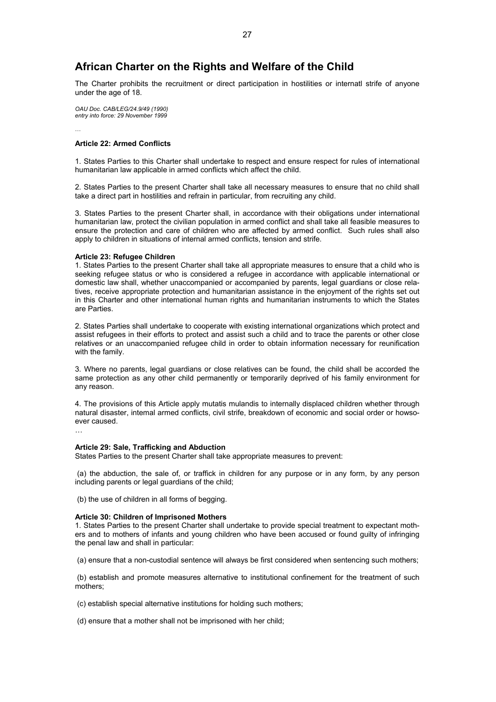# **African Charter on the Rights and Welfare of the Child**

The Charter prohibits the recruitment or direct participation in hostilities or internatl strife of anyone under the age of 18.

*OAU Doc. CAB/LEG/24.9/49 (1990) entry into force: 29 November 1999* 

…

# **Article 22: Armed Conflicts**

1. States Parties to this Charter shall undertake to respect and ensure respect for rules of international humanitarian law applicable in armed conflicts which affect the child.

2. States Parties to the present Charter shall take all necessary measures to ensure that no child shall take a direct part in hostilities and refrain in particular, from recruiting any child.

3. States Parties to the present Charter shall, in accordance with their obligations under international humanitarian law, protect the civilian population in armed conflict and shall take all feasible measures to ensure the protection and care of children who are affected by armed conflict. Such rules shall also apply to children in situations of internal armed conflicts, tension and strife.

### **Article 23: Refugee Children**

1. States Parties to the present Charter shall take all appropriate measures to ensure that a child who is seeking refugee status or who is considered a refugee in accordance with applicable international or domestic law shall, whether unaccompanied or accompanied by parents, legal guardians or close relatives, receive appropriate protection and humanitarian assistance in the enjoyment of the rights set out in this Charter and other international human rights and humanitarian instruments to which the States are Parties.

2. States Parties shall undertake to cooperate with existing international organizations which protect and assist refugees in their efforts to protect and assist such a child and to trace the parents or other close relatives or an unaccompanied refugee child in order to obtain information necessary for reunification with the family.

3. Where no parents, legal guardians or close relatives can be found, the child shall be accorded the same protection as any other child permanently or temporarily deprived of his family environment for any reason.

4. The provisions of this Article apply mutatis mulandis to internally displaced children whether through natural disaster, intemal armed conflicts, civil strife, breakdown of economic and social order or howsoever caused.

…

### **Article 29: Sale, Trafficking and Abduction**

States Parties to the present Charter shall take appropriate measures to prevent:

 (a) the abduction, the sale of, or traffick in children for any purpose or in any form, by any person including parents or legal guardians of the child;

(b) the use of children in all forms of begging.

### **Article 30: Children of Imprisoned Mothers**

1. States Parties to the present Charter shall undertake to provide special treatment to expectant mothers and to mothers of infants and young children who have been accused or found guilty of infringing the penal law and shall in particular:

(a) ensure that a non-custodial sentence will always be first considered when sentencing such mothers;

 (b) establish and promote measures alternative to institutional confinement for the treatment of such mothers;

(c) establish special alternative institutions for holding such mothers;

(d) ensure that a mother shall not be imprisoned with her child;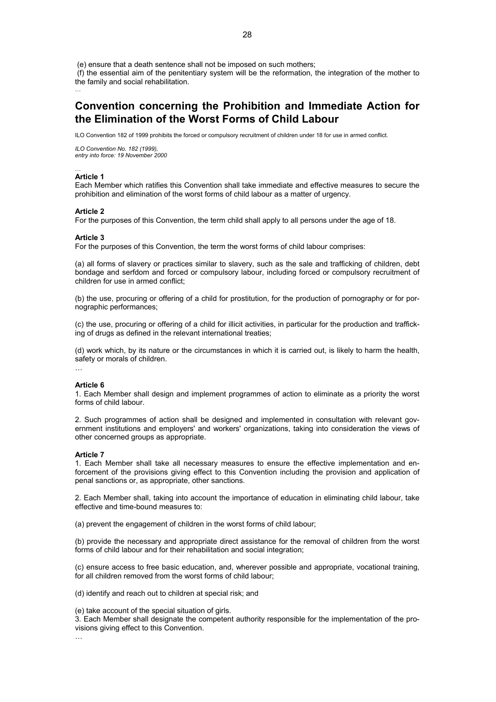(e) ensure that a death sentence shall not be imposed on such mothers;

 (f) the essential aim of the penitentiary system will be the reformation, the integration of the mother to the family and social rehabilitation.

…

# **Convention concerning the Prohibition and Immediate Action for the Elimination of the Worst Forms of Child Labour**

ILO Convention 182 of 1999 prohibits the forced or compulsory recruitment of children under 18 for use in armed conflict.

*ILO Convention No. 182 (1999), entry into force: 19 November 2000* 

#### … **Article 1**

Each Member which ratifies this Convention shall take immediate and effective measures to secure the prohibition and elimination of the worst forms of child labour as a matter of urgency.

# **Article 2**

For the purposes of this Convention, the term child shall apply to all persons under the age of 18.

### **Article 3**

For the purposes of this Convention, the term the worst forms of child labour comprises:

(a) all forms of slavery or practices similar to slavery, such as the sale and trafficking of children, debt bondage and serfdom and forced or compulsory labour, including forced or compulsory recruitment of children for use in armed conflict;

(b) the use, procuring or offering of a child for prostitution, for the production of pornography or for pornographic performances;

(c) the use, procuring or offering of a child for illicit activities, in particular for the production and trafficking of drugs as defined in the relevant international treaties;

(d) work which, by its nature or the circumstances in which it is carried out, is likely to harm the health, safety or morals of children.

…

### **Article 6**

1. Each Member shall design and implement programmes of action to eliminate as a priority the worst forms of child labour.

2. Such programmes of action shall be designed and implemented in consultation with relevant government institutions and employers' and workers' organizations, taking into consideration the views of other concerned groups as appropriate.

# **Article 7**

…

1. Each Member shall take all necessary measures to ensure the effective implementation and enforcement of the provisions giving effect to this Convention including the provision and application of penal sanctions or, as appropriate, other sanctions.

2. Each Member shall, taking into account the importance of education in eliminating child labour, take effective and time-bound measures to:

(a) prevent the engagement of children in the worst forms of child labour;

(b) provide the necessary and appropriate direct assistance for the removal of children from the worst forms of child labour and for their rehabilitation and social integration;

(c) ensure access to free basic education, and, wherever possible and appropriate, vocational training, for all children removed from the worst forms of child labour;

(d) identify and reach out to children at special risk; and

(e) take account of the special situation of girls.

3. Each Member shall designate the competent authority responsible for the implementation of the provisions giving effect to this Convention.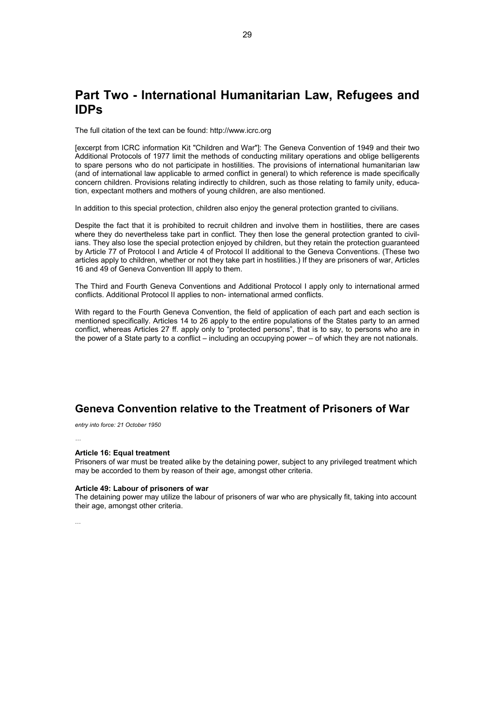# **Part Two - International Humanitarian Law, Refugees and IDPs**

The full citation of the text can be found: http://www.icrc.org

[excerpt from ICRC information Kit "Children and War"]: The Geneva Convention of 1949 and their two Additional Protocols of 1977 limit the methods of conducting military operations and oblige belligerents to spare persons who do not participate in hostilities. The provisions of international humanitarian law (and of international law applicable to armed conflict in general) to which reference is made specifically concern children. Provisions relating indirectly to children, such as those relating to family unity, education, expectant mothers and mothers of young children, are also mentioned.

In addition to this special protection, children also enjoy the general protection granted to civilians.

Despite the fact that it is prohibited to recruit children and involve them in hostilities, there are cases where they do nevertheless take part in conflict. They then lose the general protection granted to civilians. They also lose the special protection enjoyed by children, but they retain the protection guaranteed by Article 77 of Protocol I and Article 4 of Protocol II additional to the Geneva Conventions. (These two articles apply to children, whether or not they take part in hostilities.) If they are prisoners of war, Articles 16 and 49 of Geneva Convention III apply to them.

The Third and Fourth Geneva Conventions and Additional Protocol I apply only to international armed conflicts. Additional Protocol II applies to non- international armed conflicts.

With regard to the Fourth Geneva Convention, the field of application of each part and each section is mentioned specifically. Articles 14 to 26 apply to the entire populations of the States party to an armed conflict, whereas Articles 27 ff. apply only to "protected persons", that is to say, to persons who are in the power of a State party to a conflict – including an occupying power – of which they are not nationals.

# **Geneva Convention relative to the Treatment of Prisoners of War**

*entry into force: 21 October 1950* 

*…* 

# **Article 16: Equal treatment**

Prisoners of war must be treated alike by the detaining power, subject to any privileged treatment which may be accorded to them by reason of their age, amongst other criteria.

### **Article 49: Labour of prisoners of war**

The detaining power may utilize the labour of prisoners of war who are physically fit, taking into account their age, amongst other criteria.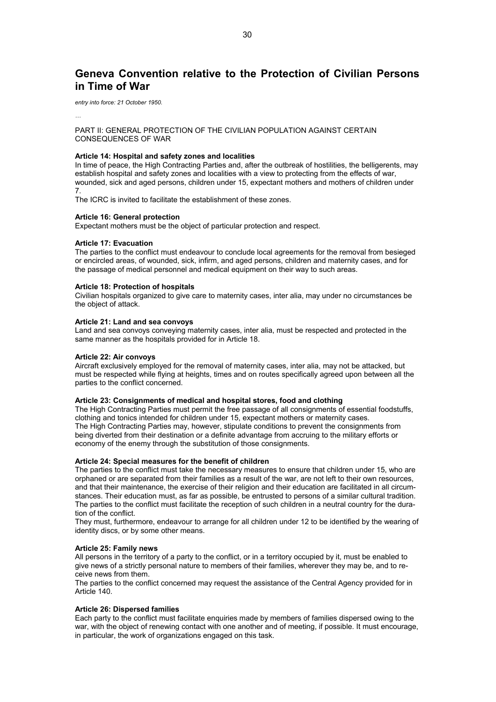# **Geneva Convention relative to the Protection of Civilian Persons in Time of War**

*entry into force: 21 October 1950.* 

*…* 

PART II: GENERAL PROTECTION OF THE CIVILIAN POPULATION AGAINST CERTAIN CONSEQUENCES OF WAR

# **Article 14: Hospital and safety zones and localities**

In time of peace, the High Contracting Parties and, after the outbreak of hostilities, the belligerents, may establish hospital and safety zones and localities with a view to protecting from the effects of war, wounded, sick and aged persons, children under 15, expectant mothers and mothers of children under 7.

The ICRC is invited to facilitate the establishment of these zones.

# **Article 16: General protection**

Expectant mothers must be the object of particular protection and respect.

# **Article 17: Evacuation**

The parties to the conflict must endeavour to conclude local agreements for the removal from besieged or encircled areas, of wounded, sick, infirm, and aged persons, children and maternity cases, and for the passage of medical personnel and medical equipment on their way to such areas.

# **Article 18: Protection of hospitals**

Civilian hospitals organized to give care to maternity cases, inter alia, may under no circumstances be the object of attack.

### **Article 21: Land and sea convoys**

Land and sea convoys conveying maternity cases, inter alia, must be respected and protected in the same manner as the hospitals provided for in Article 18.

### **Article 22: Air convoys**

Aircraft exclusively employed for the removal of maternity cases, inter alia, may not be attacked, but must be respected while flying at heights, times and on routes specifically agreed upon between all the parties to the conflict concerned.

# **Article 23: Consignments of medical and hospital stores, food and clothing**

The High Contracting Parties must permit the free passage of all consignments of essential foodstuffs, clothing and tonics intended for children under 15, expectant mothers or maternity cases. The High Contracting Parties may, however, stipulate conditions to prevent the consignments from being diverted from their destination or a definite advantage from accruing to the military efforts or economy of the enemy through the substitution of those consignments.

# **Article 24: Special measures for the benefit of children**

The parties to the conflict must take the necessary measures to ensure that children under 15, who are orphaned or are separated from their families as a result of the war, are not left to their own resources, and that their maintenance, the exercise of their religion and their education are facilitated in all circumstances. Their education must, as far as possible, be entrusted to persons of a similar cultural tradition. The parties to the conflict must facilitate the reception of such children in a neutral country for the duration of the conflict.

They must, furthermore, endeavour to arrange for all children under 12 to be identified by the wearing of identity discs, or by some other means.

### **Article 25: Family news**

All persons in the territory of a party to the conflict, or in a territory occupied by it, must be enabled to give news of a strictly personal nature to members of their families, wherever they may be, and to receive news from them.

The parties to the conflict concerned may request the assistance of the Central Agency provided for in Article 140.

# **Article 26: Dispersed families**

Each party to the conflict must facilitate enquiries made by members of families dispersed owing to the war, with the object of renewing contact with one another and of meeting, if possible. It must encourage, in particular, the work of organizations engaged on this task.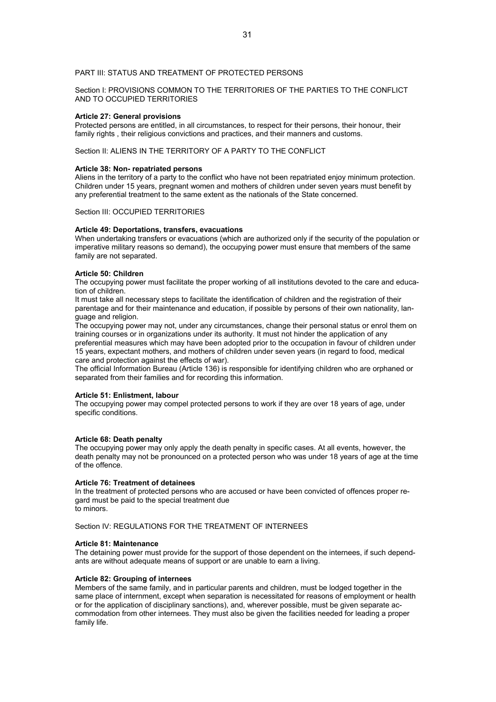# PART III: STATUS AND TREATMENT OF PROTECTED PERSONS

Section I: PROVISIONS COMMON TO THE TERRITORIES OF THE PARTIES TO THE CONFLICT AND TO OCCUPIED TERRITORIES

### **Article 27: General provisions**

Protected persons are entitled, in all circumstances, to respect for their persons, their honour, their family rights , their religious convictions and practices, and their manners and customs.

Section II: ALIENS IN THE TERRITORY OF A PARTY TO THE CONFLICT

# **Article 38: Non- repatriated persons**

Aliens in the territory of a party to the conflict who have not been repatriated enjoy minimum protection. Children under 15 years, pregnant women and mothers of children under seven years must benefit by any preferential treatment to the same extent as the nationals of the State concerned.

Section III: OCCUPIED TERRITORIES

### **Article 49: Deportations, transfers, evacuations**

When undertaking transfers or evacuations (which are authorized only if the security of the population or imperative military reasons so demand), the occupying power must ensure that members of the same family are not separated.

# **Article 50: Children**

The occupying power must facilitate the proper working of all institutions devoted to the care and education of children.

It must take all necessary steps to facilitate the identification of children and the registration of their parentage and for their maintenance and education, if possible by persons of their own nationality, language and religion.

The occupying power may not, under any circumstances, change their personal status or enrol them on training courses or in organizations under its authority. It must not hinder the application of any preferential measures which may have been adopted prior to the occupation in favour of children under 15 years, expectant mothers, and mothers of children under seven years (in regard to food, medical care and protection against the effects of war).

The official Information Bureau (Article 136) is responsible for identifying children who are orphaned or separated from their families and for recording this information.

#### **Article 51: Enlistment, labour**

The occupying power may compel protected persons to work if they are over 18 years of age, under specific conditions.

#### **Article 68: Death penalty**

The occupying power may only apply the death penalty in specific cases. At all events, however, the death penalty may not be pronounced on a protected person who was under 18 years of age at the time of the offence.

# **Article 76: Treatment of detainees**

In the treatment of protected persons who are accused or have been convicted of offences proper regard must be paid to the special treatment due to minors.

Section IV: REGULATIONS FOR THE TREATMENT OF INTERNEES

# **Article 81: Maintenance**

The detaining power must provide for the support of those dependent on the internees, if such dependants are without adequate means of support or are unable to earn a living.

# **Article 82: Grouping of internees**

Members of the same family, and in particular parents and children, must be lodged together in the same place of internment, except when separation is necessitated for reasons of employment or health or for the application of disciplinary sanctions), and, wherever possible, must be given separate accommodation from other internees. They must also be given the facilities needed for leading a proper family life.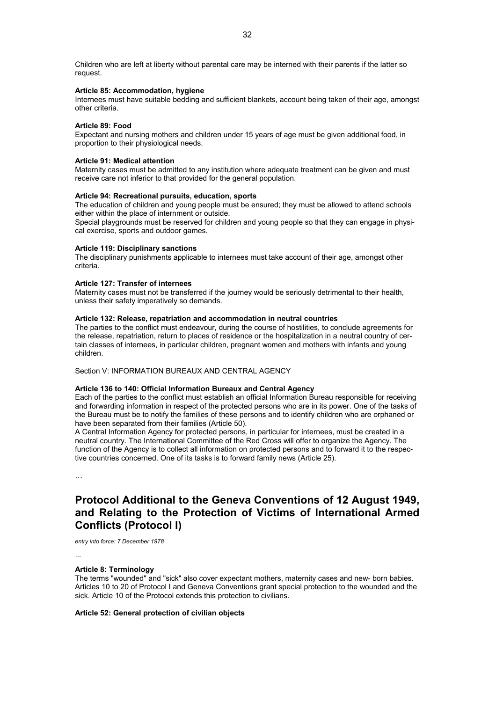# **Article 85: Accommodation, hygiene**

Internees must have suitable bedding and sufficient blankets, account being taken of their age, amongst other criteria.

# **Article 89: Food**

Expectant and nursing mothers and children under 15 years of age must be given additional food, in proportion to their physiological needs.

# **Article 91: Medical attention**

Maternity cases must be admitted to any institution where adequate treatment can be given and must receive care not inferior to that provided for the general population.

# **Article 94: Recreational pursuits, education, sports**

The education of children and young people must be ensured; they must be allowed to attend schools either within the place of internment or outside.

Special playgrounds must be reserved for children and young people so that they can engage in physical exercise, sports and outdoor games.

# **Article 119: Disciplinary sanctions**

The disciplinary punishments applicable to internees must take account of their age, amongst other criteria.

# **Article 127: Transfer of internees**

Maternity cases must not be transferred if the journey would be seriously detrimental to their health, unless their safety imperatively so demands.

# **Article 132: Release, repatriation and accommodation in neutral countries**

The parties to the conflict must endeavour, during the course of hostilities, to conclude agreements for the release, repatriation, return to places of residence or the hospitalization in a neutral country of certain classes of internees, in particular children, pregnant women and mothers with infants and young children.

Section V: INFORMATION BUREAUX AND CENTRAL AGENCY

# **Article 136 to 140: Official Information Bureaux and Central Agency**

Each of the parties to the conflict must establish an official Information Bureau responsible for receiving and forwarding information in respect of the protected persons who are in its power. One of the tasks of the Bureau must be to notify the families of these persons and to identify children who are orphaned or have been separated from their families (Article 50).

A Central Information Agency for protected persons, in particular for internees, must be created in a neutral country. The International Committee of the Red Cross will offer to organize the Agency. The function of the Agency is to collect all information on protected persons and to forward it to the respective countries concerned. One of its tasks is to forward family news (Article 25).

…

# **Protocol Additional to the Geneva Conventions of 12 August 1949, and Relating to the Protection of Victims of International Armed Conflicts (Protocol I)**

*entry into force: 7 December 1978* 

*…* 

# **Article 8: Terminology**

The terms "wounded" and "sick" also cover expectant mothers, maternity cases and new- born babies. Articles 10 to 20 of Protocol I and Geneva Conventions grant special protection to the wounded and the sick. Article 10 of the Protocol extends this protection to civilians.

**Article 52: General protection of civilian objects**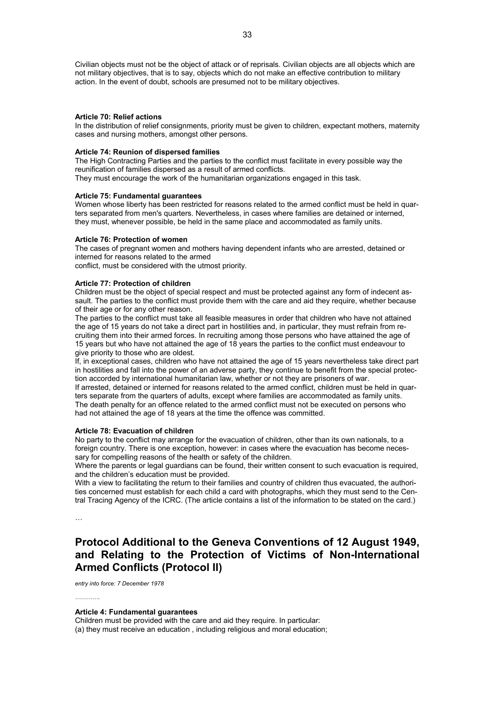Civilian objects must not be the object of attack or of reprisals. Civilian objects are all objects which are not military objectives, that is to say, objects which do not make an effective contribution to military action. In the event of doubt, schools are presumed not to be military objectives.

# **Article 70: Relief actions**

In the distribution of relief consignments, priority must be given to children, expectant mothers, maternity cases and nursing mothers, amongst other persons.

#### **Article 74: Reunion of dispersed families**

The High Contracting Parties and the parties to the conflict must facilitate in every possible way the reunification of families dispersed as a result of armed conflicts. They must encourage the work of the humanitarian organizations engaged in this task.

### **Article 75: Fundamental guarantees**

Women whose liberty has been restricted for reasons related to the armed conflict must be held in quarters separated from men's quarters. Nevertheless, in cases where families are detained or interned, they must, whenever possible, be held in the same place and accommodated as family units.

#### **Article 76: Protection of women**

The cases of pregnant women and mothers having dependent infants who are arrested, detained or interned for reasons related to the armed

conflict, must be considered with the utmost priority.

# **Article 77: Protection of children**

Children must be the object of special respect and must be protected against any form of indecent assault. The parties to the conflict must provide them with the care and aid they require, whether because of their age or for any other reason.

The parties to the conflict must take all feasible measures in order that children who have not attained the age of 15 years do not take a direct part in hostilities and, in particular, they must refrain from recruiting them into their armed forces. In recruiting among those persons who have attained the age of 15 years but who have not attained the age of 18 years the parties to the conflict must endeavour to give priority to those who are oldest.

If, in exceptional cases, children who have not attained the age of 15 years nevertheless take direct part in hostilities and fall into the power of an adverse party, they continue to benefit from the special protection accorded by international humanitarian law, whether or not they are prisoners of war.

If arrested, detained or interned for reasons related to the armed conflict, children must be held in quarters separate from the quarters of adults, except where families are accommodated as family units. The death penalty for an offence related to the armed conflict must not be executed on persons who had not attained the age of 18 years at the time the offence was committed.

# **Article 78: Evacuation of children**

No party to the conflict may arrange for the evacuation of children, other than its own nationals, to a foreign country. There is one exception, however: in cases where the evacuation has become necessary for compelling reasons of the health or safety of the children.

Where the parents or legal guardians can be found, their written consent to such evacuation is required, and the children's education must be provided.

With a view to facilitating the return to their families and country of children thus evacuated, the authorities concerned must establish for each child a card with photographs, which they must send to the Central Tracing Agency of the ICRC. (The article contains a list of the information to be stated on the card.)

*………….* 

# **Protocol Additional to the Geneva Conventions of 12 August 1949, and Relating to the Protection of Victims of Non-International Armed Conflicts (Protocol II)**

*entry into force: 7 December 1978* 

#### **Article 4: Fundamental guarantees**

Children must be provided with the care and aid they require. In particular: (a) they must receive an education , including religious and moral education;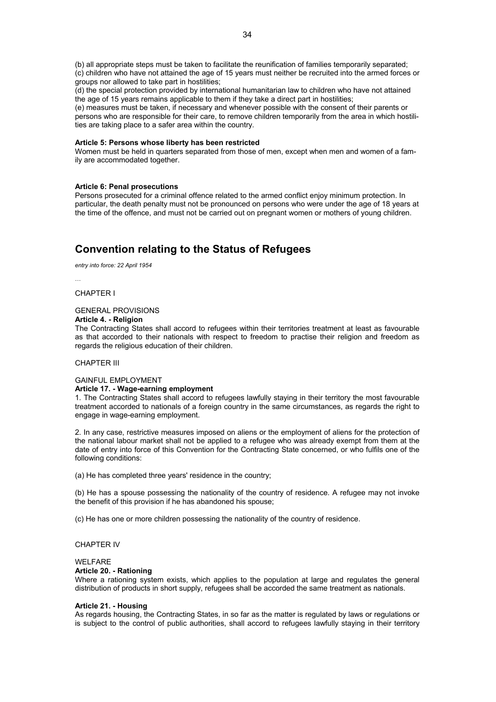(b) all appropriate steps must be taken to facilitate the reunification of families temporarily separated; (c) children who have not attained the age of 15 years must neither be recruited into the armed forces or groups nor allowed to take part in hostilities;

(d) the special protection provided by international humanitarian law to children who have not attained the age of 15 years remains applicable to them if they take a direct part in hostilities;

(e) measures must be taken, if necessary and whenever possible with the consent of their parents or persons who are responsible for their care, to remove children temporarily from the area in which hostilities are taking place to a safer area within the country.

# **Article 5: Persons whose liberty has been restricted**

Women must be held in quarters separated from those of men, except when men and women of a family are accommodated together.

# **Article 6: Penal prosecutions**

Persons prosecuted for a criminal offence related to the armed conflict enjoy minimum protection. In particular, the death penalty must not be pronounced on persons who were under the age of 18 years at the time of the offence, and must not be carried out on pregnant women or mothers of young children.

# **Convention relating to the Status of Refugees**

*entry into force: 22 April 1954* 

…

CHAPTER I

GENERAL PROVISIONS

# **Article 4. - Religion**

The Contracting States shall accord to refugees within their territories treatment at least as favourable as that accorded to their nationals with respect to freedom to practise their religion and freedom as regards the religious education of their children.

# CHAPTER III

### GAINFUL EMPLOYMENT

# **Article 17. - Wage-earning employment**

1. The Contracting States shall accord to refugees lawfully staying in their territory the most favourable treatment accorded to nationals of a foreign country in the same circumstances, as regards the right to engage in wage-earning employment.

2. In any case, restrictive measures imposed on aliens or the employment of aliens for the protection of the national labour market shall not be applied to a refugee who was already exempt from them at the date of entry into force of this Convention for the Contracting State concerned, or who fulfils one of the following conditions:

(a) He has completed three years' residence in the country;

(b) He has a spouse possessing the nationality of the country of residence. A refugee may not invoke the benefit of this provision if he has abandoned his spouse;

(c) He has one or more children possessing the nationality of the country of residence.

# CHAPTER IV

# WELFARE

# **Article 20. - Rationing**

Where a rationing system exists, which applies to the population at large and regulates the general distribution of products in short supply, refugees shall be accorded the same treatment as nationals.

#### **Article 21. - Housing**

As regards housing, the Contracting States, in so far as the matter is regulated by laws or regulations or is subject to the control of public authorities, shall accord to refugees lawfully staying in their territory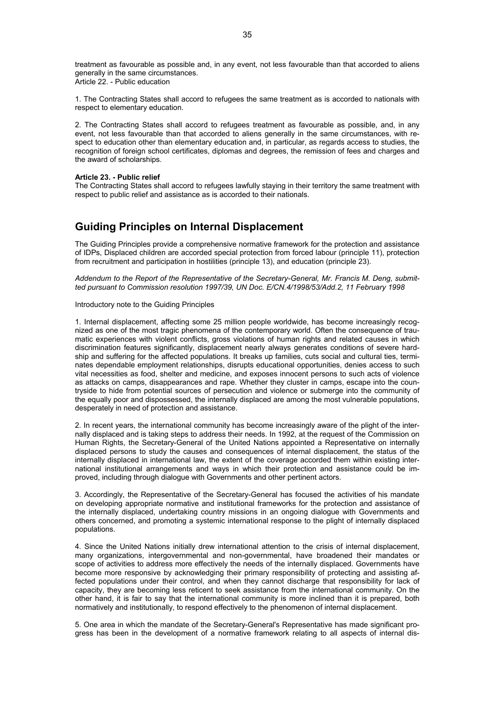treatment as favourable as possible and, in any event, not less favourable than that accorded to aliens generally in the same circumstances. Article 22. - Public education

1. The Contracting States shall accord to refugees the same treatment as is accorded to nationals with respect to elementary education.

2. The Contracting States shall accord to refugees treatment as favourable as possible, and, in any event, not less favourable than that accorded to aliens generally in the same circumstances, with respect to education other than elementary education and, in particular, as regards access to studies, the recognition of foreign school certificates, diplomas and degrees, the remission of fees and charges and the award of scholarships.

# **Article 23. - Public relief**

The Contracting States shall accord to refugees lawfully staying in their territory the same treatment with respect to public relief and assistance as is accorded to their nationals.

# **Guiding Principles on Internal Displacement**

The Guiding Principles provide a comprehensive normative framework for the protection and assistance of IDPs, Displaced children are accorded special protection from forced labour (principle 11), protection from recruitment and participation in hostilities (principle 13), and education (principle 23).

*Addendum to the Report of the Representative of the Secretary-General, Mr. Francis M. Deng, submitted pursuant to Commission resolution 1997/39, UN Doc. E/CN.4/1998/53/Add.2, 11 February 1998* 

# Introductory note to the Guiding Principles

1. Internal displacement, affecting some 25 million people worldwide, has become increasingly recognized as one of the most tragic phenomena of the contemporary world. Often the consequence of traumatic experiences with violent conflicts, gross violations of human rights and related causes in which discrimination features significantly, displacement nearly always generates conditions of severe hardship and suffering for the affected populations. It breaks up families, cuts social and cultural ties, terminates dependable employment relationships, disrupts educational opportunities, denies access to such vital necessities as food, shelter and medicine, and exposes innocent persons to such acts of violence as attacks on camps, disappearances and rape. Whether they cluster in camps, escape into the countryside to hide from potential sources of persecution and violence or submerge into the community of the equally poor and dispossessed, the internally displaced are among the most vulnerable populations, desperately in need of protection and assistance.

2. In recent years, the international community has become increasingly aware of the plight of the internally displaced and is taking steps to address their needs. In 1992, at the request of the Commission on Human Rights, the Secretary-General of the United Nations appointed a Representative on internally displaced persons to study the causes and consequences of internal displacement, the status of the internally displaced in international law, the extent of the coverage accorded them within existing international institutional arrangements and ways in which their protection and assistance could be improved, including through dialogue with Governments and other pertinent actors.

3. Accordingly, the Representative of the Secretary-General has focused the activities of his mandate on developing appropriate normative and institutional frameworks for the protection and assistance of the internally displaced, undertaking country missions in an ongoing dialogue with Governments and others concerned, and promoting a systemic international response to the plight of internally displaced populations.

4. Since the United Nations initially drew international attention to the crisis of internal displacement, many organizations, intergovernmental and non-governmental, have broadened their mandates or scope of activities to address more effectively the needs of the internally displaced. Governments have become more responsive by acknowledging their primary responsibility of protecting and assisting affected populations under their control, and when they cannot discharge that responsibility for lack of capacity, they are becoming less reticent to seek assistance from the international community. On the other hand, it is fair to say that the international community is more inclined than it is prepared, both normatively and institutionally, to respond effectively to the phenomenon of internal displacement.

5. One area in which the mandate of the Secretary-General's Representative has made significant progress has been in the development of a normative framework relating to all aspects of internal dis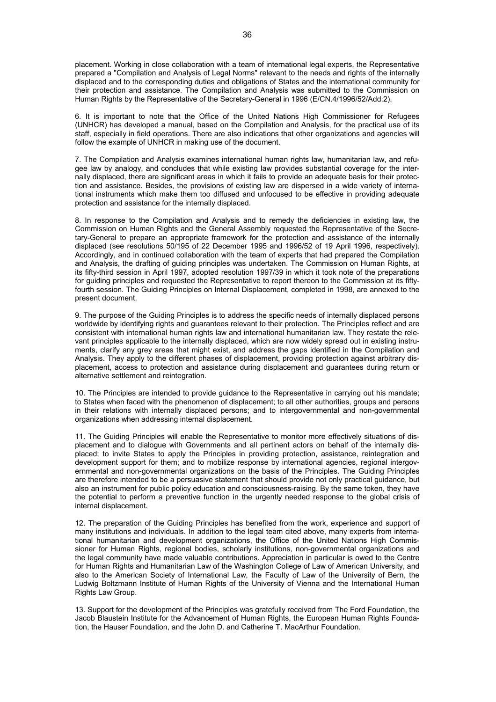placement. Working in close collaboration with a team of international legal experts, the Representative prepared a "Compilation and Analysis of Legal Norms" relevant to the needs and rights of the internally displaced and to the corresponding duties and obligations of States and the international community for their protection and assistance. The Compilation and Analysis was submitted to the Commission on Human Rights by the Representative of the Secretary-General in 1996 (E/CN.4/1996/52/Add.2).

6. It is important to note that the Office of the United Nations High Commissioner for Refugees (UNHCR) has developed a manual, based on the Compilation and Analysis, for the practical use of its staff, especially in field operations. There are also indications that other organizations and agencies will follow the example of UNHCR in making use of the document.

7. The Compilation and Analysis examines international human rights law, humanitarian law, and refugee law by analogy, and concludes that while existing law provides substantial coverage for the internally displaced, there are significant areas in which it fails to provide an adequate basis for their protection and assistance. Besides, the provisions of existing law are dispersed in a wide variety of international instruments which make them too diffused and unfocused to be effective in providing adequate protection and assistance for the internally displaced.

8. In response to the Compilation and Analysis and to remedy the deficiencies in existing law, the Commission on Human Rights and the General Assembly requested the Representative of the Secretary-General to prepare an appropriate framework for the protection and assistance of the internally displaced (see resolutions 50/195 of 22 December 1995 and 1996/52 of 19 April 1996, respectively). Accordingly, and in continued collaboration with the team of experts that had prepared the Compilation and Analysis, the drafting of guiding principles was undertaken. The Commission on Human Rights, at its fifty-third session in April 1997, adopted resolution 1997/39 in which it took note of the preparations for guiding principles and requested the Representative to report thereon to the Commission at its fiftyfourth session. The Guiding Principles on Internal Displacement, completed in 1998, are annexed to the present document.

9. The purpose of the Guiding Principles is to address the specific needs of internally displaced persons worldwide by identifying rights and guarantees relevant to their protection. The Principles reflect and are consistent with international human rights law and international humanitarian law. They restate the relevant principles applicable to the internally displaced, which are now widely spread out in existing instruments, clarify any grey areas that might exist, and address the gaps identified in the Compilation and Analysis. They apply to the different phases of displacement, providing protection against arbitrary displacement, access to protection and assistance during displacement and guarantees during return or alternative settlement and reintegration.

10. The Principles are intended to provide guidance to the Representative in carrying out his mandate; to States when faced with the phenomenon of displacement; to all other authorities, groups and persons in their relations with internally displaced persons; and to intergovernmental and non-governmental organizations when addressing internal displacement.

11. The Guiding Principles will enable the Representative to monitor more effectively situations of displacement and to dialogue with Governments and all pertinent actors on behalf of the internally displaced; to invite States to apply the Principles in providing protection, assistance, reintegration and development support for them; and to mobilize response by international agencies, regional intergovernmental and non-governmental organizations on the basis of the Principles. The Guiding Principles are therefore intended to be a persuasive statement that should provide not only practical guidance, but also an instrument for public policy education and consciousness-raising. By the same token, they have the potential to perform a preventive function in the urgently needed response to the global crisis of internal displacement.

12. The preparation of the Guiding Principles has benefited from the work, experience and support of many institutions and individuals. In addition to the legal team cited above, many experts from international humanitarian and development organizations, the Office of the United Nations High Commissioner for Human Rights, regional bodies, scholarly institutions, non-governmental organizations and the legal community have made valuable contributions. Appreciation in particular is owed to the Centre for Human Rights and Humanitarian Law of the Washington College of Law of American University, and also to the American Society of International Law, the Faculty of Law of the University of Bern, the Ludwig Boltzmann Institute of Human Rights of the University of Vienna and the International Human Rights Law Group.

13. Support for the development of the Principles was gratefully received from The Ford Foundation, the Jacob Blaustein Institute for the Advancement of Human Rights, the European Human Rights Foundation, the Hauser Foundation, and the John D. and Catherine T. MacArthur Foundation.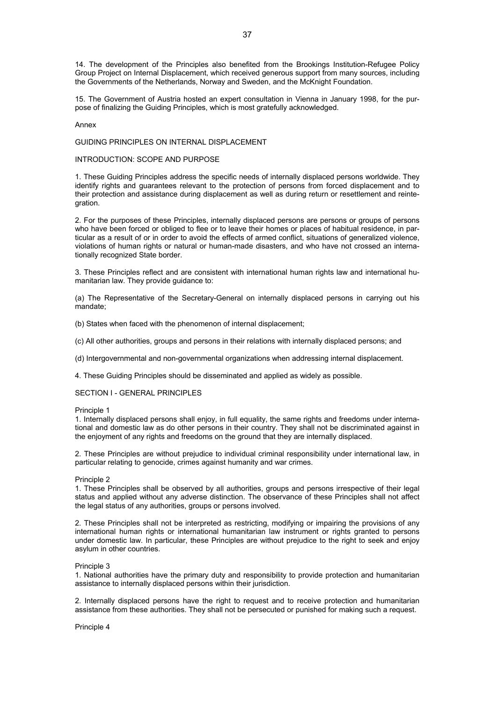14. The development of the Principles also benefited from the Brookings Institution-Refugee Policy Group Project on Internal Displacement, which received generous support from many sources, including the Governments of the Netherlands, Norway and Sweden, and the McKnight Foundation.

15. The Government of Austria hosted an expert consultation in Vienna in January 1998, for the purpose of finalizing the Guiding Principles, which is most gratefully acknowledged.

### Annex

# GUIDING PRINCIPLES ON INTERNAL DISPLACEMENT

# INTRODUCTION: SCOPE AND PURPOSE

1. These Guiding Principles address the specific needs of internally displaced persons worldwide. They identify rights and guarantees relevant to the protection of persons from forced displacement and to their protection and assistance during displacement as well as during return or resettlement and reintegration.

2. For the purposes of these Principles, internally displaced persons are persons or groups of persons who have been forced or obliged to flee or to leave their homes or places of habitual residence, in particular as a result of or in order to avoid the effects of armed conflict, situations of generalized violence, violations of human rights or natural or human-made disasters, and who have not crossed an internationally recognized State border.

3. These Principles reflect and are consistent with international human rights law and international humanitarian law. They provide quidance to:

(a) The Representative of the Secretary-General on internally displaced persons in carrying out his mandate;

(b) States when faced with the phenomenon of internal displacement;

(c) All other authorities, groups and persons in their relations with internally displaced persons; and

(d) Intergovernmental and non-governmental organizations when addressing internal displacement.

4. These Guiding Principles should be disseminated and applied as widely as possible.

#### SECTION I - GENERAL PRINCIPI ES

#### Principle 1

1. Internally displaced persons shall enjoy, in full equality, the same rights and freedoms under international and domestic law as do other persons in their country. They shall not be discriminated against in the enjoyment of any rights and freedoms on the ground that they are internally displaced.

2. These Principles are without prejudice to individual criminal responsibility under international law, in particular relating to genocide, crimes against humanity and war crimes.

# Principle 2

1. These Principles shall be observed by all authorities, groups and persons irrespective of their legal status and applied without any adverse distinction. The observance of these Principles shall not affect the legal status of any authorities, groups or persons involved.

2. These Principles shall not be interpreted as restricting, modifying or impairing the provisions of any international human rights or international humanitarian law instrument or rights granted to persons under domestic law. In particular, these Principles are without prejudice to the right to seek and enjoy asylum in other countries.

#### Principle 3

1. National authorities have the primary duty and responsibility to provide protection and humanitarian assistance to internally displaced persons within their jurisdiction.

2. Internally displaced persons have the right to request and to receive protection and humanitarian assistance from these authorities. They shall not be persecuted or punished for making such a request.

Principle 4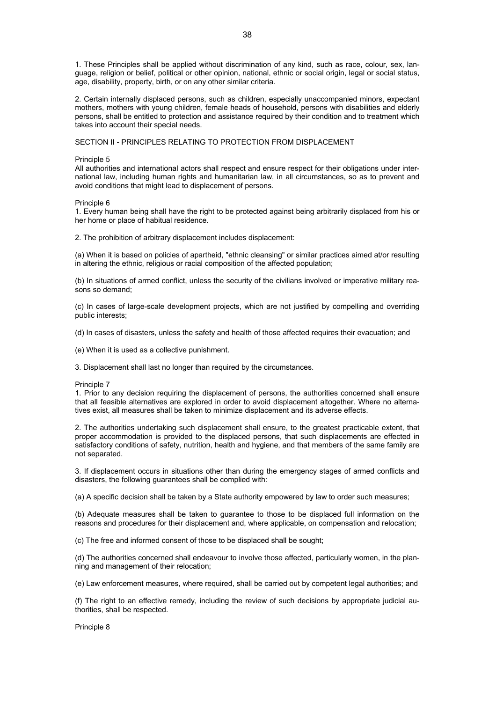1. These Principles shall be applied without discrimination of any kind, such as race, colour, sex, language, religion or belief, political or other opinion, national, ethnic or social origin, legal or social status, age, disability, property, birth, or on any other similar criteria.

2. Certain internally displaced persons, such as children, especially unaccompanied minors, expectant mothers, mothers with young children, female heads of household, persons with disabilities and elderly persons, shall be entitled to protection and assistance required by their condition and to treatment which takes into account their special needs.

SECTION II - PRINCIPLES RELATING TO PROTECTION FROM DISPLACEMENT

# Principle 5

All authorities and international actors shall respect and ensure respect for their obligations under international law, including human rights and humanitarian law, in all circumstances, so as to prevent and avoid conditions that might lead to displacement of persons.

#### Principle 6

1. Every human being shall have the right to be protected against being arbitrarily displaced from his or her home or place of habitual residence.

2. The prohibition of arbitrary displacement includes displacement:

(a) When it is based on policies of apartheid, "ethnic cleansing" or similar practices aimed at/or resulting in altering the ethnic, religious or racial composition of the affected population;

(b) In situations of armed conflict, unless the security of the civilians involved or imperative military reasons so demand;

(c) In cases of large-scale development projects, which are not justified by compelling and overriding public interests;

(d) In cases of disasters, unless the safety and health of those affected requires their evacuation; and

(e) When it is used as a collective punishment.

3. Displacement shall last no longer than required by the circumstances.

# Principle 7

1. Prior to any decision requiring the displacement of persons, the authorities concerned shall ensure that all feasible alternatives are explored in order to avoid displacement altogether. Where no alternatives exist, all measures shall be taken to minimize displacement and its adverse effects.

2. The authorities undertaking such displacement shall ensure, to the greatest practicable extent, that proper accommodation is provided to the displaced persons, that such displacements are effected in satisfactory conditions of safety, nutrition, health and hygiene, and that members of the same family are not separated.

3. If displacement occurs in situations other than during the emergency stages of armed conflicts and disasters, the following guarantees shall be complied with:

(a) A specific decision shall be taken by a State authority empowered by law to order such measures;

(b) Adequate measures shall be taken to guarantee to those to be displaced full information on the reasons and procedures for their displacement and, where applicable, on compensation and relocation;

(c) The free and informed consent of those to be displaced shall be sought;

(d) The authorities concerned shall endeavour to involve those affected, particularly women, in the planning and management of their relocation;

(e) Law enforcement measures, where required, shall be carried out by competent legal authorities; and

(f) The right to an effective remedy, including the review of such decisions by appropriate judicial authorities, shall be respected.

Principle 8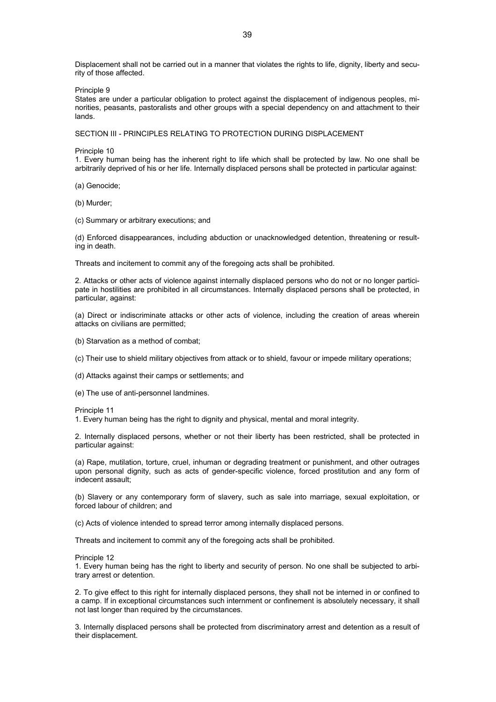Displacement shall not be carried out in a manner that violates the rights to life, dignity, liberty and security of those affected.

Principle 9

States are under a particular obligation to protect against the displacement of indigenous peoples, minorities, peasants, pastoralists and other groups with a special dependency on and attachment to their lands.

SECTION III - PRINCIPLES RELATING TO PROTECTION DURING DISPLACEMENT

Principle 10

1. Every human being has the inherent right to life which shall be protected by law. No one shall be arbitrarily deprived of his or her life. Internally displaced persons shall be protected in particular against:

(a) Genocide;

(b) Murder;

(c) Summary or arbitrary executions; and

(d) Enforced disappearances, including abduction or unacknowledged detention, threatening or resulting in death.

Threats and incitement to commit any of the foregoing acts shall be prohibited.

2. Attacks or other acts of violence against internally displaced persons who do not or no longer participate in hostilities are prohibited in all circumstances. Internally displaced persons shall be protected, in particular, against:

(a) Direct or indiscriminate attacks or other acts of violence, including the creation of areas wherein attacks on civilians are permitted;

(b) Starvation as a method of combat;

(c) Their use to shield military objectives from attack or to shield, favour or impede military operations;

(d) Attacks against their camps or settlements; and

(e) The use of anti-personnel landmines.

Principle 11

1. Every human being has the right to dignity and physical, mental and moral integrity.

2. Internally displaced persons, whether or not their liberty has been restricted, shall be protected in particular against:

(a) Rape, mutilation, torture, cruel, inhuman or degrading treatment or punishment, and other outrages upon personal dignity, such as acts of gender-specific violence, forced prostitution and any form of indecent assault;

(b) Slavery or any contemporary form of slavery, such as sale into marriage, sexual exploitation, or forced labour of children; and

(c) Acts of violence intended to spread terror among internally displaced persons.

Threats and incitement to commit any of the foregoing acts shall be prohibited.

Princinle 12

1. Every human being has the right to liberty and security of person. No one shall be subjected to arbitrary arrest or detention.

2. To give effect to this right for internally displaced persons, they shall not be interned in or confined to a camp. If in exceptional circumstances such internment or confinement is absolutely necessary, it shall not last longer than required by the circumstances.

3. Internally displaced persons shall be protected from discriminatory arrest and detention as a result of their displacement.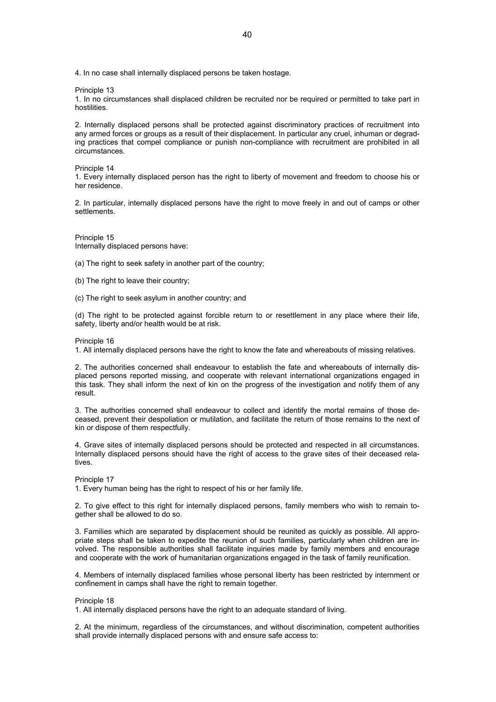4. In no case shall internally displaced persons be taken hostage.

Principle 13

1. In no circumstances shall displaced children be recruited nor be required or permitted to take part in hostilities.

2. Internally displaced persons shall be protected against discriminatory practices of recruitment into any armed forces or groups as a result of their displacement. In particular any cruel, inhuman or degrading practices that compel compliance or punish non-compliance with recruitment are prohibited in all circumstances.

#### Principle 14

1. Every internally displaced person has the right to liberty of movement and freedom to choose his or her residence.

2. In particular, internally displaced persons have the right to move freely in and out of camps or other settlements.

Principle 15

Internally displaced persons have:

(a) The right to seek safety in another part of the country;

- (b) The right to leave their country:
- (c) The right to seek asylum in another country; and

(d) The right to be protected against forcible return to or resettlement in any place where their life, safety, liberty and/or health would be at risk.

Principle 16

1. All internally displaced persons have the right to know the fate and whereabouts of missing relatives.

2. The authorities concerned shall endeavour to establish the fate and whereabouts of internally displaced persons reported missing, and cooperate with relevant international organizations engaged in this task. They shall inform the next of kin on the progress of the investigation and notify them of any result.

3. The authorities concerned shall endeavour to collect and identify the mortal remains of those deceased, prevent their despoliation or mutilation, and facilitate the return of those remains to the next of kin or dispose of them respectfully.

4. Grave sites of internally displaced persons should be protected and respected in all circumstances. Internally displaced persons should have the right of access to the grave sites of their deceased relatives.

# Principle 17

1. Every human being has the right to respect of his or her family life.

2. To give effect to this right for internally displaced persons, family members who wish to remain together shall be allowed to do so.

3. Families which are separated by displacement should be reunited as quickly as possible. All appropriate steps shall be taken to expedite the reunion of such families, particularly when children are involved. The responsible authorities shall facilitate inquiries made by family members and encourage and cooperate with the work of humanitarian organizations engaged in the task of family reunification.

4. Members of internally displaced families whose personal liberty has been restricted by internment or confinement in camps shall have the right to remain together.

Principle 18

1. All internally displaced persons have the right to an adequate standard of living.

2. At the minimum, regardless of the circumstances, and without discrimination, competent authorities shall provide internally displaced persons with and ensure safe access to: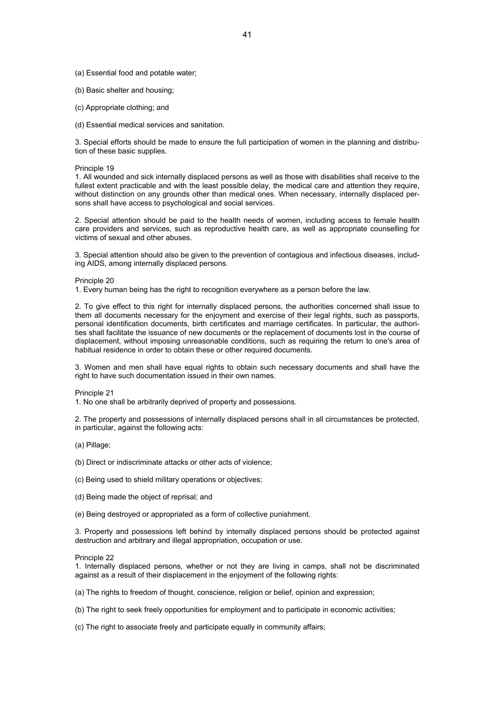- (a) Essential food and potable water;
- (b) Basic shelter and housing;
- (c) Appropriate clothing; and
- (d) Essential medical services and sanitation.

3. Special efforts should be made to ensure the full participation of women in the planning and distribution of these basic supplies.

#### Principle 19

1. All wounded and sick internally displaced persons as well as those with disabilities shall receive to the fullest extent practicable and with the least possible delay, the medical care and attention they require, without distinction on any grounds other than medical ones. When necessary, internally displaced persons shall have access to psychological and social services.

2. Special attention should be paid to the health needs of women, including access to female health care providers and services, such as reproductive health care, as well as appropriate counselling for victims of sexual and other abuses.

3. Special attention should also be given to the prevention of contagious and infectious diseases, including AIDS, among internally displaced persons.

Principle 20

1. Every human being has the right to recognition everywhere as a person before the law.

2. To give effect to this right for internally displaced persons, the authorities concerned shall issue to them all documents necessary for the enjoyment and exercise of their legal rights, such as passports, personal identification documents, birth certificates and marriage certificates. In particular, the authorities shall facilitate the issuance of new documents or the replacement of documents lost in the course of displacement, without imposing unreasonable conditions, such as requiring the return to one's area of habitual residence in order to obtain these or other required documents.

3. Women and men shall have equal rights to obtain such necessary documents and shall have the right to have such documentation issued in their own names.

### Principle 21

1. No one shall be arbitrarily deprived of property and possessions.

2. The property and possessions of internally displaced persons shall in all circumstances be protected, in particular, against the following acts:

(a) Pillage;

- (b) Direct or indiscriminate attacks or other acts of violence;
- (c) Being used to shield military operations or objectives;
- (d) Being made the object of reprisal; and
- (e) Being destroyed or appropriated as a form of collective punishment.

3. Property and possessions left behind by internally displaced persons should be protected against destruction and arbitrary and illegal appropriation, occupation or use.

#### Princinle 22

1. Internally displaced persons, whether or not they are living in camps, shall not be discriminated against as a result of their displacement in the enjoyment of the following rights:

(a) The rights to freedom of thought, conscience, religion or belief, opinion and expression;

(b) The right to seek freely opportunities for employment and to participate in economic activities;

(c) The right to associate freely and participate equally in community affairs;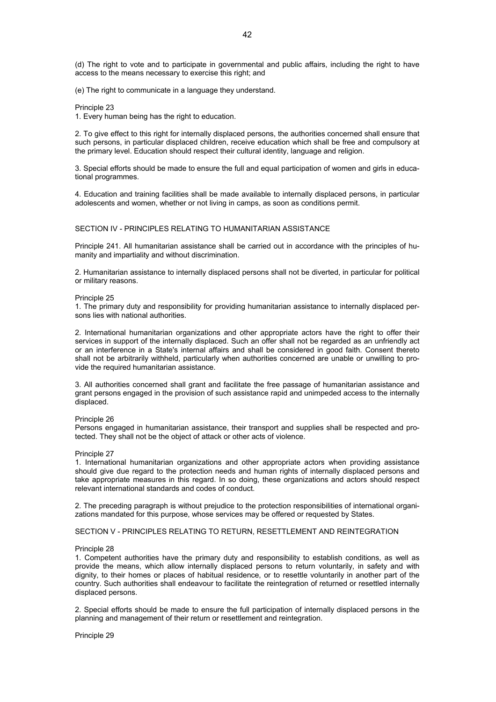(d) The right to vote and to participate in governmental and public affairs, including the right to have access to the means necessary to exercise this right; and

(e) The right to communicate in a language they understand.

Principle 23

1. Every human being has the right to education.

2. To give effect to this right for internally displaced persons, the authorities concerned shall ensure that such persons, in particular displaced children, receive education which shall be free and compulsory at the primary level. Education should respect their cultural identity, language and religion.

3. Special efforts should be made to ensure the full and equal participation of women and girls in educational programmes.

4. Education and training facilities shall be made available to internally displaced persons, in particular adolescents and women, whether or not living in camps, as soon as conditions permit.

#### SECTION IV - PRINCIPLES RELATING TO HUMANITARIAN ASSISTANCE

Principle 241. All humanitarian assistance shall be carried out in accordance with the principles of humanity and impartiality and without discrimination.

2. Humanitarian assistance to internally displaced persons shall not be diverted, in particular for political or military reasons.

#### Principle 25

1. The primary duty and responsibility for providing humanitarian assistance to internally displaced persons lies with national authorities.

2. International humanitarian organizations and other appropriate actors have the right to offer their services in support of the internally displaced. Such an offer shall not be regarded as an unfriendly act or an interference in a State's internal affairs and shall be considered in good faith. Consent thereto shall not be arbitrarily withheld, particularly when authorities concerned are unable or unwilling to provide the required humanitarian assistance.

3. All authorities concerned shall grant and facilitate the free passage of humanitarian assistance and grant persons engaged in the provision of such assistance rapid and unimpeded access to the internally displaced.

#### Principle 26

Persons engaged in humanitarian assistance, their transport and supplies shall be respected and protected. They shall not be the object of attack or other acts of violence.

#### Principle 27

1. International humanitarian organizations and other appropriate actors when providing assistance should give due regard to the protection needs and human rights of internally displaced persons and take appropriate measures in this regard. In so doing, these organizations and actors should respect relevant international standards and codes of conduct.

2. The preceding paragraph is without prejudice to the protection responsibilities of international organizations mandated for this purpose, whose services may be offered or requested by States.

SECTION V - PRINCIPLES RELATING TO RETURN, RESETTLEMENT AND REINTEGRATION

#### Principle 28

1. Competent authorities have the primary duty and responsibility to establish conditions, as well as provide the means, which allow internally displaced persons to return voluntarily, in safety and with dignity, to their homes or places of habitual residence, or to resettle voluntarily in another part of the country. Such authorities shall endeavour to facilitate the reintegration of returned or resettled internally displaced persons.

2. Special efforts should be made to ensure the full participation of internally displaced persons in the planning and management of their return or resettlement and reintegration.

#### Principle 29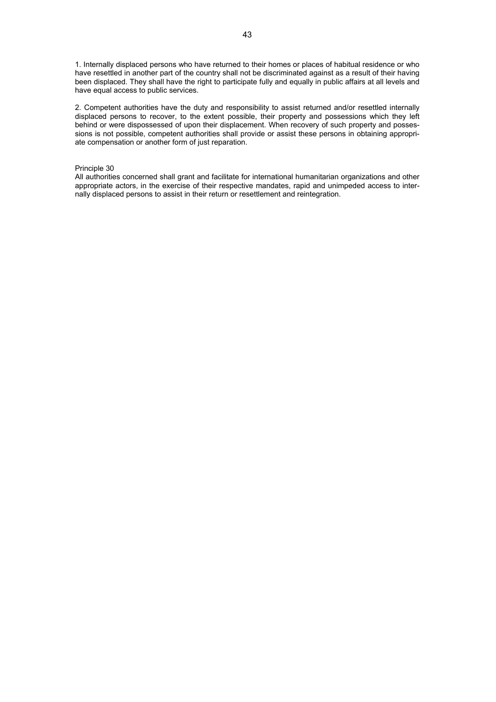1. Internally displaced persons who have returned to their homes or places of habitual residence or who have resettled in another part of the country shall not be discriminated against as a result of their having been displaced. They shall have the right to participate fully and equally in public affairs at all levels and have equal access to public services.

2. Competent authorities have the duty and responsibility to assist returned and/or resettled internally displaced persons to recover, to the extent possible, their property and possessions which they left behind or were dispossessed of upon their displacement. When recovery of such property and possessions is not possible, competent authorities shall provide or assist these persons in obtaining appropriate compensation or another form of just reparation.

# Principle 30

All authorities concerned shall grant and facilitate for international humanitarian organizations and other appropriate actors, in the exercise of their respective mandates, rapid and unimpeded access to internally displaced persons to assist in their return or resettlement and reintegration.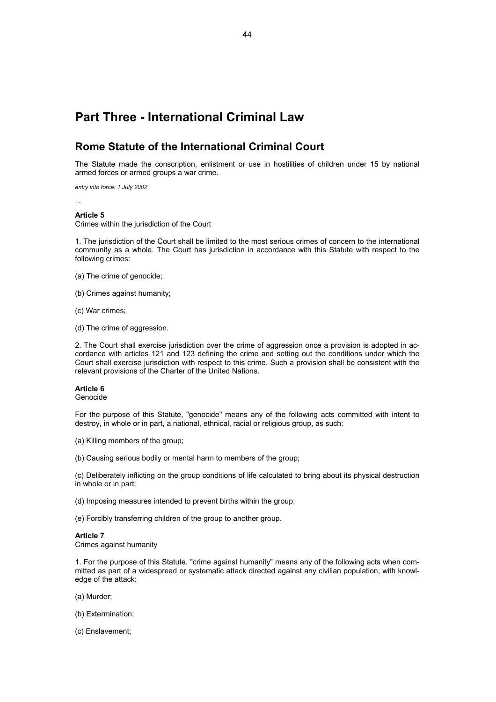# **Part Three - International Criminal Law**

# **Rome Statute of the International Criminal Court**

The Statute made the conscription, enlistment or use in hostilities of children under 15 by national armed forces or armed groups a war crime.

*entry into force: 1 July 2002* 

# **Article 5**

…

Crimes within the jurisdiction of the Court

1. The jurisdiction of the Court shall be limited to the most serious crimes of concern to the international community as a whole. The Court has jurisdiction in accordance with this Statute with respect to the following crimes:

- (a) The crime of genocide;
- (b) Crimes against humanity;
- (c) War crimes;
- (d) The crime of aggression.

2. The Court shall exercise jurisdiction over the crime of aggression once a provision is adopted in accordance with articles 121 and 123 defining the crime and setting out the conditions under which the Court shall exercise jurisdiction with respect to this crime. Such a provision shall be consistent with the relevant provisions of the Charter of the United Nations.

# **Article 6**

Genocide

For the purpose of this Statute, "genocide" means any of the following acts committed with intent to destroy, in whole or in part, a national, ethnical, racial or religious group, as such:

- (a) Killing members of the group;
- (b) Causing serious bodily or mental harm to members of the group;

(c) Deliberately inflicting on the group conditions of life calculated to bring about its physical destruction in whole or in part;

- (d) Imposing measures intended to prevent births within the group;
- (e) Forcibly transferring children of the group to another group.

### **Article 7**

Crimes against humanity

1. For the purpose of this Statute, "crime against humanity" means any of the following acts when committed as part of a widespread or systematic attack directed against any civilian population, with knowledge of the attack:

- (a) Murder;
- (b) Extermination;
- (c) Enslavement;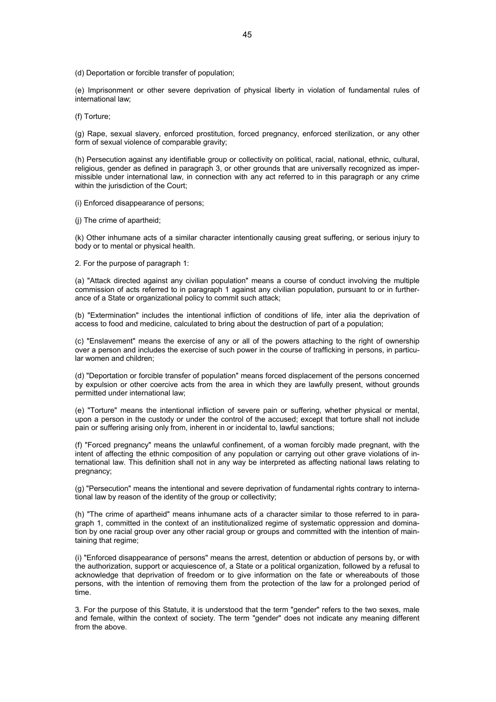(d) Deportation or forcible transfer of population;

(e) Imprisonment or other severe deprivation of physical liberty in violation of fundamental rules of international law;

(f) Torture;

(g) Rape, sexual slavery, enforced prostitution, forced pregnancy, enforced sterilization, or any other form of sexual violence of comparable gravity;

(h) Persecution against any identifiable group or collectivity on political, racial, national, ethnic, cultural, religious, gender as defined in paragraph 3, or other grounds that are universally recognized as impermissible under international law, in connection with any act referred to in this paragraph or any crime within the jurisdiction of the Court;

(i) Enforced disappearance of persons;

(j) The crime of apartheid;

(k) Other inhumane acts of a similar character intentionally causing great suffering, or serious injury to body or to mental or physical health.

2. For the purpose of paragraph 1:

(a) "Attack directed against any civilian population" means a course of conduct involving the multiple commission of acts referred to in paragraph 1 against any civilian population, pursuant to or in furtherance of a State or organizational policy to commit such attack;

(b) "Extermination" includes the intentional infliction of conditions of life, inter alia the deprivation of access to food and medicine, calculated to bring about the destruction of part of a population;

(c) "Enslavement" means the exercise of any or all of the powers attaching to the right of ownership over a person and includes the exercise of such power in the course of trafficking in persons, in particular women and children;

(d) "Deportation or forcible transfer of population" means forced displacement of the persons concerned by expulsion or other coercive acts from the area in which they are lawfully present, without grounds permitted under international law;

(e) "Torture" means the intentional infliction of severe pain or suffering, whether physical or mental, upon a person in the custody or under the control of the accused; except that torture shall not include pain or suffering arising only from, inherent in or incidental to, lawful sanctions;

(f) "Forced pregnancy" means the unlawful confinement, of a woman forcibly made pregnant, with the intent of affecting the ethnic composition of any population or carrying out other grave violations of international law. This definition shall not in any way be interpreted as affecting national laws relating to pregnancy;

(g) "Persecution" means the intentional and severe deprivation of fundamental rights contrary to international law by reason of the identity of the group or collectivity;

(h) "The crime of apartheid" means inhumane acts of a character similar to those referred to in paragraph 1, committed in the context of an institutionalized regime of systematic oppression and domination by one racial group over any other racial group or groups and committed with the intention of maintaining that regime;

(i) "Enforced disappearance of persons" means the arrest, detention or abduction of persons by, or with the authorization, support or acquiescence of, a State or a political organization, followed by a refusal to acknowledge that deprivation of freedom or to give information on the fate or whereabouts of those persons, with the intention of removing them from the protection of the law for a prolonged period of time.

3. For the purpose of this Statute, it is understood that the term "gender" refers to the two sexes, male and female, within the context of society. The term "gender" does not indicate any meaning different from the above.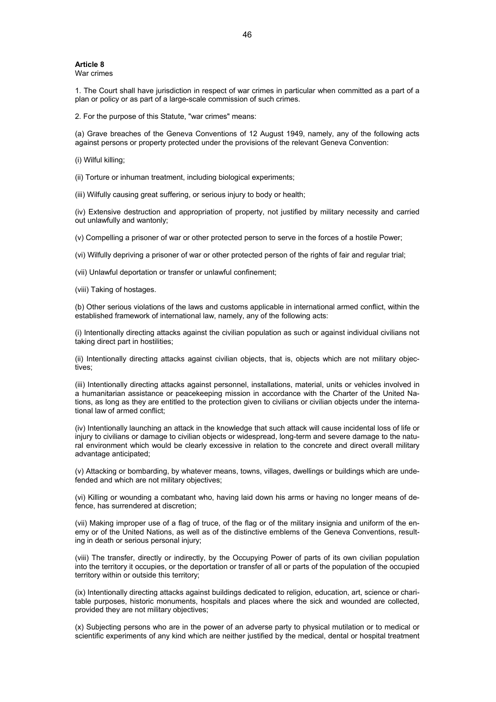# **Article 8**

War crimes

1. The Court shall have jurisdiction in respect of war crimes in particular when committed as a part of a plan or policy or as part of a large-scale commission of such crimes.

2. For the purpose of this Statute, "war crimes" means:

(a) Grave breaches of the Geneva Conventions of 12 August 1949, namely, any of the following acts against persons or property protected under the provisions of the relevant Geneva Convention:

(i) Wilful killing;

(ii) Torture or inhuman treatment, including biological experiments;

(iii) Wilfully causing great suffering, or serious injury to body or health;

(iv) Extensive destruction and appropriation of property, not justified by military necessity and carried out unlawfully and wantonly;

(v) Compelling a prisoner of war or other protected person to serve in the forces of a hostile Power;

(vi) Wilfully depriving a prisoner of war or other protected person of the rights of fair and regular trial;

(vii) Unlawful deportation or transfer or unlawful confinement;

(viii) Taking of hostages.

(b) Other serious violations of the laws and customs applicable in international armed conflict, within the established framework of international law, namely, any of the following acts:

(i) Intentionally directing attacks against the civilian population as such or against individual civilians not taking direct part in hostilities;

(ii) Intentionally directing attacks against civilian objects, that is, objects which are not military objectives;

(iii) Intentionally directing attacks against personnel, installations, material, units or vehicles involved in a humanitarian assistance or peacekeeping mission in accordance with the Charter of the United Nations, as long as they are entitled to the protection given to civilians or civilian objects under the international law of armed conflict;

(iv) Intentionally launching an attack in the knowledge that such attack will cause incidental loss of life or injury to civilians or damage to civilian objects or widespread, long-term and severe damage to the natural environment which would be clearly excessive in relation to the concrete and direct overall military advantage anticipated;

(v) Attacking or bombarding, by whatever means, towns, villages, dwellings or buildings which are undefended and which are not military objectives;

(vi) Killing or wounding a combatant who, having laid down his arms or having no longer means of defence, has surrendered at discretion;

(vii) Making improper use of a flag of truce, of the flag or of the military insignia and uniform of the enemy or of the United Nations, as well as of the distinctive emblems of the Geneva Conventions, resulting in death or serious personal injury;

(viii) The transfer, directly or indirectly, by the Occupying Power of parts of its own civilian population into the territory it occupies, or the deportation or transfer of all or parts of the population of the occupied territory within or outside this territory;

(ix) Intentionally directing attacks against buildings dedicated to religion, education, art, science or charitable purposes, historic monuments, hospitals and places where the sick and wounded are collected, provided they are not military objectives;

(x) Subjecting persons who are in the power of an adverse party to physical mutilation or to medical or scientific experiments of any kind which are neither justified by the medical, dental or hospital treatment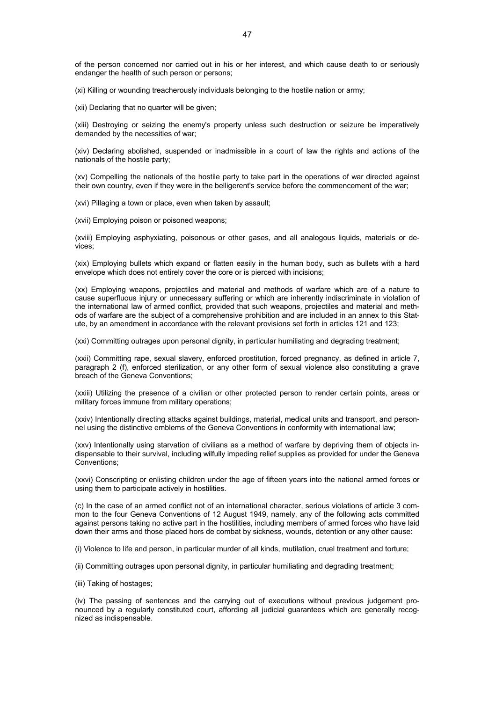of the person concerned nor carried out in his or her interest, and which cause death to or seriously endanger the health of such person or persons;

(xi) Killing or wounding treacherously individuals belonging to the hostile nation or army;

(xii) Declaring that no quarter will be given;

(xiii) Destroying or seizing the enemy's property unless such destruction or seizure be imperatively demanded by the necessities of war;

(xiv) Declaring abolished, suspended or inadmissible in a court of law the rights and actions of the nationals of the hostile party;

(xv) Compelling the nationals of the hostile party to take part in the operations of war directed against their own country, even if they were in the belligerent's service before the commencement of the war;

(xvi) Pillaging a town or place, even when taken by assault;

(xvii) Employing poison or poisoned weapons;

(xviii) Employing asphyxiating, poisonous or other gases, and all analogous liquids, materials or devices;

(xix) Employing bullets which expand or flatten easily in the human body, such as bullets with a hard envelope which does not entirely cover the core or is pierced with incisions;

(xx) Employing weapons, projectiles and material and methods of warfare which are of a nature to cause superfluous injury or unnecessary suffering or which are inherently indiscriminate in violation of the international law of armed conflict, provided that such weapons, projectiles and material and methods of warfare are the subject of a comprehensive prohibition and are included in an annex to this Statute, by an amendment in accordance with the relevant provisions set forth in articles 121 and 123;

(xxi) Committing outrages upon personal dignity, in particular humiliating and degrading treatment;

(xxii) Committing rape, sexual slavery, enforced prostitution, forced pregnancy, as defined in article 7, paragraph 2 (f), enforced sterilization, or any other form of sexual violence also constituting a grave breach of the Geneva Conventions;

(xxiii) Utilizing the presence of a civilian or other protected person to render certain points, areas or military forces immune from military operations;

(xxiv) Intentionally directing attacks against buildings, material, medical units and transport, and personnel using the distinctive emblems of the Geneva Conventions in conformity with international law;

(xxv) Intentionally using starvation of civilians as a method of warfare by depriving them of objects indispensable to their survival, including wilfully impeding relief supplies as provided for under the Geneva Conventions;

(xxvi) Conscripting or enlisting children under the age of fifteen years into the national armed forces or using them to participate actively in hostilities.

(c) In the case of an armed conflict not of an international character, serious violations of article 3 common to the four Geneva Conventions of 12 August 1949, namely, any of the following acts committed against persons taking no active part in the hostilities, including members of armed forces who have laid down their arms and those placed hors de combat by sickness, wounds, detention or any other cause:

(i) Violence to life and person, in particular murder of all kinds, mutilation, cruel treatment and torture;

(ii) Committing outrages upon personal dignity, in particular humiliating and degrading treatment;

(iii) Taking of hostages;

(iv) The passing of sentences and the carrying out of executions without previous judgement pronounced by a regularly constituted court, affording all judicial guarantees which are generally recognized as indispensable.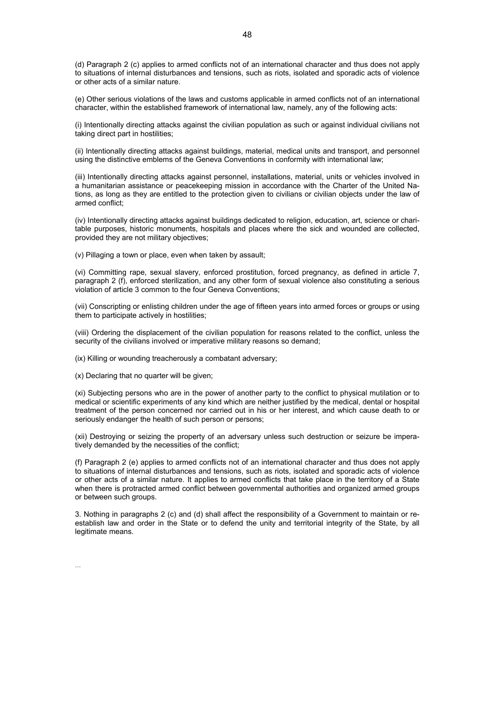(d) Paragraph 2 (c) applies to armed conflicts not of an international character and thus does not apply to situations of internal disturbances and tensions, such as riots, isolated and sporadic acts of violence or other acts of a similar nature.

(e) Other serious violations of the laws and customs applicable in armed conflicts not of an international character, within the established framework of international law, namely, any of the following acts:

(i) Intentionally directing attacks against the civilian population as such or against individual civilians not taking direct part in hostilities;

(ii) Intentionally directing attacks against buildings, material, medical units and transport, and personnel using the distinctive emblems of the Geneva Conventions in conformity with international law;

(iii) Intentionally directing attacks against personnel, installations, material, units or vehicles involved in a humanitarian assistance or peacekeeping mission in accordance with the Charter of the United Nations, as long as they are entitled to the protection given to civilians or civilian objects under the law of armed conflict;

(iv) Intentionally directing attacks against buildings dedicated to religion, education, art, science or charitable purposes, historic monuments, hospitals and places where the sick and wounded are collected, provided they are not military objectives;

(v) Pillaging a town or place, even when taken by assault;

(vi) Committing rape, sexual slavery, enforced prostitution, forced pregnancy, as defined in article 7, paragraph 2 (f), enforced sterilization, and any other form of sexual violence also constituting a serious violation of article 3 common to the four Geneva Conventions;

(vii) Conscripting or enlisting children under the age of fifteen years into armed forces or groups or using them to participate actively in hostilities;

(viii) Ordering the displacement of the civilian population for reasons related to the conflict, unless the security of the civilians involved or imperative military reasons so demand;

(ix) Killing or wounding treacherously a combatant adversary;

(x) Declaring that no quarter will be given;

…

(xi) Subjecting persons who are in the power of another party to the conflict to physical mutilation or to medical or scientific experiments of any kind which are neither justified by the medical, dental or hospital treatment of the person concerned nor carried out in his or her interest, and which cause death to or seriously endanger the health of such person or persons;

(xii) Destroying or seizing the property of an adversary unless such destruction or seizure be imperatively demanded by the necessities of the conflict;

(f) Paragraph 2 (e) applies to armed conflicts not of an international character and thus does not apply to situations of internal disturbances and tensions, such as riots, isolated and sporadic acts of violence or other acts of a similar nature. It applies to armed conflicts that take place in the territory of a State when there is protracted armed conflict between governmental authorities and organized armed groups or between such groups.

3. Nothing in paragraphs 2 (c) and (d) shall affect the responsibility of a Government to maintain or reestablish law and order in the State or to defend the unity and territorial integrity of the State, by all legitimate means.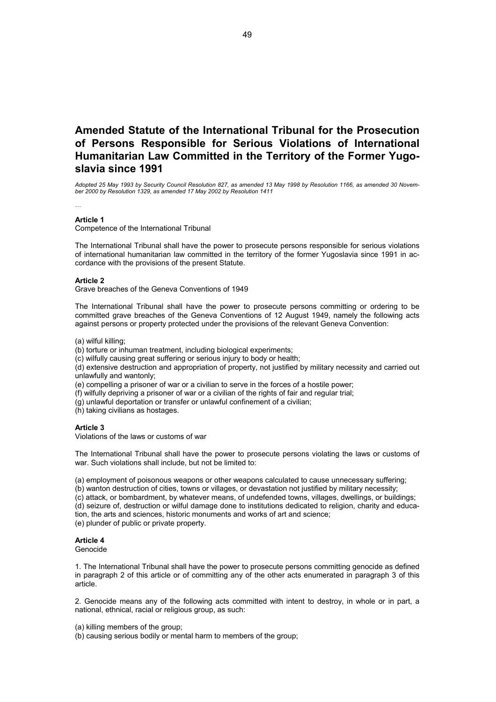# **Amended Statute of the International Tribunal for the Prosecution of Persons Responsible for Serious Violations of International Humanitarian Law Committed in the Territory of the Former Yugoslavia since 1991**

*Adopted 25 May 1993 by Security Council Resolution 827, as amended 13 May 1998 by Resolution 1166, as amended 30 November 2000 by Resolution 1329, as amended 17 May 2002 by Resolution 1411* 

*…* 

### **Article 1**

Competence of the International Tribunal

The International Tribunal shall have the power to prosecute persons responsible for serious violations of international humanitarian law committed in the territory of the former Yugoslavia since 1991 in accordance with the provisions of the present Statute.

### **Article 2**

Grave breaches of the Geneva Conventions of 1949

The International Tribunal shall have the power to prosecute persons committing or ordering to be committed grave breaches of the Geneva Conventions of 12 August 1949, namely the following acts against persons or property protected under the provisions of the relevant Geneva Convention:

(a) wilful killing;

(b) torture or inhuman treatment, including biological experiments;

(c) wilfully causing great suffering or serious injury to body or health;

(d) extensive destruction and appropriation of property, not justified by military necessity and carried out unlawfully and wantonly;

(e) compelling a prisoner of war or a civilian to serve in the forces of a hostile power;

(f) wilfully depriving a prisoner of war or a civilian of the rights of fair and regular trial;

(g) unlawful deportation or transfer or unlawful confinement of a civilian;

(h) taking civilians as hostages.

#### **Article 3**

Violations of the laws or customs of war

The International Tribunal shall have the power to prosecute persons violating the laws or customs of war. Such violations shall include, but not be limited to:

(a) employment of poisonous weapons or other weapons calculated to cause unnecessary suffering;

(b) wanton destruction of cities, towns or villages, or devastation not justified by military necessity;

(c) attack, or bombardment, by whatever means, of undefended towns, villages, dwellings, or buildings; (d) seizure of, destruction or wilful damage done to institutions dedicated to religion, charity and education, the arts and sciences, historic monuments and works of art and science;

(e) plunder of public or private property.

#### **Article 4**  Genocide

1. The International Tribunal shall have the power to prosecute persons committing genocide as defined in paragraph 2 of this article or of committing any of the other acts enumerated in paragraph 3 of this article.

2. Genocide means any of the following acts committed with intent to destroy, in whole or in part, a national, ethnical, racial or religious group, as such:

(a) killing members of the group;

(b) causing serious bodily or mental harm to members of the group;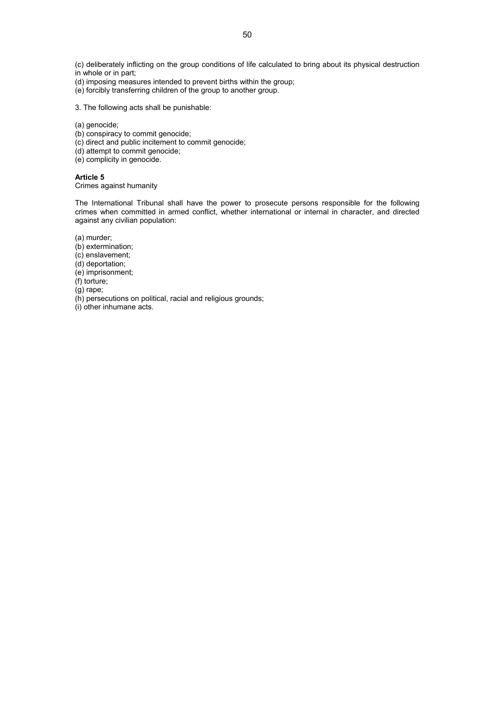(c) deliberately inflicting on the group conditions of life calculated to bring about its physical destruction in whole or in part;

- (d) imposing measures intended to prevent births within the group;
- (e) forcibly transferring children of the group to another group.

3. The following acts shall be punishable:

- (a) genocide;
- (b) conspiracy to commit genocide;
- (c) direct and public incitement to commit genocide;
- (d) attempt to commit genocide;
- (e) complicity in genocide.

# **Article 5**

Crimes against humanity

The International Tribunal shall have the power to prosecute persons responsible for the following crimes when committed in armed conflict, whether international or internal in character, and directed against any civilian population:

(a) murder;

- (b) extermination;
- (c) enslavement;
- (d) deportation;
- (e) imprisonment;
- (f) torture;

(g) rape;

- (h) persecutions on political, racial and religious grounds;
- (i) other inhumane acts.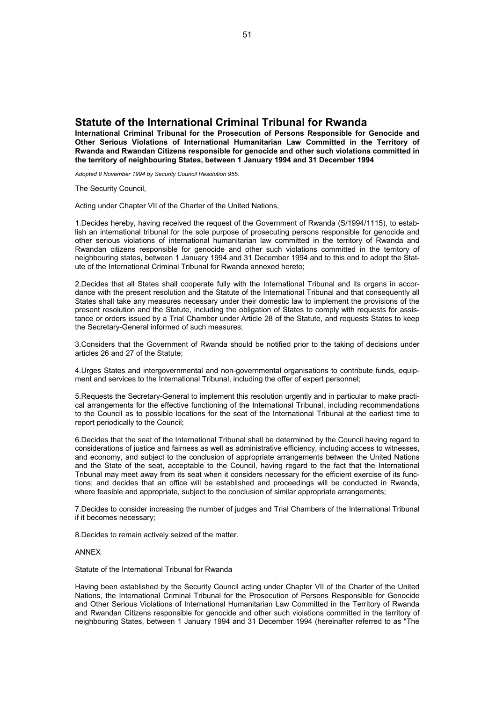# **Statute of the International Criminal Tribunal for Rwanda**

**International Criminal Tribunal for the Prosecution of Persons Responsible for Genocide and Other Serious Violations of International Humanitarian Law Committed in the Territory of Rwanda and Rwandan Citizens responsible for genocide and other such violations committed in the territory of neighbouring States, between 1 January 1994 and 31 December 1994** 

*Adopted 8 November 1994 by Security Council Resolution 955.* 

The Security Council,

Acting under Chapter VII of the Charter of the United Nations,

1.Decides hereby, having received the request of the Government of Rwanda (S/1994/1115), to establish an international tribunal for the sole purpose of prosecuting persons responsible for genocide and other serious violations of international humanitarian law committed in the territory of Rwanda and Rwandan citizens responsible for genocide and other such violations committed in the territory of neighbouring states, between 1 January 1994 and 31 December 1994 and to this end to adopt the Statute of the International Criminal Tribunal for Rwanda annexed hereto;

2.Decides that all States shall cooperate fully with the International Tribunal and its organs in accordance with the present resolution and the Statute of the International Tribunal and that consequently all States shall take any measures necessary under their domestic law to implement the provisions of the present resolution and the Statute, including the obligation of States to comply with requests for assistance or orders issued by a Trial Chamber under Article 28 of the Statute, and requests States to keep the Secretary-General informed of such measures;

3.Considers that the Government of Rwanda should be notified prior to the taking of decisions under articles 26 and 27 of the Statute;

4.Urges States and intergovernmental and non-governmental organisations to contribute funds, equipment and services to the International Tribunal, including the offer of expert personnel;

5.Requests the Secretary-General to implement this resolution urgently and in particular to make practical arrangements for the effective functioning of the International Tribunal, including recommendations to the Council as to possible locations for the seat of the International Tribunal at the earliest time to report periodically to the Council;

6.Decides that the seat of the International Tribunal shall be determined by the Council having regard to considerations of justice and fairness as well as administrative efficiency, including access to witnesses, and economy, and subject to the conclusion of appropriate arrangements between the United Nations and the State of the seat, acceptable to the Council, having regard to the fact that the International Tribunal may meet away from its seat when it considers necessary for the efficient exercise of its functions; and decides that an office will be established and proceedings will be conducted in Rwanda, where feasible and appropriate, subject to the conclusion of similar appropriate arrangements;

7.Decides to consider increasing the number of judges and Trial Chambers of the International Tribunal if it becomes necessary;

8.Decides to remain actively seized of the matter.

# ANNEX

Statute of the International Tribunal for Rwanda

Having been established by the Security Council acting under Chapter VII of the Charter of the United Nations, the International Criminal Tribunal for the Prosecution of Persons Responsible for Genocide and Other Serious Violations of International Humanitarian Law Committed in the Territory of Rwanda and Rwandan Citizens responsible for genocide and other such violations committed in the territory of neighbouring States, between 1 January 1994 and 31 December 1994 (hereinafter referred to as "The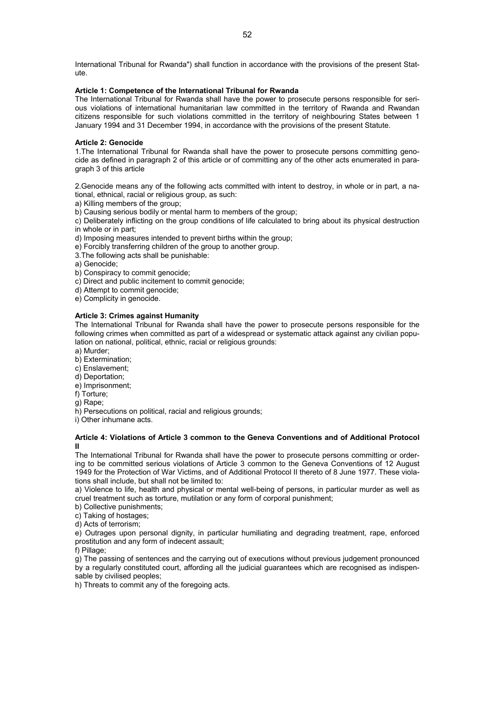International Tribunal for Rwanda") shall function in accordance with the provisions of the present Statute.

# **Article 1: Competence of the International Tribunal for Rwanda**

The International Tribunal for Rwanda shall have the power to prosecute persons responsible for serious violations of international humanitarian law committed in the territory of Rwanda and Rwandan citizens responsible for such violations committed in the territory of neighbouring States between 1 January 1994 and 31 December 1994, in accordance with the provisions of the present Statute.

# **Article 2: Genocide**

1.The International Tribunal for Rwanda shall have the power to prosecute persons committing genocide as defined in paragraph 2 of this article or of committing any of the other acts enumerated in paragraph 3 of this article

2.Genocide means any of the following acts committed with intent to destroy, in whole or in part, a national, ethnical, racial or religious group, as such:

a) Killing members of the group;

b) Causing serious bodily or mental harm to members of the group;

c) Deliberately inflicting on the group conditions of life calculated to bring about its physical destruction in whole or in part;

d) Imposing measures intended to prevent births within the group;

e) Forcibly transferring children of the group to another group.

3.The following acts shall be punishable:

a) Genocide;

b) Conspiracy to commit genocide;

c) Direct and public incitement to commit genocide;

d) Attempt to commit genocide;

e) Complicity in genocide.

# **Article 3: Crimes against Humanity**

The International Tribunal for Rwanda shall have the power to prosecute persons responsible for the following crimes when committed as part of a widespread or systematic attack against any civilian population on national, political, ethnic, racial or religious grounds:

- a) Murder;
- b) Extermination;
- c) Enslavement;
- d) Deportation;
- e) Imprisonment;
- f) Torture;
- g) Rape;

h) Persecutions on political, racial and religious grounds;

i) Other inhumane acts.

# **Article 4: Violations of Article 3 common to the Geneva Conventions and of Additional Protocol II**

The International Tribunal for Rwanda shall have the power to prosecute persons committing or ordering to be committed serious violations of Article 3 common to the Geneva Conventions of 12 August 1949 for the Protection of War Victims, and of Additional Protocol II thereto of 8 June 1977. These violations shall include, but shall not be limited to:

a) Violence to life, health and physical or mental well-being of persons, in particular murder as well as cruel treatment such as torture, mutilation or any form of corporal punishment;

b) Collective punishments;

c) Taking of hostages;

d) Acts of terrorism;

e) Outrages upon personal dignity, in particular humiliating and degrading treatment, rape, enforced prostitution and any form of indecent assault;

f) Pillage;

g) The passing of sentences and the carrying out of executions without previous judgement pronounced by a regularly constituted court, affording all the judicial guarantees which are recognised as indispensable by civilised peoples;

h) Threats to commit any of the foregoing acts.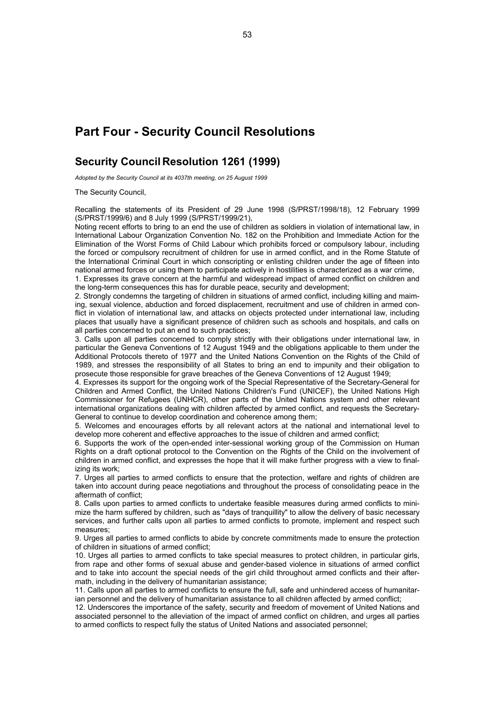# **Part Four - Security Council Resolutions**

# **Security Council Resolution 1261 (1999)**

*Adopted by the Security Council at its 4037th meeting, on 25 August 1999* 

The Security Council,

Recalling the statements of its President of 29 June 1998 (S/PRST/1998/18), 12 February 1999 (S/PRST/1999/6) and 8 July 1999 (S/PRST/1999/21),

Noting recent efforts to bring to an end the use of children as soldiers in violation of international law, in International Labour Organization Convention No. 182 on the Prohibition and Immediate Action for the Elimination of the Worst Forms of Child Labour which prohibits forced or compulsory labour, including the forced or compulsory recruitment of children for use in armed conflict, and in the Rome Statute of the International Criminal Court in which conscripting or enlisting children under the age of fifteen into national armed forces or using them to participate actively in hostilities is characterized as a war crime,

1. Expresses its grave concern at the harmful and widespread impact of armed conflict on children and the long-term consequences this has for durable peace, security and development;

2. Strongly condemns the targeting of children in situations of armed conflict, including killing and maiming, sexual violence, abduction and forced displacement, recruitment and use of children in armed conflict in violation of international law, and attacks on objects protected under international law, including places that usually have a significant presence of children such as schools and hospitals, and calls on all parties concerned to put an end to such practices;

3. Calls upon all parties concerned to comply strictly with their obligations under international law, in particular the Geneva Conventions of 12 August 1949 and the obligations applicable to them under the Additional Protocols thereto of 1977 and the United Nations Convention on the Rights of the Child of 1989, and stresses the responsibility of all States to bring an end to impunity and their obligation to prosecute those responsible for grave breaches of the Geneva Conventions of 12 August 1949;

4. Expresses its support for the ongoing work of the Special Representative of the Secretary-General for Children and Armed Conflict, the United Nations Children's Fund (UNICEF), the United Nations High Commissioner for Refugees (UNHCR), other parts of the United Nations system and other relevant international organizations dealing with children affected by armed conflict, and requests the Secretary-General to continue to develop coordination and coherence among them;

5. Welcomes and encourages efforts by all relevant actors at the national and international level to develop more coherent and effective approaches to the issue of children and armed conflict;

6. Supports the work of the open-ended inter-sessional working group of the Commission on Human Rights on a draft optional protocol to the Convention on the Rights of the Child on the involvement of children in armed conflict, and expresses the hope that it will make further progress with a view to finalizing its work;

7. Urges all parties to armed conflicts to ensure that the protection, welfare and rights of children are taken into account during peace negotiations and throughout the process of consolidating peace in the aftermath of conflict;

8. Calls upon parties to armed conflicts to undertake feasible measures during armed conflicts to minimize the harm suffered by children, such as "days of tranquillity" to allow the delivery of basic necessary services, and further calls upon all parties to armed conflicts to promote, implement and respect such measures;

9. Urges all parties to armed conflicts to abide by concrete commitments made to ensure the protection of children in situations of armed conflict;

10. Urges all parties to armed conflicts to take special measures to protect children, in particular girls, from rape and other forms of sexual abuse and gender-based violence in situations of armed conflict and to take into account the special needs of the girl child throughout armed conflicts and their aftermath, including in the delivery of humanitarian assistance;

11. Calls upon all parties to armed conflicts to ensure the full, safe and unhindered access of humanitarian personnel and the delivery of humanitarian assistance to all children affected by armed conflict;

12. Underscores the importance of the safety, security and freedom of movement of United Nations and associated personnel to the alleviation of the impact of armed conflict on children, and urges all parties to armed conflicts to respect fully the status of United Nations and associated personnel;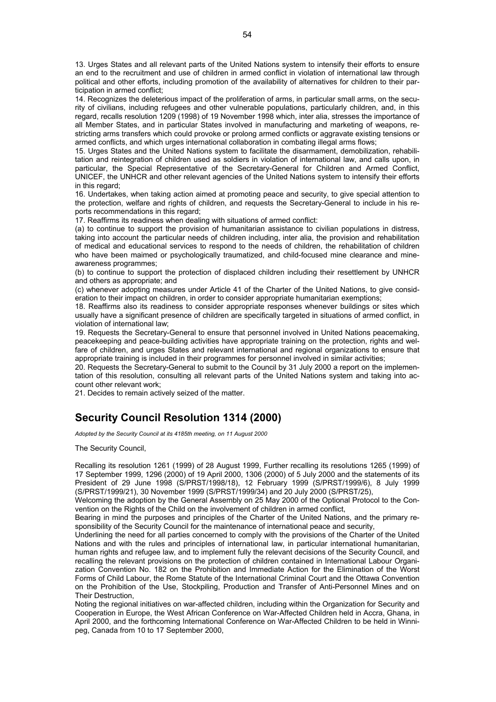13. Urges States and all relevant parts of the United Nations system to intensify their efforts to ensure an end to the recruitment and use of children in armed conflict in violation of international law through political and other efforts, including promotion of the availability of alternatives for children to their participation in armed conflict;

14. Recognizes the deleterious impact of the proliferation of arms, in particular small arms, on the security of civilians, including refugees and other vulnerable populations, particularly children, and, in this regard, recalls resolution 1209 (1998) of 19 November 1998 which, inter alia, stresses the importance of all Member States, and in particular States involved in manufacturing and marketing of weapons, restricting arms transfers which could provoke or prolong armed conflicts or aggravate existing tensions or armed conflicts, and which urges international collaboration in combating illegal arms flows;

15. Urges States and the United Nations system to facilitate the disarmament, demobilization, rehabilitation and reintegration of children used as soldiers in violation of international law, and calls upon, in particular, the Special Representative of the Secretary-General for Children and Armed Conflict, UNICEF, the UNHCR and other relevant agencies of the United Nations system to intensify their efforts in this regard;

16. Undertakes, when taking action aimed at promoting peace and security, to give special attention to the protection, welfare and rights of children, and requests the Secretary-General to include in his reports recommendations in this regard;

17. Reaffirms its readiness when dealing with situations of armed conflict:

(a) to continue to support the provision of humanitarian assistance to civilian populations in distress, taking into account the particular needs of children including, inter alia, the provision and rehabilitation of medical and educational services to respond to the needs of children, the rehabilitation of children who have been maimed or psychologically traumatized, and child-focused mine clearance and mineawareness programmes;

(b) to continue to support the protection of displaced children including their resettlement by UNHCR and others as appropriate; and

(c) whenever adopting measures under Article 41 of the Charter of the United Nations, to give consideration to their impact on children, in order to consider appropriate humanitarian exemptions;

18. Reaffirms also its readiness to consider appropriate responses whenever buildings or sites which usually have a significant presence of children are specifically targeted in situations of armed conflict, in violation of international law;

19. Requests the Secretary-General to ensure that personnel involved in United Nations peacemaking, peacekeeping and peace-building activities have appropriate training on the protection, rights and welfare of children, and urges States and relevant international and regional organizations to ensure that appropriate training is included in their programmes for personnel involved in similar activities;

20. Requests the Secretary-General to submit to the Council by 31 July 2000 a report on the implementation of this resolution, consulting all relevant parts of the United Nations system and taking into account other relevant work;

21. Decides to remain actively seized of the matter.

# **Security Council Resolution 1314 (2000)**

*Adopted by the Security Council at its 4185th meeting, on 11 August 2000* 

The Security Council,

Recalling its resolution 1261 (1999) of 28 August 1999, Further recalling its resolutions 1265 (1999) of 17 September 1999, 1296 (2000) of 19 April 2000, 1306 (2000) of 5 July 2000 and the statements of its President of 29 June 1998 (S/PRST/1998/18), 12 February 1999 (S/PRST/1999/6), 8 July 1999 (S/PRST/1999/21), 30 November 1999 (S/PRST/1999/34) and 20 July 2000 (S/PRST/25),

Welcoming the adoption by the General Assembly on 25 May 2000 of the Optional Protocol to the Convention on the Rights of the Child on the involvement of children in armed conflict,

Bearing in mind the purposes and principles of the Charter of the United Nations, and the primary responsibility of the Security Council for the maintenance of international peace and security,

Underlining the need for all parties concerned to comply with the provisions of the Charter of the United Nations and with the rules and principles of international law, in particular international humanitarian, human rights and refugee law, and to implement fully the relevant decisions of the Security Council, and recalling the relevant provisions on the protection of children contained in International Labour Organization Convention No. 182 on the Prohibition and Immediate Action for the Elimination of the Worst Forms of Child Labour, the Rome Statute of the International Criminal Court and the Ottawa Convention on the Prohibition of the Use, Stockpiling, Production and Transfer of Anti-Personnel Mines and on Their Destruction,

Noting the regional initiatives on war-affected children, including within the Organization for Security and Cooperation in Europe, the West African Conference on War-Affected Children held in Accra, Ghana, in April 2000, and the forthcoming International Conference on War-Affected Children to be held in Winnipeg, Canada from 10 to 17 September 2000,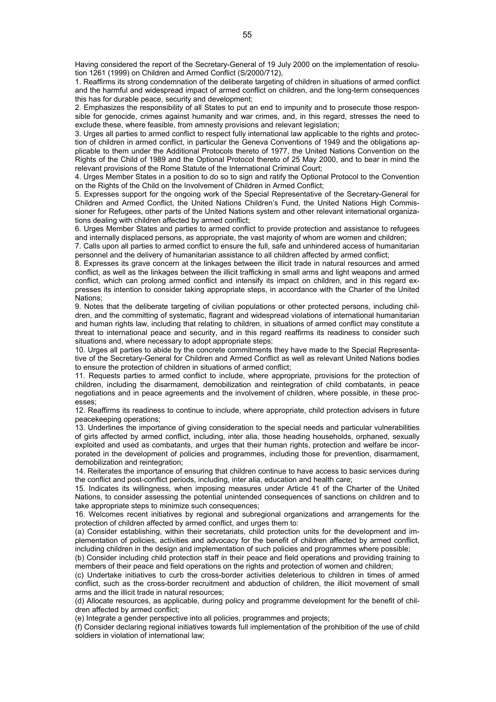Having considered the report of the Secretary-General of 19 July 2000 on the implementation of resolution 1261 (1999) on Children and Armed Conflict (S/2000/712),

1. Reaffirms its strong condemnation of the deliberate targeting of children in situations of armed conflict and the harmful and widespread impact of armed conflict on children, and the long-term consequences this has for durable peace, security and development;

2. Emphasizes the responsibility of all States to put an end to impunity and to prosecute those responsible for genocide, crimes against humanity and war crimes, and, in this regard, stresses the need to exclude these, where feasible, from amnesty provisions and relevant legislation;

3. Urges all parties to armed conflict to respect fully international law applicable to the rights and protection of children in armed conflict, in particular the Geneva Conventions of 1949 and the obligations applicable to them under the Additional Protocols thereto of 1977, the United Nations Convention on the Rights of the Child of 1989 and the Optional Protocol thereto of 25 May 2000, and to bear in mind the relevant provisions of the Rome Statute of the International Criminal Court;

4. Urges Member States in a position to do so to sign and ratify the Optional Protocol to the Convention on the Rights of the Child on the Involvement of Children in Armed Conflict;

5. Expresses support for the ongoing work of the Special Representative of the Secretary-General for Children and Armed Conflict, the United Nations Children's Fund, the United Nations High Commissioner for Refugees, other parts of the United Nations system and other relevant international organizations dealing with children affected by armed conflict;

6. Urges Member States and parties to armed conflict to provide protection and assistance to refugees and internally displaced persons, as appropriate, the vast majority of whom are women and children;

7. Calls upon all parties to armed conflict to ensure the full, safe and unhindered access of humanitarian personnel and the delivery of humanitarian assistance to all children affected by armed conflict;

8. Expresses its grave concern at the linkages between the illicit trade in natural resources and armed conflict, as well as the linkages between the illicit trafficking in small arms and light weapons and armed conflict, which can prolong armed conflict and intensify its impact on children, and in this regard expresses its intention to consider taking appropriate steps, in accordance with the Charter of the United Nations;

9. Notes that the deliberate targeting of civilian populations or other protected persons, including children, and the committing of systematic, flagrant and widespread violations of international humanitarian and human rights law, including that relating to children, in situations of armed conflict may constitute a threat to international peace and security, and in this regard reaffirms its readiness to consider such situations and, where necessary to adopt appropriate steps;

10. Urges all parties to abide by the concrete commitments they have made to the Special Representative of the Secretary-General for Children and Armed Conflict as well as relevant United Nations bodies to ensure the protection of children in situations of armed conflict;

11. Requests parties to armed conflict to include, where appropriate, provisions for the protection of children, including the disarmament, demobilization and reintegration of child combatants, in peace negotiations and in peace agreements and the involvement of children, where possible, in these processes;

12. Reaffirms its readiness to continue to include, where appropriate, child protection advisers in future peacekeeping operations;

13. Underlines the importance of giving consideration to the special needs and particular vulnerabilities of girls affected by armed conflict, including, inter alia, those heading households, orphaned, sexually exploited and used as combatants, and urges that their human rights, protection and welfare be incorporated in the development of policies and programmes, including those for prevention, disarmament, demobilization and reintegration;

14. Reiterates the importance of ensuring that children continue to have access to basic services during the conflict and post-conflict periods, including, inter alia, education and health care;

15. Indicates its willingness, when imposing measures under Article 41 of the Charter of the United Nations, to consider assessing the potential unintended consequences of sanctions on children and to take appropriate steps to minimize such consequences;

16. Welcomes recent initiatives by regional and subregional organizations and arrangements for the protection of children affected by armed conflict, and urges them to:

(a) Consider establishing, within their secretariats, child protection units for the development and implementation of policies, activities and advocacy for the benefit of children affected by armed conflict, including children in the design and implementation of such policies and programmes where possible;

(b) Consider including child protection staff in their peace and field operations and providing training to members of their peace and field operations on the rights and protection of women and children;

(c) Undertake initiatives to curb the cross-border activities deleterious to children in times of armed conflict, such as the cross-border recruitment and abduction of children, the illicit movement of small arms and the illicit trade in natural resources;

(d) Allocate resources, as applicable, during policy and programme development for the benefit of children affected by armed conflict;

(e) Integrate a gender perspective into all policies, programmes and projects;

(f) Consider declaring regional initiatives towards full implementation of the prohibition of the use of child soldiers in violation of international law;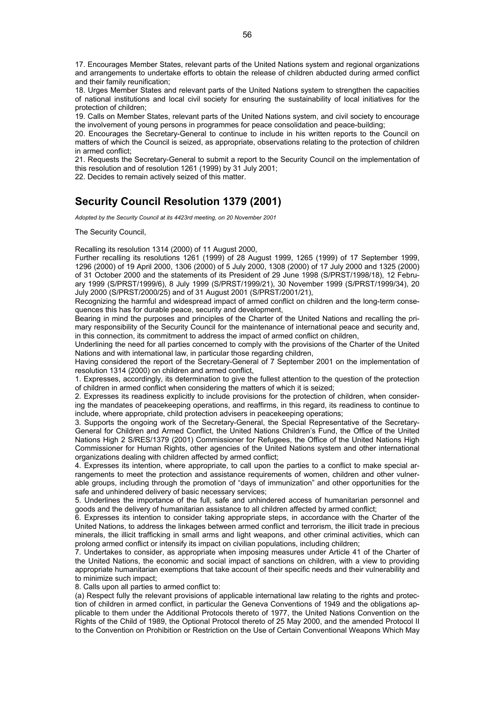17. Encourages Member States, relevant parts of the United Nations system and regional organizations and arrangements to undertake efforts to obtain the release of children abducted during armed conflict and their family reunification;

18. Urges Member States and relevant parts of the United Nations system to strengthen the capacities of national institutions and local civil society for ensuring the sustainability of local initiatives for the protection of children;

19. Calls on Member States, relevant parts of the United Nations system, and civil society to encourage the involvement of young persons in programmes for peace consolidation and peace-building;

20. Encourages the Secretary-General to continue to include in his written reports to the Council on matters of which the Council is seized, as appropriate, observations relating to the protection of children in armed conflict;

21. Requests the Secretary-General to submit a report to the Security Council on the implementation of this resolution and of resolution 1261 (1999) by 31 July 2001;

22. Decides to remain actively seized of this matter.

# **Security Council Resolution 1379 (2001)**

*Adopted by the Security Council at its 4423rd meeting, on 20 November 2001* 

The Security Council,

Recalling its resolution 1314 (2000) of 11 August 2000,

Further recalling its resolutions 1261 (1999) of 28 August 1999, 1265 (1999) of 17 September 1999, 1296 (2000) of 19 April 2000, 1306 (2000) of 5 July 2000, 1308 (2000) of 17 July 2000 and 1325 (2000) of 31 October 2000 and the statements of its President of 29 June 1998 (S/PRST/1998/18), 12 February 1999 (S/PRST/1999/6), 8 July 1999 (S/PRST/1999/21), 30 November 1999 (S/PRST/1999/34), 20 July 2000 (S/PRST/2000/25) and of 31 August 2001 (S/PRST/2001/21),

Recognizing the harmful and widespread impact of armed conflict on children and the long-term consequences this has for durable peace, security and development,

Bearing in mind the purposes and principles of the Charter of the United Nations and recalling the primary responsibility of the Security Council for the maintenance of international peace and security and, in this connection, its commitment to address the impact of armed conflict on children,

Underlining the need for all parties concerned to comply with the provisions of the Charter of the United Nations and with international law, in particular those regarding children,

Having considered the report of the Secretary-General of 7 September 2001 on the implementation of resolution 1314 (2000) on children and armed conflict,

1. Expresses, accordingly, its determination to give the fullest attention to the question of the protection of children in armed conflict when considering the matters of which it is seized;

2. Expresses its readiness explicitly to include provisions for the protection of children, when considering the mandates of peacekeeping operations, and reaffirms, in this regard, its readiness to continue to include, where appropriate, child protection advisers in peacekeeping operations;

3. Supports the ongoing work of the Secretary-General, the Special Representative of the Secretary-General for Children and Armed Conflict, the United Nations Children's Fund, the Office of the United Nations High 2 S/RES/1379 (2001) Commissioner for Refugees, the Office of the United Nations High Commissioner for Human Rights, other agencies of the United Nations system and other international organizations dealing with children affected by armed conflict;

4. Expresses its intention, where appropriate, to call upon the parties to a conflict to make special arrangements to meet the protection and assistance requirements of women, children and other vulnerable groups, including through the promotion of "days of immunization" and other opportunities for the safe and unhindered delivery of basic necessary services;

5. Underlines the importance of the full, safe and unhindered access of humanitarian personnel and goods and the delivery of humanitarian assistance to all children affected by armed conflict;

6. Expresses its intention to consider taking appropriate steps, in accordance with the Charter of the United Nations, to address the linkages between armed conflict and terrorism, the illicit trade in precious minerals, the illicit trafficking in small arms and light weapons, and other criminal activities, which can prolong armed conflict or intensify its impact on civilian populations, including children;

7. Undertakes to consider, as appropriate when imposing measures under Article 41 of the Charter of the United Nations, the economic and social impact of sanctions on children, with a view to providing appropriate humanitarian exemptions that take account of their specific needs and their vulnerability and to minimize such impact;

8. Calls upon all parties to armed conflict to:

(a) Respect fully the relevant provisions of applicable international law relating to the rights and protection of children in armed conflict, in particular the Geneva Conventions of 1949 and the obligations applicable to them under the Additional Protocols thereto of 1977, the United Nations Convention on the Rights of the Child of 1989, the Optional Protocol thereto of 25 May 2000, and the amended Protocol II to the Convention on Prohibition or Restriction on the Use of Certain Conventional Weapons Which May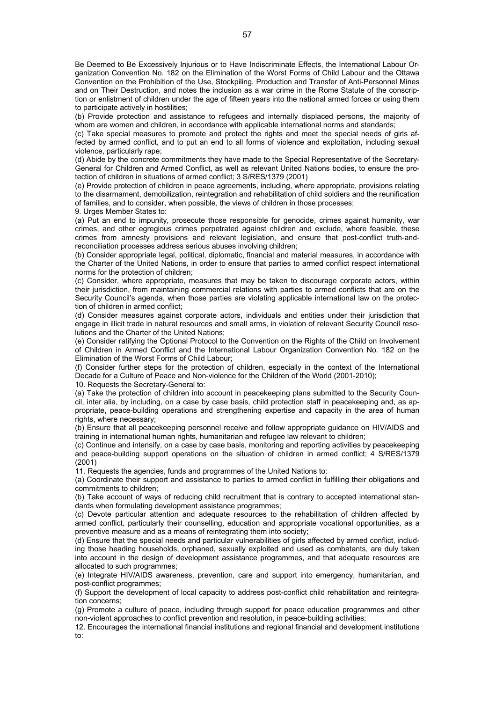Be Deemed to Be Excessively Injurious or to Have Indiscriminate Effects, the International Labour Organization Convention No. 182 on the Elimination of the Worst Forms of Child Labour and the Ottawa Convention on the Prohibition of the Use, Stockpiling, Production and Transfer of Anti-Personnel Mines and on Their Destruction, and notes the inclusion as a war crime in the Rome Statute of the conscription or enlistment of children under the age of fifteen years into the national armed forces or using them to participate actively in hostilities;

(b) Provide protection and assistance to refugees and internally displaced persons, the majority of whom are women and children, in accordance with applicable international norms and standards;

(c) Take special measures to promote and protect the rights and meet the special needs of girls affected by armed conflict, and to put an end to all forms of violence and exploitation, including sexual violence, particularly rape;

(d) Abide by the concrete commitments they have made to the Special Representative of the Secretary-General for Children and Armed Conflict, as well as relevant United Nations bodies, to ensure the protection of children in situations of armed conflict; 3 S/RES/1379 (2001)

(e) Provide protection of children in peace agreements, including, where appropriate, provisions relating to the disarmament, demobilization, reintegration and rehabilitation of child soldiers and the reunification of families, and to consider, when possible, the views of children in those processes;

9. Urges Member States to:

(a) Put an end to impunity, prosecute those responsible for genocide, crimes against humanity, war crimes, and other egregious crimes perpetrated against children and exclude, where feasible, these crimes from amnesty provisions and relevant legislation, and ensure that post-conflict truth-andreconciliation processes address serious abuses involving children;

(b) Consider appropriate legal, political, diplomatic, financial and material measures, in accordance with the Charter of the United Nations, in order to ensure that parties to armed conflict respect international norms for the protection of children;

(c) Consider, where appropriate, measures that may be taken to discourage corporate actors, within their jurisdiction, from maintaining commercial relations with parties to armed conflicts that are on the Security Council's agenda, when those parties are violating applicable international law on the protection of children in armed conflict;

(d) Consider measures against corporate actors, individuals and entities under their jurisdiction that engage in illicit trade in natural resources and small arms, in violation of relevant Security Council resolutions and the Charter of the United Nations;

(e) Consider ratifying the Optional Protocol to the Convention on the Rights of the Child on Involvement of Children in Armed Conflict and the International Labour Organization Convention No. 182 on the Elimination of the Worst Forms of Child Labour;

(f) Consider further steps for the protection of children, especially in the context of the International Decade for a Culture of Peace and Non-violence for the Children of the World (2001-2010);

10. Requests the Secretary-General to:

(a) Take the protection of children into account in peacekeeping plans submitted to the Security Council, inter alia, by including, on a case by case basis, child protection staff in peacekeeping and, as appropriate, peace-building operations and strengthening expertise and capacity in the area of human rights, where necessary;

(b) Ensure that all peacekeeping personnel receive and follow appropriate guidance on HIV/AIDS and training in international human rights, humanitarian and refugee law relevant to children;

(c) Continue and intensify, on a case by case basis, monitoring and reporting activities by peacekeeping and peace-building support operations on the situation of children in armed conflict; 4 S/RES/1379 (2001)

11. Requests the agencies, funds and programmes of the United Nations to:

(a) Coordinate their support and assistance to parties to armed conflict in fulfilling their obligations and commitments to children;

(b) Take account of ways of reducing child recruitment that is contrary to accepted international standards when formulating development assistance programmes;

(c) Devote particular attention and adequate resources to the rehabilitation of children affected by armed conflict, particularly their counselling, education and appropriate vocational opportunities, as a preventive measure and as a means of reintegrating them into society;

(d) Ensure that the special needs and particular vulnerabilities of girls affected by armed conflict, including those heading households, orphaned, sexually exploited and used as combatants, are duly taken into account in the design of development assistance programmes, and that adequate resources are allocated to such programmes;

(e) Integrate HIV/AIDS awareness, prevention, care and support into emergency, humanitarian, and post-conflict programmes;

(f) Support the development of local capacity to address post-conflict child rehabilitation and reintegration concerns;

(g) Promote a culture of peace, including through support for peace education programmes and other non-violent approaches to conflict prevention and resolution, in peace-building activities;

12. Encourages the international financial institutions and regional financial and development institutions to: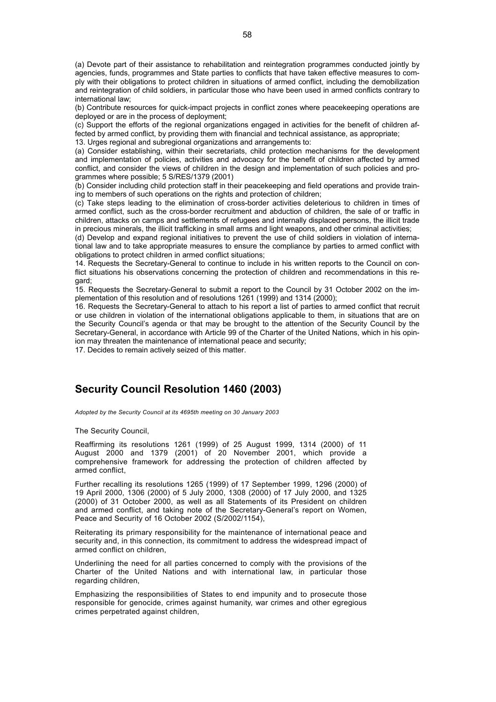(a) Devote part of their assistance to rehabilitation and reintegration programmes conducted jointly by agencies, funds, programmes and State parties to conflicts that have taken effective measures to comply with their obligations to protect children in situations of armed conflict, including the demobilization and reintegration of child soldiers, in particular those who have been used in armed conflicts contrary to international law;

(b) Contribute resources for quick-impact projects in conflict zones where peacekeeping operations are deployed or are in the process of deployment;

(c) Support the efforts of the regional organizations engaged in activities for the benefit of children affected by armed conflict, by providing them with financial and technical assistance, as appropriate;

13. Urges regional and subregional organizations and arrangements to:

(a) Consider establishing, within their secretariats, child protection mechanisms for the development and implementation of policies, activities and advocacy for the benefit of children affected by armed conflict, and consider the views of children in the design and implementation of such policies and programmes where possible; 5 S/RES/1379 (2001)

(b) Consider including child protection staff in their peacekeeping and field operations and provide training to members of such operations on the rights and protection of children;

(c) Take steps leading to the elimination of cross-border activities deleterious to children in times of armed conflict, such as the cross-border recruitment and abduction of children, the sale of or traffic in children, attacks on camps and settlements of refugees and internally displaced persons, the illicit trade in precious minerals, the illicit trafficking in small arms and light weapons, and other criminal activities;

(d) Develop and expand regional initiatives to prevent the use of child soldiers in violation of international law and to take appropriate measures to ensure the compliance by parties to armed conflict with obligations to protect children in armed conflict situations;

14. Requests the Secretary-General to continue to include in his written reports to the Council on conflict situations his observations concerning the protection of children and recommendations in this regard;

15. Requests the Secretary-General to submit a report to the Council by 31 October 2002 on the implementation of this resolution and of resolutions 1261 (1999) and 1314 (2000);

16. Requests the Secretary-General to attach to his report a list of parties to armed conflict that recruit or use children in violation of the international obligations applicable to them, in situations that are on the Security Council's agenda or that may be brought to the attention of the Security Council by the Secretary-General, in accordance with Article 99 of the Charter of the United Nations, which in his opinion may threaten the maintenance of international peace and security;

17. Decides to remain actively seized of this matter.

# **Security Council Resolution 1460 (2003)**

*Adopted by the Security Council at its 4695th meeting on 30 January 2003* 

The Security Council,

Reaffirming its resolutions 1261 (1999) of 25 August 1999, 1314 (2000) of 11 August 2000 and 1379 (2001) of 20 November 2001, which provide a comprehensive framework for addressing the protection of children affected by armed conflict,

Further recalling its resolutions 1265 (1999) of 17 September 1999, 1296 (2000) of 19 April 2000, 1306 (2000) of 5 July 2000, 1308 (2000) of 17 July 2000, and 1325 (2000) of 31 October 2000, as well as all Statements of its President on children and armed conflict, and taking note of the Secretary-General's report on Women, Peace and Security of 16 October 2002 (S/2002/1154),

Reiterating its primary responsibility for the maintenance of international peace and security and, in this connection, its commitment to address the widespread impact of armed conflict on children,

Underlining the need for all parties concerned to comply with the provisions of the Charter of the United Nations and with international law, in particular those regarding children,

Emphasizing the responsibilities of States to end impunity and to prosecute those responsible for genocide, crimes against humanity, war crimes and other egregious crimes perpetrated against children,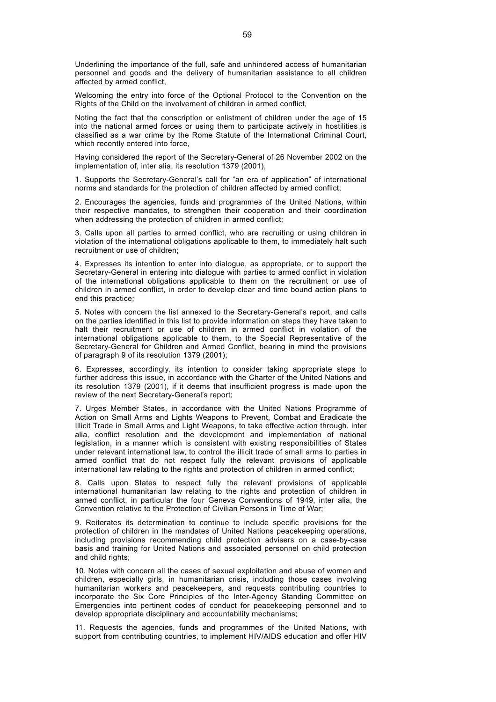Underlining the importance of the full, safe and unhindered access of humanitarian personnel and goods and the delivery of humanitarian assistance to all children affected by armed conflict,

Welcoming the entry into force of the Optional Protocol to the Convention on the Rights of the Child on the involvement of children in armed conflict,

Noting the fact that the conscription or enlistment of children under the age of 15 into the national armed forces or using them to participate actively in hostilities is classified as a war crime by the Rome Statute of the International Criminal Court, which recently entered into force,

Having considered the report of the Secretary-General of 26 November 2002 on the implementation of, inter alia, its resolution 1379 (2001),

1. Supports the Secretary-General's call for "an era of application" of international norms and standards for the protection of children affected by armed conflict;

2. Encourages the agencies, funds and programmes of the United Nations, within their respective mandates, to strengthen their cooperation and their coordination when addressing the protection of children in armed conflict;

3. Calls upon all parties to armed conflict, who are recruiting or using children in violation of the international obligations applicable to them, to immediately halt such recruitment or use of children;

4. Expresses its intention to enter into dialogue, as appropriate, or to support the Secretary-General in entering into dialogue with parties to armed conflict in violation of the international obligations applicable to them on the recruitment or use of children in armed conflict, in order to develop clear and time bound action plans to end this practice;

5. Notes with concern the list annexed to the Secretary-General's report, and calls on the parties identified in this list to provide information on steps they have taken to halt their recruitment or use of children in armed conflict in violation of the international obligations applicable to them, to the Special Representative of the Secretary-General for Children and Armed Conflict, bearing in mind the provisions of paragraph 9 of its resolution 1379 (2001);

6. Expresses, accordingly, its intention to consider taking appropriate steps to further address this issue, in accordance with the Charter of the United Nations and its resolution 1379 (2001), if it deems that insufficient progress is made upon the review of the next Secretary-General's report;

7. Urges Member States, in accordance with the United Nations Programme of Action on Small Arms and Lights Weapons to Prevent, Combat and Eradicate the Illicit Trade in Small Arms and Light Weapons, to take effective action through, inter alia, conflict resolution and the development and implementation of national legislation, in a manner which is consistent with existing responsibilities of States under relevant international law, to control the illicit trade of small arms to parties in armed conflict that do not respect fully the relevant provisions of applicable international law relating to the rights and protection of children in armed conflict;

8. Calls upon States to respect fully the relevant provisions of applicable international humanitarian law relating to the rights and protection of children in armed conflict, in particular the four Geneva Conventions of 1949, inter alia, the Convention relative to the Protection of Civilian Persons in Time of War;

9. Reiterates its determination to continue to include specific provisions for the protection of children in the mandates of United Nations peacekeeping operations, including provisions recommending child protection advisers on a case-by-case basis and training for United Nations and associated personnel on child protection and child rights;

10. Notes with concern all the cases of sexual exploitation and abuse of women and children, especially girls, in humanitarian crisis, including those cases involving humanitarian workers and peacekeepers, and requests contributing countries to incorporate the Six Core Principles of the Inter-Agency Standing Committee on Emergencies into pertinent codes of conduct for peacekeeping personnel and to develop appropriate disciplinary and accountability mechanisms;

11. Requests the agencies, funds and programmes of the United Nations, with support from contributing countries, to implement HIV/AIDS education and offer HIV